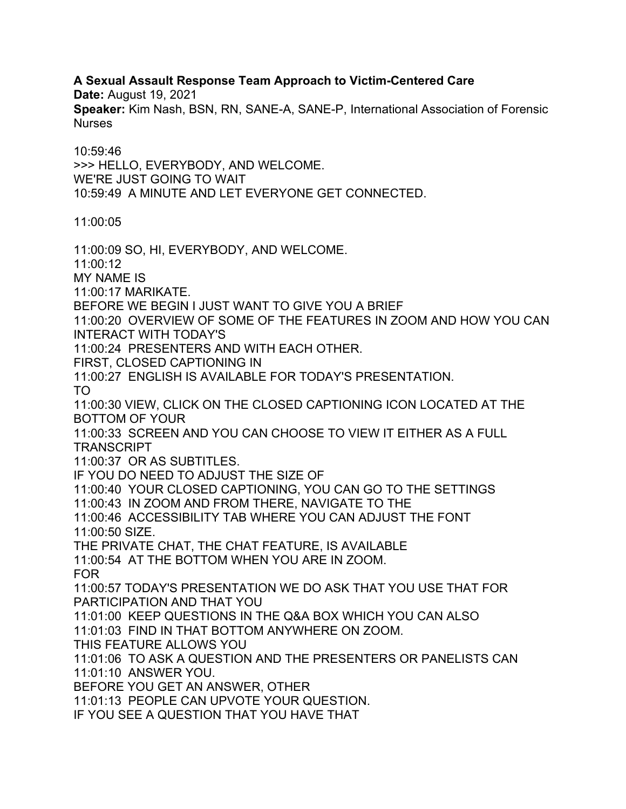**A Sexual Assault Response Team Approach to Victim-Centered Care**

**Date:** August 19, 2021

**Speaker:** Kim Nash, BSN, RN, SANE-A, SANE-P, International Association of Forensic **Nurses** 

10:59:46 >>> HELLO, EVERYBODY, AND WELCOME. WE'RE JUST GOING TO WAIT 10:59:49 A MINUTE AND LET EVERYONE GET CONNECTED.

11:00:05

11:00:09 SO, HI, EVERYBODY, AND WELCOME.

11:00:12

MY NAME IS

11:00:17 MARIKATE.

BEFORE WE BEGIN I JUST WANT TO GIVE YOU A BRIEF

11:00:20 OVERVIEW OF SOME OF THE FEATURES IN ZOOM AND HOW YOU CAN INTERACT WITH TODAY'S

11:00:24 PRESENTERS AND WITH EACH OTHER.

FIRST, CLOSED CAPTIONING IN

11:00:27 ENGLISH IS AVAILABLE FOR TODAY'S PRESENTATION.

TO

11:00:30 VIEW, CLICK ON THE CLOSED CAPTIONING ICON LOCATED AT THE BOTTOM OF YOUR

11:00:33 SCREEN AND YOU CAN CHOOSE TO VIEW IT EITHER AS A FULL **TRANSCRIPT** 

11:00:37 OR AS SUBTITLES.

IF YOU DO NEED TO ADJUST THE SIZE OF

11:00:40 YOUR CLOSED CAPTIONING, YOU CAN GO TO THE SETTINGS

11:00:43 IN ZOOM AND FROM THERE, NAVIGATE TO THE

11:00:46 ACCESSIBILITY TAB WHERE YOU CAN ADJUST THE FONT 11:00:50 SIZE.

THE PRIVATE CHAT, THE CHAT FEATURE, IS AVAILABLE

11:00:54 AT THE BOTTOM WHEN YOU ARE IN ZOOM. FOR

11:00:57 TODAY'S PRESENTATION WE DO ASK THAT YOU USE THAT FOR PARTICIPATION AND THAT YOU

11:01:00 KEEP QUESTIONS IN THE Q&A BOX WHICH YOU CAN ALSO

11:01:03 FIND IN THAT BOTTOM ANYWHERE ON ZOOM.

THIS FEATURE ALLOWS YOU

11:01:06 TO ASK A QUESTION AND THE PRESENTERS OR PANELISTS CAN 11:01:10 ANSWER YOU.

BEFORE YOU GET AN ANSWER, OTHER

11:01:13 PEOPLE CAN UPVOTE YOUR QUESTION.

IF YOU SEE A QUESTION THAT YOU HAVE THAT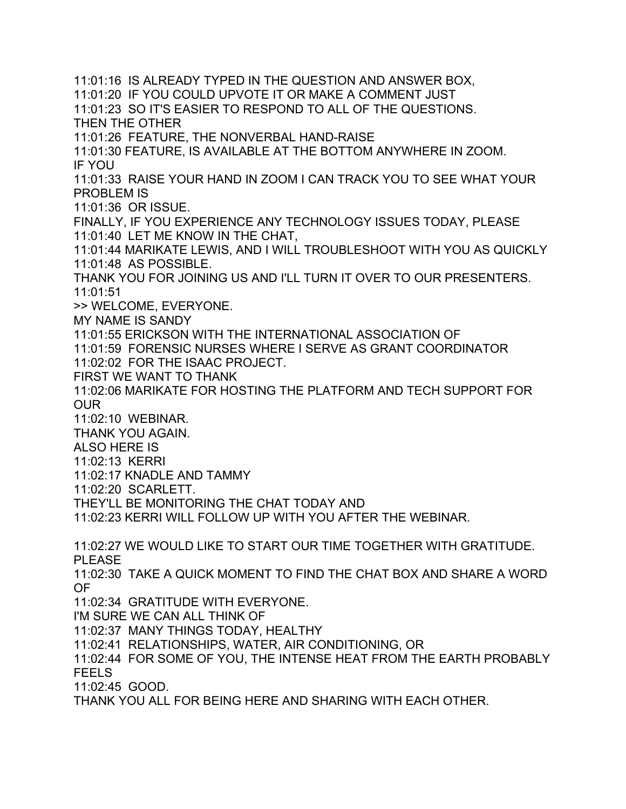11:01:16 IS ALREADY TYPED IN THE QUESTION AND ANSWER BOX, 11:01:20 IF YOU COULD UPVOTE IT OR MAKE A COMMENT JUST 11:01:23 SO IT'S EASIER TO RESPOND TO ALL OF THE QUESTIONS. THEN THE OTHER 11:01:26 FEATURE, THE NONVERBAL HAND-RAISE 11:01:30 FEATURE, IS AVAILABLE AT THE BOTTOM ANYWHERE IN ZOOM. IF YOU 11:01:33 RAISE YOUR HAND IN ZOOM I CAN TRACK YOU TO SEE WHAT YOUR PROBLEM IS 11:01:36 OR ISSUE. FINALLY, IF YOU EXPERIENCE ANY TECHNOLOGY ISSUES TODAY, PLEASE 11:01:40 LET ME KNOW IN THE CHAT, 11:01:44 MARIKATE LEWIS, AND I WILL TROUBLESHOOT WITH YOU AS QUICKLY 11:01:48 AS POSSIBLE. THANK YOU FOR JOINING US AND I'LL TURN IT OVER TO OUR PRESENTERS. 11:01:51 >> WELCOME, EVERYONE. MY NAME IS SANDY 11:01:55 ERICKSON WITH THE INTERNATIONAL ASSOCIATION OF 11:01:59 FORENSIC NURSES WHERE I SERVE AS GRANT COORDINATOR 11:02:02 FOR THE ISAAC PROJECT. FIRST WE WANT TO THANK 11:02:06 MARIKATE FOR HOSTING THE PLATFORM AND TECH SUPPORT FOR OUR 11:02:10 WEBINAR. THANK YOU AGAIN. ALSO HERE IS 11:02:13 KERRI 11:02:17 KNADLE AND TAMMY 11:02:20 SCARLETT. THEY'LL BE MONITORING THE CHAT TODAY AND 11:02:23 KERRI WILL FOLLOW UP WITH YOU AFTER THE WEBINAR. 11:02:27 WE WOULD LIKE TO START OUR TIME TOGETHER WITH GRATITUDE. PLEASE 11:02:30 TAKE A QUICK MOMENT TO FIND THE CHAT BOX AND SHARE A WORD OF 11:02:34 GRATITUDE WITH EVERYONE. I'M SURE WE CAN ALL THINK OF 11:02:37 MANY THINGS TODAY, HEALTHY 11:02:41 RELATIONSHIPS, WATER, AIR CONDITIONING, OR 11:02:44 FOR SOME OF YOU, THE INTENSE HEAT FROM THE EARTH PROBABLY FEELS 11:02:45 GOOD. THANK YOU ALL FOR BEING HERE AND SHARING WITH EACH OTHER.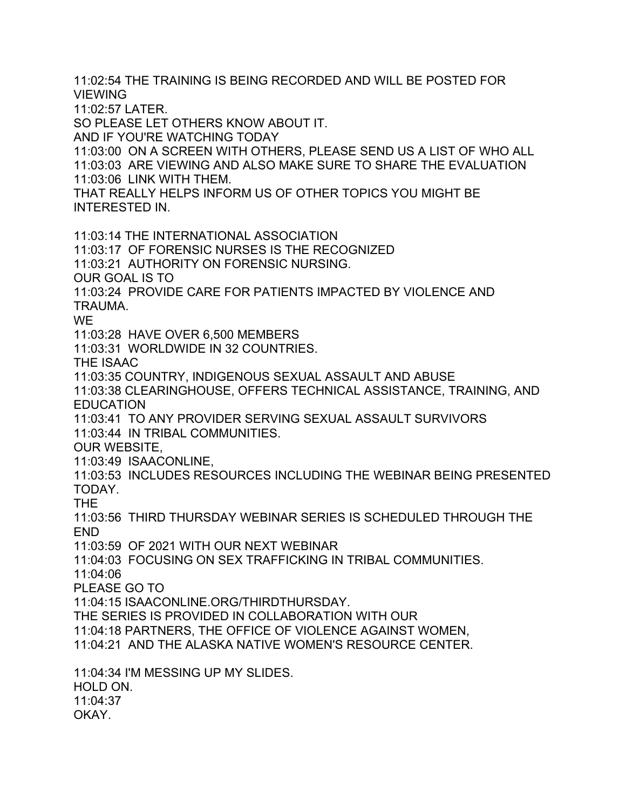11:02:54 THE TRAINING IS BEING RECORDED AND WILL BE POSTED FOR VIEWING

11:02:57 LATER.

SO PLEASE LET OTHERS KNOW ABOUT IT.

AND IF YOU'RE WATCHING TODAY

11:03:00 ON A SCREEN WITH OTHERS, PLEASE SEND US A LIST OF WHO ALL 11:03:03 ARE VIEWING AND ALSO MAKE SURE TO SHARE THE EVALUATION 11:03:06 LINK WITH THEM.

THAT REALLY HELPS INFORM US OF OTHER TOPICS YOU MIGHT BE INTERESTED IN.

11:03:14 THE INTERNATIONAL ASSOCIATION 11:03:17 OF FORENSIC NURSES IS THE RECOGNIZED 11:03:21 AUTHORITY ON FORENSIC NURSING. OUR GOAL IS TO 11:03:24 PROVIDE CARE FOR PATIENTS IMPACTED BY VIOLENCE AND TRAUMA. WE 11:03:28 HAVE OVER 6,500 MEMBERS 11:03:31 WORLDWIDE IN 32 COUNTRIES. THE ISAAC 11:03:35 COUNTRY, INDIGENOUS SEXUAL ASSAULT AND ABUSE 11:03:38 CLEARINGHOUSE, OFFERS TECHNICAL ASSISTANCE, TRAINING, AND EDUCATION 11:03:41 TO ANY PROVIDER SERVING SEXUAL ASSAULT SURVIVORS 11:03:44 IN TRIBAL COMMUNITIES. OUR WEBSITE, 11:03:49 ISAACONLINE, 11:03:53 INCLUDES RESOURCES INCLUDING THE WEBINAR BEING PRESENTED TODAY. THE 11:03:56 THIRD THURSDAY WEBINAR SERIES IS SCHEDULED THROUGH THE END 11:03:59 OF 2021 WITH OUR NEXT WEBINAR 11:04:03 FOCUSING ON SEX TRAFFICKING IN TRIBAL COMMUNITIES. 11:04:06 PLEASE GO TO 11:04:15 ISAACONLINE.ORG/THIRDTHURSDAY. THE SERIES IS PROVIDED IN COLLABORATION WITH OUR 11:04:18 PARTNERS, THE OFFICE OF VIOLENCE AGAINST WOMEN, 11:04:21 AND THE ALASKA NATIVE WOMEN'S RESOURCE CENTER. 11:04:34 I'M MESSING UP MY SLIDES. HOLD ON. 11:04:37 OKAY.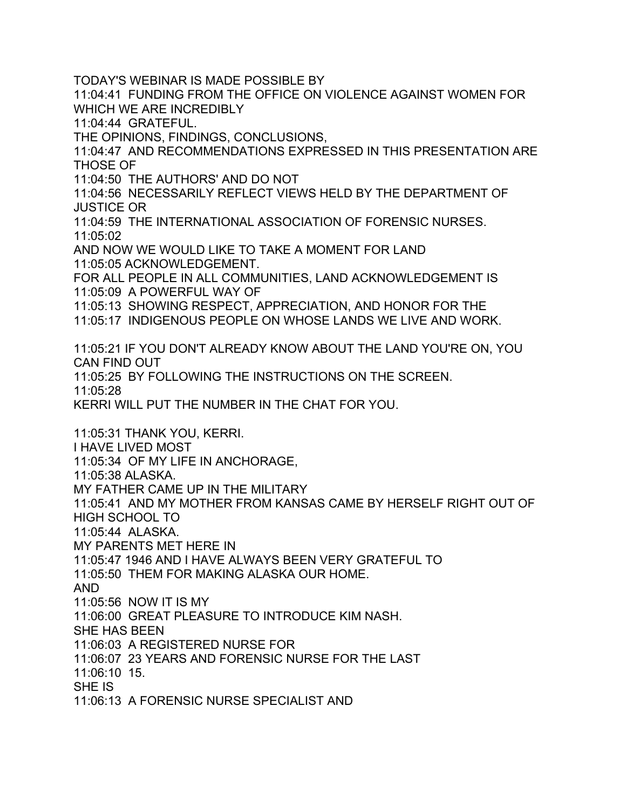TODAY'S WEBINAR IS MADE POSSIBLE BY

11:04:41 FUNDING FROM THE OFFICE ON VIOLENCE AGAINST WOMEN FOR WHICH WE ARE INCREDIBLY

11:04:44 GRATEFUL.

THE OPINIONS, FINDINGS, CONCLUSIONS,

11:04:47 AND RECOMMENDATIONS EXPRESSED IN THIS PRESENTATION ARE THOSE OF

11:04:50 THE AUTHORS' AND DO NOT

11:04:56 NECESSARILY REFLECT VIEWS HELD BY THE DEPARTMENT OF JUSTICE OR

11:04:59 THE INTERNATIONAL ASSOCIATION OF FORENSIC NURSES. 11:05:02

AND NOW WE WOULD LIKE TO TAKE A MOMENT FOR LAND 11:05:05 ACKNOWLEDGEMENT.

FOR ALL PEOPLE IN ALL COMMUNITIES, LAND ACKNOWLEDGEMENT IS 11:05:09 A POWERFUL WAY OF

11:05:13 SHOWING RESPECT, APPRECIATION, AND HONOR FOR THE

11:05:17 INDIGENOUS PEOPLE ON WHOSE LANDS WE LIVE AND WORK.

11:05:21 IF YOU DON'T ALREADY KNOW ABOUT THE LAND YOU'RE ON, YOU CAN FIND OUT

11:05:25 BY FOLLOWING THE INSTRUCTIONS ON THE SCREEN.

11:05:28

KERRI WILL PUT THE NUMBER IN THE CHAT FOR YOU.

11:05:31 THANK YOU, KERRI.

I HAVE LIVED MOST

11:05:34 OF MY LIFE IN ANCHORAGE,

11:05:38 ALASKA.

MY FATHER CAME UP IN THE MILITARY

11:05:41 AND MY MOTHER FROM KANSAS CAME BY HERSELF RIGHT OUT OF HIGH SCHOOL TO

11:05:44 ALASKA.

MY PARENTS MET HERE IN

11:05:47 1946 AND I HAVE ALWAYS BEEN VERY GRATEFUL TO

11:05:50 THEM FOR MAKING ALASKA OUR HOME.

AND

11:05:56 NOW IT IS MY

11:06:00 GREAT PLEASURE TO INTRODUCE KIM NASH.

SHE HAS BEEN

11:06:03 A REGISTERED NURSE FOR

11:06:07 23 YEARS AND FORENSIC NURSE FOR THE LAST

11:06:10 15.

SHE IS

11:06:13 A FORENSIC NURSE SPECIALIST AND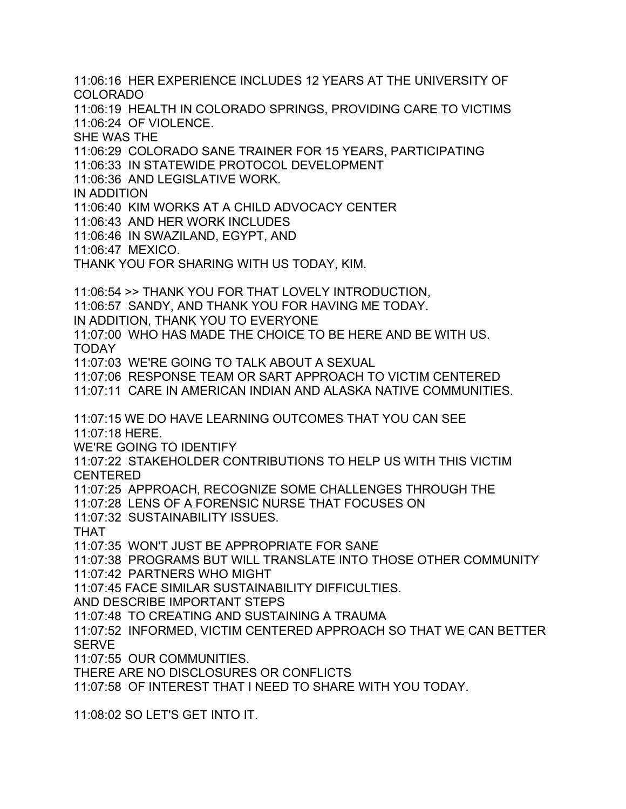11:06:16 HER EXPERIENCE INCLUDES 12 YEARS AT THE UNIVERSITY OF COLORADO 11:06:19 HEALTH IN COLORADO SPRINGS, PROVIDING CARE TO VICTIMS 11:06:24 OF VIOLENCE. SHE WAS THE 11:06:29 COLORADO SANE TRAINER FOR 15 YEARS, PARTICIPATING 11:06:33 IN STATEWIDE PROTOCOL DEVELOPMENT 11:06:36 AND LEGISLATIVE WORK. IN ADDITION 11:06:40 KIM WORKS AT A CHILD ADVOCACY CENTER 11:06:43 AND HER WORK INCLUDES 11:06:46 IN SWAZILAND, EGYPT, AND 11:06:47 MEXICO. THANK YOU FOR SHARING WITH US TODAY, KIM. 11:06:54 >> THANK YOU FOR THAT LOVELY INTRODUCTION, 11:06:57 SANDY, AND THANK YOU FOR HAVING ME TODAY. IN ADDITION, THANK YOU TO EVERYONE 11:07:00 WHO HAS MADE THE CHOICE TO BE HERE AND BE WITH US. TODAY 11:07:03 WE'RE GOING TO TALK ABOUT A SEXUAL 11:07:06 RESPONSE TEAM OR SART APPROACH TO VICTIM CENTERED 11:07:11 CARE IN AMERICAN INDIAN AND ALASKA NATIVE COMMUNITIES. 11:07:15 WE DO HAVE LEARNING OUTCOMES THAT YOU CAN SEE 11:07:18 HERE. WE'RE GOING TO IDENTIFY 11:07:22 STAKEHOLDER CONTRIBUTIONS TO HELP US WITH THIS VICTIM CENTERED 11:07:25 APPROACH, RECOGNIZE SOME CHALLENGES THROUGH THE 11:07:28 LENS OF A FORENSIC NURSE THAT FOCUSES ON 11:07:32 SUSTAINABILITY ISSUES. THAT 11:07:35 WON'T JUST BE APPROPRIATE FOR SANE 11:07:38 PROGRAMS BUT WILL TRANSLATE INTO THOSE OTHER COMMUNITY 11:07:42 PARTNERS WHO MIGHT 11:07:45 FACE SIMILAR SUSTAINABILITY DIFFICULTIES. AND DESCRIBE IMPORTANT STEPS 11:07:48 TO CREATING AND SUSTAINING A TRAUMA 11:07:52 INFORMED, VICTIM CENTERED APPROACH SO THAT WE CAN BETTER SERVE 11:07:55 OUR COMMUNITIES. THERE ARE NO DISCLOSURES OR CONFLICTS 11:07:58 OF INTEREST THAT I NEED TO SHARE WITH YOU TODAY. 11:08:02 SO LET'S GET INTO IT.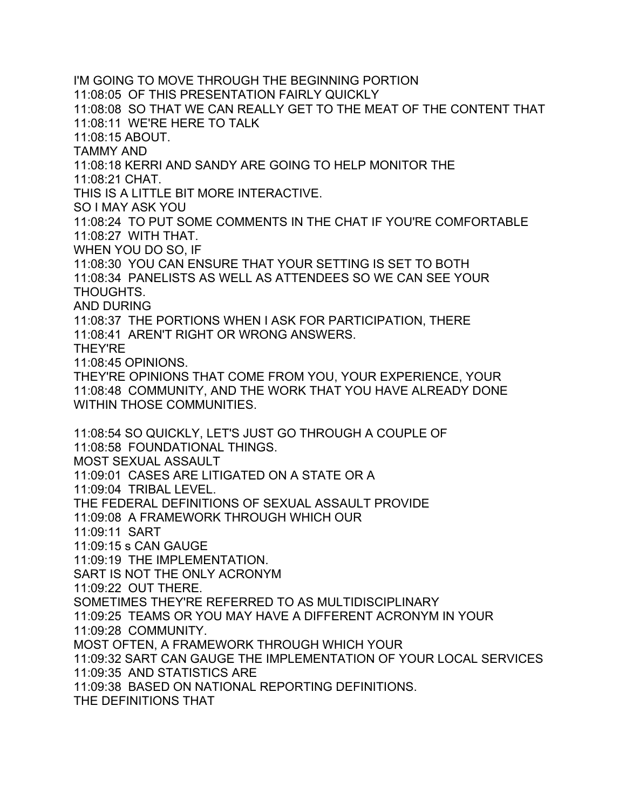I'M GOING TO MOVE THROUGH THE BEGINNING PORTION 11:08:05 OF THIS PRESENTATION FAIRLY QUICKLY 11:08:08 SO THAT WE CAN REALLY GET TO THE MEAT OF THE CONTENT THAT 11:08:11 WE'RE HERE TO TALK 11:08:15 ABOUT. TAMMY AND 11:08:18 KERRI AND SANDY ARE GOING TO HELP MONITOR THE 11:08:21 CHAT. THIS IS A LITTLE BIT MORE INTERACTIVE. SO I MAY ASK YOU 11:08:24 TO PUT SOME COMMENTS IN THE CHAT IF YOU'RE COMFORTABLE 11:08:27 WITH THAT. WHEN YOU DO SO, IF 11:08:30 YOU CAN ENSURE THAT YOUR SETTING IS SET TO BOTH 11:08:34 PANELISTS AS WELL AS ATTENDEES SO WE CAN SEE YOUR THOUGHTS. AND DURING 11:08:37 THE PORTIONS WHEN I ASK FOR PARTICIPATION, THERE 11:08:41 AREN'T RIGHT OR WRONG ANSWERS. THEY'RE 11:08:45 OPINIONS. THEY'RE OPINIONS THAT COME FROM YOU, YOUR EXPERIENCE, YOUR 11:08:48 COMMUNITY, AND THE WORK THAT YOU HAVE ALREADY DONE WITHIN THOSE COMMUNITIES. 11:08:54 SO QUICKLY, LET'S JUST GO THROUGH A COUPLE OF 11:08:58 FOUNDATIONAL THINGS. MOST SEXUAL ASSAULT 11:09:01 CASES ARE LITIGATED ON A STATE OR A 11:09:04 TRIBAL LEVEL. THE FEDERAL DEFINITIONS OF SEXUAL ASSAULT PROVIDE 11:09:08 A FRAMEWORK THROUGH WHICH OUR 11:09:11 SART 11:09:15 s CAN GAUGE 11:09:19 THE IMPLEMENTATION. SART IS NOT THE ONLY ACRONYM 11:09:22 OUT THERE. SOMETIMES THEY'RE REFERRED TO AS MULTIDISCIPLINARY 11:09:25 TEAMS OR YOU MAY HAVE A DIFFERENT ACRONYM IN YOUR 11:09:28 COMMUNITY. MOST OFTEN, A FRAMEWORK THROUGH WHICH YOUR 11:09:32 SART CAN GAUGE THE IMPLEMENTATION OF YOUR LOCAL SERVICES 11:09:35 AND STATISTICS ARE 11:09:38 BASED ON NATIONAL REPORTING DEFINITIONS. THE DEFINITIONS THAT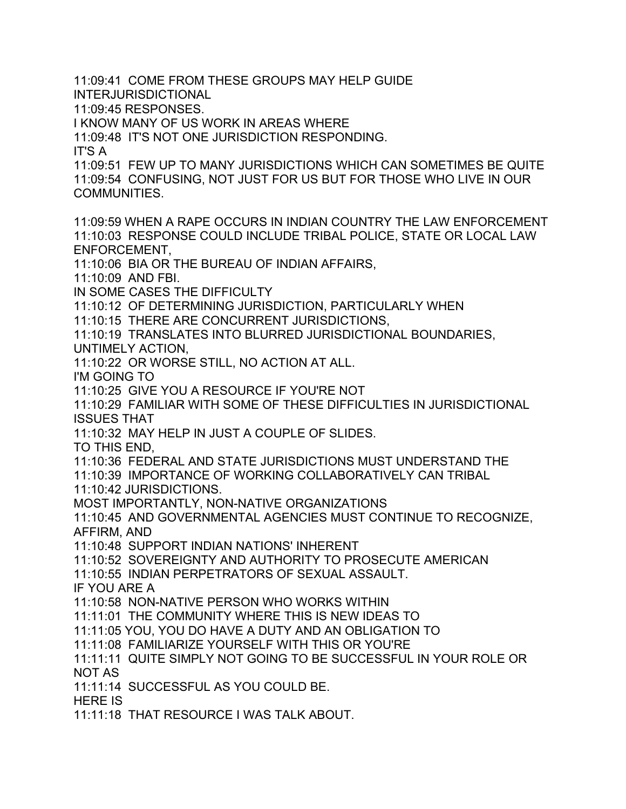11:09:41 COME FROM THESE GROUPS MAY HELP GUIDE INTERJURISDICTIONAL 11:09:45 RESPONSES. I KNOW MANY OF US WORK IN AREAS WHERE 11:09:48 IT'S NOT ONE JURISDICTION RESPONDING. IT'S A 11:09:51 FEW UP TO MANY JURISDICTIONS WHICH CAN SOMETIMES BE QUITE 11:09:54 CONFUSING, NOT JUST FOR US BUT FOR THOSE WHO LIVE IN OUR COMMUNITIES. 11:09:59 WHEN A RAPE OCCURS IN INDIAN COUNTRY THE LAW ENFORCEMENT 11:10:03 RESPONSE COULD INCLUDE TRIBAL POLICE, STATE OR LOCAL LAW ENFORCEMENT, 11:10:06 BIA OR THE BUREAU OF INDIAN AFFAIRS, 11:10:09 AND FBI. IN SOME CASES THE DIFFICULTY 11:10:12 OF DETERMINING JURISDICTION, PARTICULARLY WHEN 11:10:15 THERE ARE CONCURRENT JURISDICTIONS, 11:10:19 TRANSLATES INTO BLURRED JURISDICTIONAL BOUNDARIES, UNTIMELY ACTION, 11:10:22 OR WORSE STILL, NO ACTION AT ALL. I'M GOING TO 11:10:25 GIVE YOU A RESOURCE IF YOU'RE NOT 11:10:29 FAMILIAR WITH SOME OF THESE DIFFICULTIES IN JURISDICTIONAL ISSUES THAT 11:10:32 MAY HELP IN JUST A COUPLE OF SLIDES. TO THIS END, 11:10:36 FEDERAL AND STATE JURISDICTIONS MUST UNDERSTAND THE 11:10:39 IMPORTANCE OF WORKING COLLABORATIVELY CAN TRIBAL 11:10:42 JURISDICTIONS. MOST IMPORTANTLY, NON-NATIVE ORGANIZATIONS 11:10:45 AND GOVERNMENTAL AGENCIES MUST CONTINUE TO RECOGNIZE, AFFIRM, AND 11:10:48 SUPPORT INDIAN NATIONS' INHERENT 11:10:52 SOVEREIGNTY AND AUTHORITY TO PROSECUTE AMERICAN 11:10:55 INDIAN PERPETRATORS OF SEXUAL ASSAULT. IF YOU ARE A 11:10:58 NON-NATIVE PERSON WHO WORKS WITHIN 11:11:01 THE COMMUNITY WHERE THIS IS NEW IDEAS TO 11:11:05 YOU, YOU DO HAVE A DUTY AND AN OBLIGATION TO 11:11:08 FAMILIARIZE YOURSELF WITH THIS OR YOU'RE 11:11:11 QUITE SIMPLY NOT GOING TO BE SUCCESSFUL IN YOUR ROLE OR NOT AS 11:11:14 SUCCESSFUL AS YOU COULD BE. HERE IS 11:11:18 THAT RESOURCE I WAS TALK ABOUT.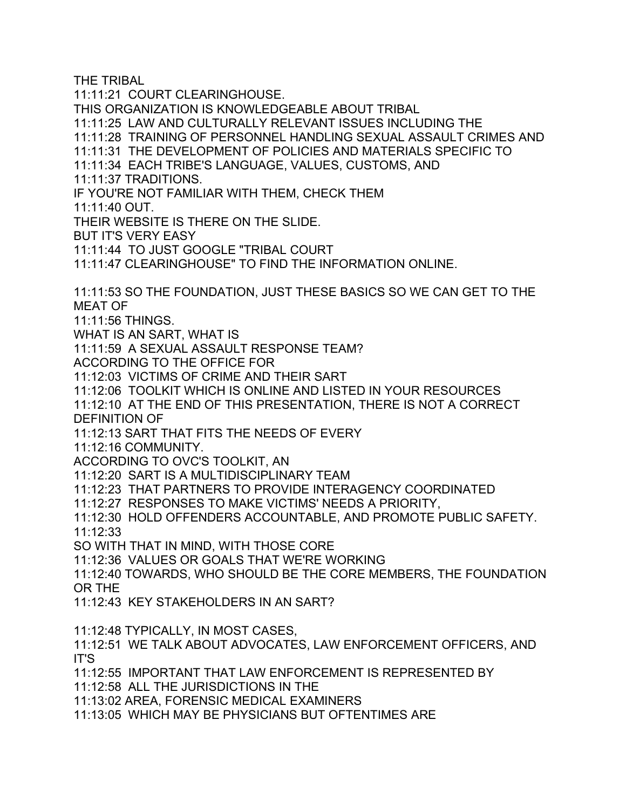THE TRIBAL

11:11:21 COURT CLEARINGHOUSE. THIS ORGANIZATION IS KNOWLEDGEABLE ABOUT TRIBAL 11:11:25 LAW AND CULTURALLY RELEVANT ISSUES INCLUDING THE 11:11:28 TRAINING OF PERSONNEL HANDLING SEXUAL ASSAULT CRIMES AND 11:11:31 THE DEVELOPMENT OF POLICIES AND MATERIALS SPECIFIC TO 11:11:34 EACH TRIBE'S LANGUAGE, VALUES, CUSTOMS, AND 11:11:37 TRADITIONS. IF YOU'RE NOT FAMILIAR WITH THEM, CHECK THEM 11:11:40 OUT. THEIR WEBSITE IS THERE ON THE SLIDE. BUT IT'S VERY EASY 11:11:44 TO JUST GOOGLE "TRIBAL COURT 11:11:47 CLEARINGHOUSE" TO FIND THE INFORMATION ONLINE. 11:11:53 SO THE FOUNDATION, JUST THESE BASICS SO WE CAN GET TO THE MEAT OF 11:11:56 THINGS. WHAT IS AN SART, WHAT IS 11:11:59 A SEXUAL ASSAULT RESPONSE TEAM? ACCORDING TO THE OFFICE FOR 11:12:03 VICTIMS OF CRIME AND THEIR SART 11:12:06 TOOLKIT WHICH IS ONLINE AND LISTED IN YOUR RESOURCES 11:12:10 AT THE END OF THIS PRESENTATION, THERE IS NOT A CORRECT DEFINITION OF 11:12:13 SART THAT FITS THE NEEDS OF EVERY 11:12:16 COMMUNITY. ACCORDING TO OVC'S TOOLKIT, AN 11:12:20 SART IS A MULTIDISCIPLINARY TEAM 11:12:23 THAT PARTNERS TO PROVIDE INTERAGENCY COORDINATED 11:12:27 RESPONSES TO MAKE VICTIMS' NEEDS A PRIORITY, 11:12:30 HOLD OFFENDERS ACCOUNTABLE, AND PROMOTE PUBLIC SAFETY. 11:12:33 SO WITH THAT IN MIND, WITH THOSE CORE 11:12:36 VALUES OR GOALS THAT WE'RE WORKING 11:12:40 TOWARDS, WHO SHOULD BE THE CORE MEMBERS, THE FOUNDATION OR THE 11:12:43 KEY STAKEHOLDERS IN AN SART? 11:12:48 TYPICALLY, IN MOST CASES, 11:12:51 WE TALK ABOUT ADVOCATES, LAW ENFORCEMENT OFFICERS, AND IT'S 11:12:55 IMPORTANT THAT LAW ENFORCEMENT IS REPRESENTED BY 11:12:58 ALL THE JURISDICTIONS IN THE 11:13:02 AREA, FORENSIC MEDICAL EXAMINERS 11:13:05 WHICH MAY BE PHYSICIANS BUT OFTENTIMES ARE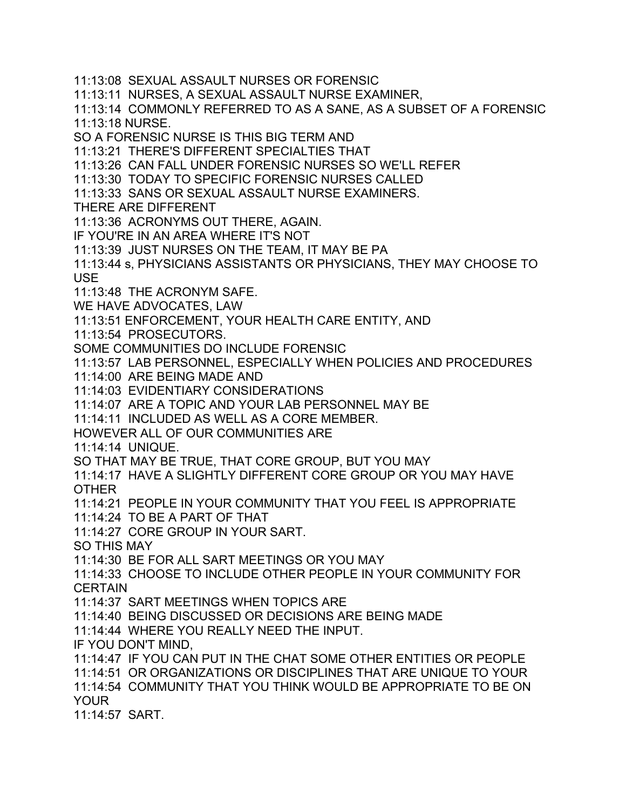11:13:08 SEXUAL ASSAULT NURSES OR FORENSIC 11:13:11 NURSES, A SEXUAL ASSAULT NURSE EXAMINER, 11:13:14 COMMONLY REFERRED TO AS A SANE, AS A SUBSET OF A FORENSIC 11:13:18 NURSE. SO A FORENSIC NURSE IS THIS BIG TERM AND 11:13:21 THERE'S DIFFERENT SPECIALTIES THAT 11:13:26 CAN FALL UNDER FORENSIC NURSES SO WE'LL REFER 11:13:30 TODAY TO SPECIFIC FORENSIC NURSES CALLED 11:13:33 SANS OR SEXUAL ASSAULT NURSE EXAMINERS. THERE ARE DIFFERENT 11:13:36 ACRONYMS OUT THERE, AGAIN. IF YOU'RE IN AN AREA WHERE IT'S NOT 11:13:39 JUST NURSES ON THE TEAM, IT MAY BE PA 11:13:44 s, PHYSICIANS ASSISTANTS OR PHYSICIANS, THEY MAY CHOOSE TO USE 11:13:48 THE ACRONYM SAFE. WE HAVE ADVOCATES, LAW 11:13:51 ENFORCEMENT, YOUR HEALTH CARE ENTITY, AND 11:13:54 PROSECUTORS. SOME COMMUNITIES DO INCLUDE FORENSIC 11:13:57 LAB PERSONNEL, ESPECIALLY WHEN POLICIES AND PROCEDURES 11:14:00 ARE BEING MADE AND 11:14:03 EVIDENTIARY CONSIDERATIONS 11:14:07 ARE A TOPIC AND YOUR LAB PERSONNEL MAY BE 11:14:11 INCLUDED AS WELL AS A CORE MEMBER. HOWEVER ALL OF OUR COMMUNITIES ARE 11:14:14 UNIQUE. SO THAT MAY BE TRUE, THAT CORE GROUP, BUT YOU MAY 11:14:17 HAVE A SLIGHTLY DIFFERENT CORE GROUP OR YOU MAY HAVE OTHER 11:14:21 PEOPLE IN YOUR COMMUNITY THAT YOU FEEL IS APPROPRIATE 11:14:24 TO BE A PART OF THAT 11:14:27 CORE GROUP IN YOUR SART. SO THIS MAY 11:14:30 BE FOR ALL SART MEETINGS OR YOU MAY 11:14:33 CHOOSE TO INCLUDE OTHER PEOPLE IN YOUR COMMUNITY FOR **CERTAIN** 11:14:37 SART MEETINGS WHEN TOPICS ARE 11:14:40 BEING DISCUSSED OR DECISIONS ARE BEING MADE 11:14:44 WHERE YOU REALLY NEED THE INPUT. IF YOU DON'T MIND, 11:14:47 IF YOU CAN PUT IN THE CHAT SOME OTHER ENTITIES OR PEOPLE 11:14:51 OR ORGANIZATIONS OR DISCIPLINES THAT ARE UNIQUE TO YOUR 11:14:54 COMMUNITY THAT YOU THINK WOULD BE APPROPRIATE TO BE ON YOUR 11:14:57 SART.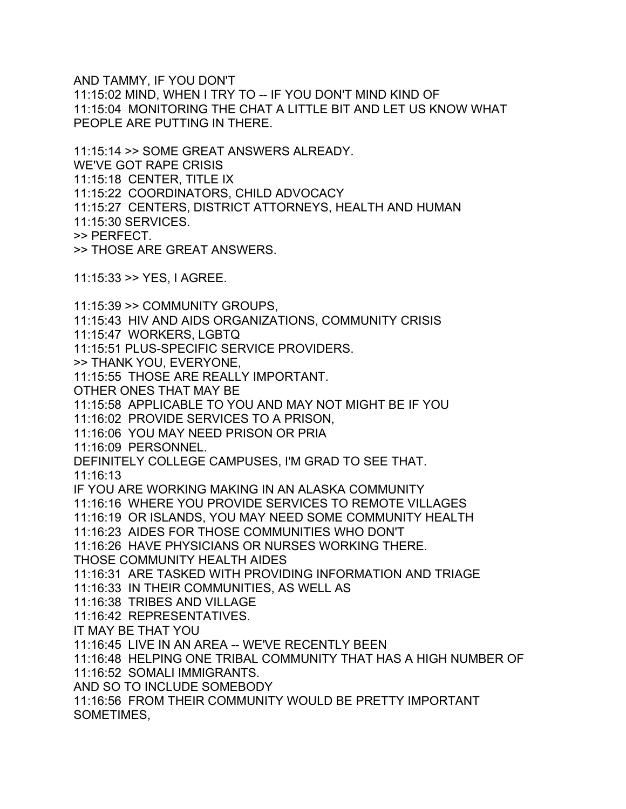AND TAMMY, IF YOU DON'T

11:15:02 MIND, WHEN I TRY TO -- IF YOU DON'T MIND KIND OF 11:15:04 MONITORING THE CHAT A LITTLE BIT AND LET US KNOW WHAT PEOPLE ARE PUTTING IN THERE.

11:15:14 >> SOME GREAT ANSWERS ALREADY. WE'VE GOT RAPE CRISIS 11:15:18 CENTER, TITLE IX 11:15:22 COORDINATORS, CHILD ADVOCACY 11:15:27 CENTERS, DISTRICT ATTORNEYS, HEALTH AND HUMAN 11:15:30 SERVICES. >> PERFECT. >> THOSE ARE GREAT ANSWERS.

11:15:33 >> YES, I AGREE.

11:15:39 >> COMMUNITY GROUPS, 11:15:43 HIV AND AIDS ORGANIZATIONS, COMMUNITY CRISIS 11:15:47 WORKERS, LGBTQ 11:15:51 PLUS-SPECIFIC SERVICE PROVIDERS. >> THANK YOU, EVERYONE, 11:15:55 THOSE ARE REALLY IMPORTANT. OTHER ONES THAT MAY BE 11:15:58 APPLICABLE TO YOU AND MAY NOT MIGHT BE IF YOU 11:16:02 PROVIDE SERVICES TO A PRISON, 11:16:06 YOU MAY NEED PRISON OR PRIA 11:16:09 PERSONNEL. DEFINITELY COLLEGE CAMPUSES, I'M GRAD TO SEE THAT. 11:16:13 IF YOU ARE WORKING MAKING IN AN ALASKA COMMUNITY 11:16:16 WHERE YOU PROVIDE SERVICES TO REMOTE VILLAGES 11:16:19 OR ISLANDS, YOU MAY NEED SOME COMMUNITY HEALTH 11:16:23 AIDES FOR THOSE COMMUNITIES WHO DON'T 11:16:26 HAVE PHYSICIANS OR NURSES WORKING THERE. THOSE COMMUNITY HEALTH AIDES 11:16:31 ARE TASKED WITH PROVIDING INFORMATION AND TRIAGE 11:16:33 IN THEIR COMMUNITIES, AS WELL AS 11:16:38 TRIBES AND VILLAGE 11:16:42 REPRESENTATIVES. IT MAY BE THAT YOU 11:16:45 LIVE IN AN AREA -- WE'VE RECENTLY BEEN 11:16:48 HELPING ONE TRIBAL COMMUNITY THAT HAS A HIGH NUMBER OF 11:16:52 SOMALI IMMIGRANTS. AND SO TO INCLUDE SOMEBODY 11:16:56 FROM THEIR COMMUNITY WOULD BE PRETTY IMPORTANT SOMETIMES,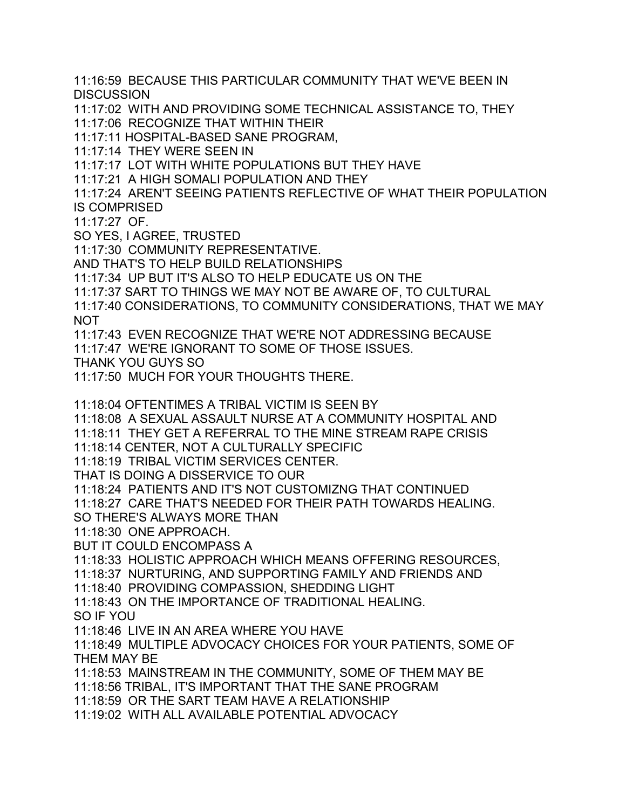11:16:59 BECAUSE THIS PARTICULAR COMMUNITY THAT WE'VE BEEN IN **DISCUSSION** 11:17:02 WITH AND PROVIDING SOME TECHNICAL ASSISTANCE TO, THEY 11:17:06 RECOGNIZE THAT WITHIN THEIR 11:17:11 HOSPITAL-BASED SANE PROGRAM, 11:17:14 THEY WERE SEEN IN 11:17:17 LOT WITH WHITE POPULATIONS BUT THEY HAVE 11:17:21 A HIGH SOMALI POPULATION AND THEY 11:17:24 AREN'T SEEING PATIENTS REFLECTIVE OF WHAT THEIR POPULATION IS COMPRISED 11:17:27 OF. SO YES, I AGREE, TRUSTED 11:17:30 COMMUNITY REPRESENTATIVE. AND THAT'S TO HELP BUILD RELATIONSHIPS 11:17:34 UP BUT IT'S ALSO TO HELP EDUCATE US ON THE 11:17:37 SART TO THINGS WE MAY NOT BE AWARE OF, TO CULTURAL 11:17:40 CONSIDERATIONS, TO COMMUNITY CONSIDERATIONS, THAT WE MAY NOT 11:17:43 EVEN RECOGNIZE THAT WE'RE NOT ADDRESSING BECAUSE 11:17:47 WE'RE IGNORANT TO SOME OF THOSE ISSUES. THANK YOU GUYS SO 11:17:50 MUCH FOR YOUR THOUGHTS THERE. 11:18:04 OFTENTIMES A TRIBAL VICTIM IS SEEN BY 11:18:08 A SEXUAL ASSAULT NURSE AT A COMMUNITY HOSPITAL AND 11:18:11 THEY GET A REFERRAL TO THE MINE STREAM RAPE CRISIS 11:18:14 CENTER, NOT A CULTURALLY SPECIFIC 11:18:19 TRIBAL VICTIM SERVICES CENTER. THAT IS DOING A DISSERVICE TO OUR 11:18:24 PATIENTS AND IT'S NOT CUSTOMIZNG THAT CONTINUED 11:18:27 CARE THAT'S NEEDED FOR THEIR PATH TOWARDS HEALING. SO THERE'S ALWAYS MORE THAN 11:18:30 ONE APPROACH. BUT IT COULD ENCOMPASS A 11:18:33 HOLISTIC APPROACH WHICH MEANS OFFERING RESOURCES, 11:18:37 NURTURING, AND SUPPORTING FAMILY AND FRIENDS AND 11:18:40 PROVIDING COMPASSION, SHEDDING LIGHT 11:18:43 ON THE IMPORTANCE OF TRADITIONAL HEALING. SO IF YOU 11:18:46 LIVE IN AN AREA WHERE YOU HAVE 11:18:49 MULTIPLE ADVOCACY CHOICES FOR YOUR PATIENTS, SOME OF THEM MAY BE 11:18:53 MAINSTREAM IN THE COMMUNITY, SOME OF THEM MAY BE 11:18:56 TRIBAL, IT'S IMPORTANT THAT THE SANE PROGRAM 11:18:59 OR THE SART TEAM HAVE A RELATIONSHIP 11:19:02 WITH ALL AVAILABLE POTENTIAL ADVOCACY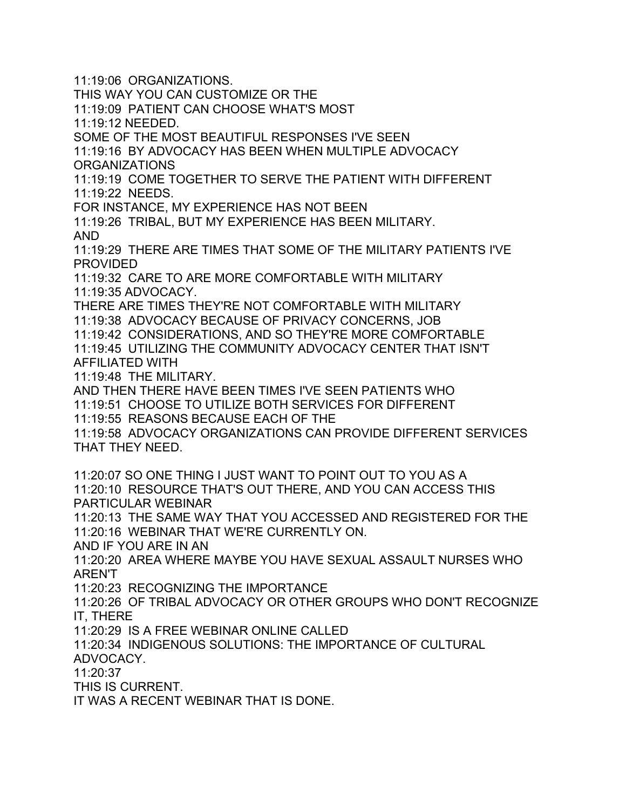11:19:06 ORGANIZATIONS. THIS WAY YOU CAN CUSTOMIZE OR THE 11:19:09 PATIENT CAN CHOOSE WHAT'S MOST 11:19:12 NEEDED. SOME OF THE MOST BEAUTIFUL RESPONSES I'VE SEEN 11:19:16 BY ADVOCACY HAS BEEN WHEN MULTIPLE ADVOCACY ORGANIZATIONS 11:19:19 COME TOGETHER TO SERVE THE PATIENT WITH DIFFERENT 11:19:22 NEEDS. FOR INSTANCE, MY EXPERIENCE HAS NOT BEEN 11:19:26 TRIBAL, BUT MY EXPERIENCE HAS BEEN MILITARY. AND 11:19:29 THERE ARE TIMES THAT SOME OF THE MILITARY PATIENTS I'VE PROVIDED 11:19:32 CARE TO ARE MORE COMFORTABLE WITH MILITARY 11:19:35 ADVOCACY. THERE ARE TIMES THEY'RE NOT COMFORTABLE WITH MILITARY 11:19:38 ADVOCACY BECAUSE OF PRIVACY CONCERNS, JOB 11:19:42 CONSIDERATIONS, AND SO THEY'RE MORE COMFORTABLE 11:19:45 UTILIZING THE COMMUNITY ADVOCACY CENTER THAT ISN'T AFFILIATED WITH 11:19:48 THE MILITARY. AND THEN THERE HAVE BEEN TIMES I'VE SEEN PATIENTS WHO 11:19:51 CHOOSE TO UTILIZE BOTH SERVICES FOR DIFFERENT 11:19:55 REASONS BECAUSE EACH OF THE 11:19:58 ADVOCACY ORGANIZATIONS CAN PROVIDE DIFFERENT SERVICES THAT THEY NEED. 11:20:07 SO ONE THING I JUST WANT TO POINT OUT TO YOU AS A 11:20:10 RESOURCE THAT'S OUT THERE, AND YOU CAN ACCESS THIS PARTICULAR WEBINAR 11:20:13 THE SAME WAY THAT YOU ACCESSED AND REGISTERED FOR THE 11:20:16 WEBINAR THAT WE'RE CURRENTLY ON. AND IF YOU ARE IN AN 11:20:20 AREA WHERE MAYBE YOU HAVE SEXUAL ASSAULT NURSES WHO AREN'T 11:20:23 RECOGNIZING THE IMPORTANCE 11:20:26 OF TRIBAL ADVOCACY OR OTHER GROUPS WHO DON'T RECOGNIZE IT, THERE 11:20:29 IS A FREE WEBINAR ONLINE CALLED 11:20:34 INDIGENOUS SOLUTIONS: THE IMPORTANCE OF CULTURAL ADVOCACY. 11:20:37 THIS IS CURRENT. IT WAS A RECENT WEBINAR THAT IS DONE.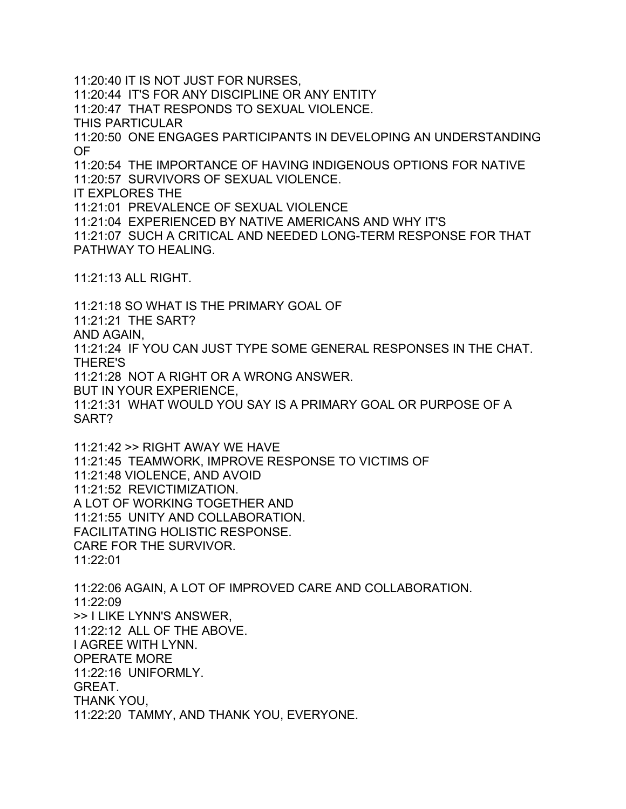11:20:40 IT IS NOT JUST FOR NURSES, 11:20:44 IT'S FOR ANY DISCIPLINE OR ANY ENTITY 11:20:47 THAT RESPONDS TO SEXUAL VIOLENCE. THIS PARTICULAR 11:20:50 ONE ENGAGES PARTICIPANTS IN DEVELOPING AN UNDERSTANDING OF 11:20:54 THE IMPORTANCE OF HAVING INDIGENOUS OPTIONS FOR NATIVE 11:20:57 SURVIVORS OF SEXUAL VIOLENCE. IT EXPLORES THE 11:21:01 PREVALENCE OF SEXUAL VIOLENCE 11:21:04 EXPERIENCED BY NATIVE AMERICANS AND WHY IT'S 11:21:07 SUCH A CRITICAL AND NEEDED LONG-TERM RESPONSE FOR THAT PATHWAY TO HEALING.

11:21:13 ALL RIGHT.

11:21:18 SO WHAT IS THE PRIMARY GOAL OF 11:21:21 THE SART? AND AGAIN, 11:21:24 IF YOU CAN JUST TYPE SOME GENERAL RESPONSES IN THE CHAT. THERE'S 11:21:28 NOT A RIGHT OR A WRONG ANSWER. BUT IN YOUR EXPERIENCE, 11:21:31 WHAT WOULD YOU SAY IS A PRIMARY GOAL OR PURPOSE OF A SART?

11:21:42 >> RIGHT AWAY WE HAVE 11:21:45 TEAMWORK, IMPROVE RESPONSE TO VICTIMS OF 11:21:48 VIOLENCE, AND AVOID 11:21:52 REVICTIMIZATION. A LOT OF WORKING TOGETHER AND 11:21:55 UNITY AND COLLABORATION. FACILITATING HOLISTIC RESPONSE. CARE FOR THE SURVIVOR. 11:22:01

11:22:06 AGAIN, A LOT OF IMPROVED CARE AND COLLABORATION. 11:22:09 >> I LIKE LYNN'S ANSWER, 11:22:12 ALL OF THE ABOVE. I AGREE WITH LYNN. OPERATE MORE 11:22:16 UNIFORMLY. GREAT. THANK YOU, 11:22:20 TAMMY, AND THANK YOU, EVERYONE.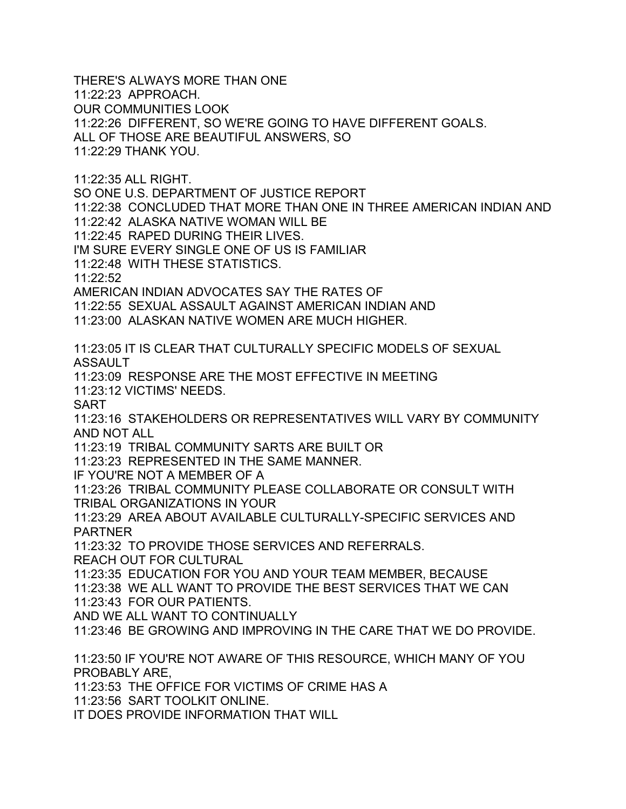THERE'S ALWAYS MORE THAN ONE 11:22:23 APPROACH. OUR COMMUNITIES LOOK 11:22:26 DIFFERENT, SO WE'RE GOING TO HAVE DIFFERENT GOALS. ALL OF THOSE ARE BEAUTIFUL ANSWERS, SO 11:22:29 THANK YOU. 11:22:35 ALL RIGHT. SO ONE U.S. DEPARTMENT OF JUSTICE REPORT 11:22:38 CONCLUDED THAT MORE THAN ONE IN THREE AMERICAN INDIAN AND 11:22:42 ALASKA NATIVE WOMAN WILL BE 11:22:45 RAPED DURING THEIR LIVES. I'M SURE EVERY SINGLE ONE OF US IS FAMILIAR 11:22:48 WITH THESE STATISTICS. 11:22:52 AMERICAN INDIAN ADVOCATES SAY THE RATES OF 11:22:55 SEXUAL ASSAULT AGAINST AMERICAN INDIAN AND 11:23:00 ALASKAN NATIVE WOMEN ARE MUCH HIGHER. 11:23:05 IT IS CLEAR THAT CULTURALLY SPECIFIC MODELS OF SEXUAL ASSAULT 11:23:09 RESPONSE ARE THE MOST EFFECTIVE IN MEETING 11:23:12 VICTIMS' NEEDS. SART 11:23:16 STAKEHOLDERS OR REPRESENTATIVES WILL VARY BY COMMUNITY AND NOT ALL 11:23:19 TRIBAL COMMUNITY SARTS ARE BUILT OR 11:23:23 REPRESENTED IN THE SAME MANNER. IF YOU'RE NOT A MEMBER OF A 11:23:26 TRIBAL COMMUNITY PLEASE COLLABORATE OR CONSULT WITH TRIBAL ORGANIZATIONS IN YOUR 11:23:29 AREA ABOUT AVAILABLE CULTURALLY-SPECIFIC SERVICES AND PARTNER 11:23:32 TO PROVIDE THOSE SERVICES AND REFERRALS. REACH OUT FOR CULTURAL 11:23:35 EDUCATION FOR YOU AND YOUR TEAM MEMBER, BECAUSE 11:23:38 WE ALL WANT TO PROVIDE THE BEST SERVICES THAT WE CAN 11:23:43 FOR OUR PATIENTS. AND WE ALL WANT TO CONTINUALLY 11:23:46 BE GROWING AND IMPROVING IN THE CARE THAT WE DO PROVIDE. 11:23:50 IF YOU'RE NOT AWARE OF THIS RESOURCE, WHICH MANY OF YOU PROBABLY ARE, 11:23:53 THE OFFICE FOR VICTIMS OF CRIME HAS A 11:23:56 SART TOOLKIT ONLINE. IT DOES PROVIDE INFORMATION THAT WILL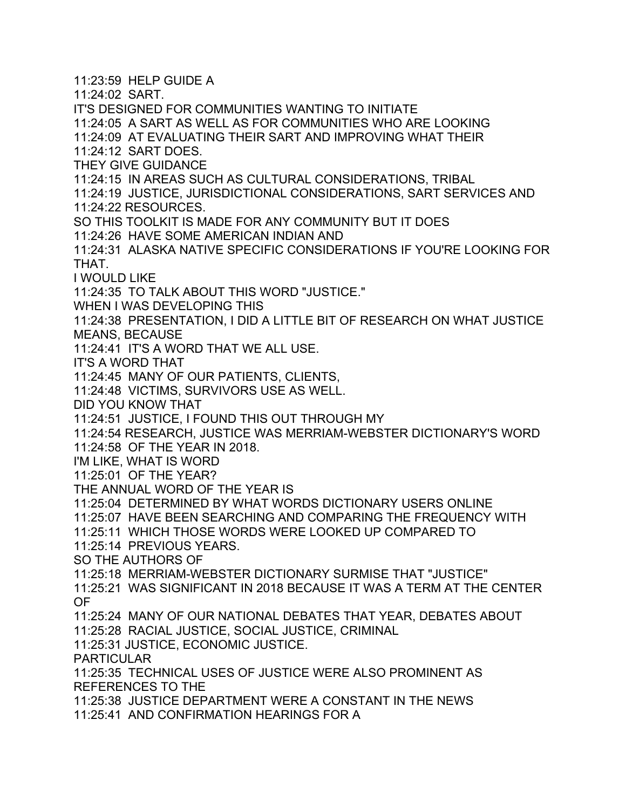11:23:59 HELP GUIDE A 11:24:02 SART. IT'S DESIGNED FOR COMMUNITIES WANTING TO INITIATE 11:24:05 A SART AS WELL AS FOR COMMUNITIES WHO ARE LOOKING 11:24:09 AT EVALUATING THEIR SART AND IMPROVING WHAT THEIR 11:24:12 SART DOES. THEY GIVE GUIDANCE 11:24:15 IN AREAS SUCH AS CULTURAL CONSIDERATIONS, TRIBAL 11:24:19 JUSTICE, JURISDICTIONAL CONSIDERATIONS, SART SERVICES AND 11:24:22 RESOURCES. SO THIS TOOLKIT IS MADE FOR ANY COMMUNITY BUT IT DOES 11:24:26 HAVE SOME AMERICAN INDIAN AND 11:24:31 ALASKA NATIVE SPECIFIC CONSIDERATIONS IF YOU'RE LOOKING FOR THAT. I WOULD LIKE 11:24:35 TO TALK ABOUT THIS WORD "JUSTICE." WHEN I WAS DEVELOPING THIS 11:24:38 PRESENTATION, I DID A LITTLE BIT OF RESEARCH ON WHAT JUSTICE MEANS, BECAUSE 11:24:41 IT'S A WORD THAT WE ALL USE. IT'S A WORD THAT 11:24:45 MANY OF OUR PATIENTS, CLIENTS, 11:24:48 VICTIMS, SURVIVORS USE AS WELL. DID YOU KNOW THAT 11:24:51 JUSTICE, I FOUND THIS OUT THROUGH MY 11:24:54 RESEARCH, JUSTICE WAS MERRIAM-WEBSTER DICTIONARY'S WORD 11:24:58 OF THE YEAR IN 2018. I'M LIKE, WHAT IS WORD 11:25:01 OF THE YEAR? THE ANNUAL WORD OF THE YEAR IS 11:25:04 DETERMINED BY WHAT WORDS DICTIONARY USERS ONLINE 11:25:07 HAVE BEEN SEARCHING AND COMPARING THE FREQUENCY WITH 11:25:11 WHICH THOSE WORDS WERE LOOKED UP COMPARED TO 11:25:14 PREVIOUS YEARS. SO THE AUTHORS OF 11:25:18 MERRIAM-WEBSTER DICTIONARY SURMISE THAT "JUSTICE" 11:25:21 WAS SIGNIFICANT IN 2018 BECAUSE IT WAS A TERM AT THE CENTER OF 11:25:24 MANY OF OUR NATIONAL DEBATES THAT YEAR, DEBATES ABOUT 11:25:28 RACIAL JUSTICE, SOCIAL JUSTICE, CRIMINAL 11:25:31 JUSTICE, ECONOMIC JUSTICE. PARTICULAR 11:25:35 TECHNICAL USES OF JUSTICE WERE ALSO PROMINENT AS REFERENCES TO THE 11:25:38 JUSTICE DEPARTMENT WERE A CONSTANT IN THE NEWS 11:25:41 AND CONFIRMATION HEARINGS FOR A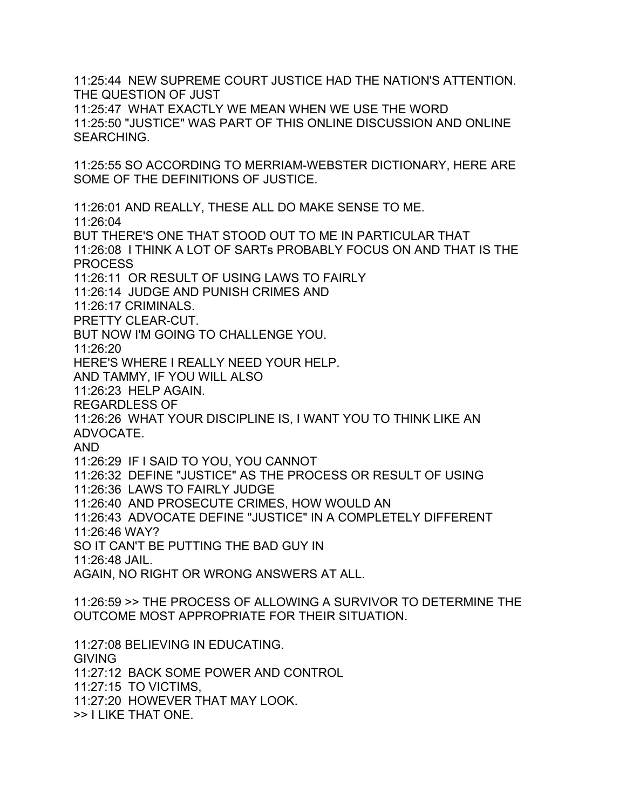11:25:44 NEW SUPREME COURT JUSTICE HAD THE NATION'S ATTENTION. THE QUESTION OF JUST 11:25:47 WHAT EXACTLY WE MEAN WHEN WE USE THE WORD 11:25:50 "JUSTICE" WAS PART OF THIS ONLINE DISCUSSION AND ONLINE SEARCHING.

11:25:55 SO ACCORDING TO MERRIAM-WEBSTER DICTIONARY, HERE ARE SOME OF THE DEFINITIONS OF JUSTICE.

11:26:01 AND REALLY, THESE ALL DO MAKE SENSE TO ME. 11:26:04 BUT THERE'S ONE THAT STOOD OUT TO ME IN PARTICULAR THAT 11:26:08 I THINK A LOT OF SARTs PROBABLY FOCUS ON AND THAT IS THE PROCESS 11:26:11 OR RESULT OF USING LAWS TO FAIRLY 11:26:14 JUDGE AND PUNISH CRIMES AND 11:26:17 CRIMINALS. PRETTY CLEAR-CUT. BUT NOW I'M GOING TO CHALLENGE YOU. 11:26:20 HERE'S WHERE I REALLY NEED YOUR HELP. AND TAMMY, IF YOU WILL ALSO 11:26:23 HELP AGAIN. REGARDLESS OF 11:26:26 WHAT YOUR DISCIPLINE IS, I WANT YOU TO THINK LIKE AN ADVOCATE. AND 11:26:29 IF I SAID TO YOU, YOU CANNOT 11:26:32 DEFINE "JUSTICE" AS THE PROCESS OR RESULT OF USING 11:26:36 LAWS TO FAIRLY JUDGE 11:26:40 AND PROSECUTE CRIMES, HOW WOULD AN 11:26:43 ADVOCATE DEFINE "JUSTICE" IN A COMPLETELY DIFFERENT 11:26:46 WAY? SO IT CAN'T BE PUTTING THE BAD GUY IN 11:26:48 JAIL. AGAIN, NO RIGHT OR WRONG ANSWERS AT ALL. 11:26:59 >> THE PROCESS OF ALLOWING A SURVIVOR TO DETERMINE THE OUTCOME MOST APPROPRIATE FOR THEIR SITUATION. 11:27:08 BELIEVING IN EDUCATING. GIVING 11:27:12 BACK SOME POWER AND CONTROL 11:27:15 TO VICTIMS,

11:27:20 HOWEVER THAT MAY LOOK.

>> I LIKE THAT ONE.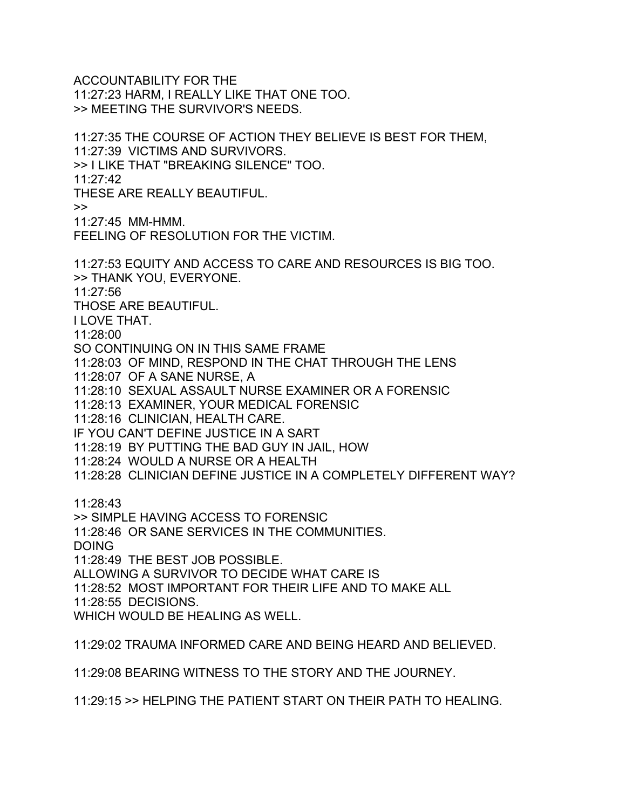ACCOUNTABILITY FOR THE 11:27:23 HARM, I REALLY LIKE THAT ONE TOO. >> MEETING THE SURVIVOR'S NEEDS.

11:27:35 THE COURSE OF ACTION THEY BELIEVE IS BEST FOR THEM, 11:27:39 VICTIMS AND SURVIVORS. >> I LIKE THAT "BREAKING SILENCE" TOO. 11:27:42 THESE ARE REALLY BEAUTIFUL.  $\gt$ 11:27:45 MM-HMM. FEELING OF RESOLUTION FOR THE VICTIM. 11:27:53 EQUITY AND ACCESS TO CARE AND RESOURCES IS BIG TOO. >> THANK YOU, EVERYONE. 11:27:56

THOSE ARE BEAUTIFUL.

I LOVE THAT.

11:28:00

SO CONTINUING ON IN THIS SAME FRAME

11:28:03 OF MIND, RESPOND IN THE CHAT THROUGH THE LENS

11:28:07 OF A SANE NURSE, A

11:28:10 SEXUAL ASSAULT NURSE EXAMINER OR A FORENSIC

11:28:13 EXAMINER, YOUR MEDICAL FORENSIC

11:28:16 CLINICIAN, HEALTH CARE.

IF YOU CAN'T DEFINE JUSTICE IN A SART

11:28:19 BY PUTTING THE BAD GUY IN JAIL, HOW

11:28:24 WOULD A NURSE OR A HEALTH

11:28:28 CLINICIAN DEFINE JUSTICE IN A COMPLETELY DIFFERENT WAY?

11:28:43

>> SIMPLE HAVING ACCESS TO FORENSIC

11:28:46 OR SANE SERVICES IN THE COMMUNITIES.

DOING

11:28:49 THE BEST JOB POSSIBLE.

ALLOWING A SURVIVOR TO DECIDE WHAT CARE IS

11:28:52 MOST IMPORTANT FOR THEIR LIFE AND TO MAKE ALL

11:28:55 DECISIONS.

WHICH WOULD BE HEALING AS WELL.

11:29:02 TRAUMA INFORMED CARE AND BEING HEARD AND BELIEVED.

11:29:08 BEARING WITNESS TO THE STORY AND THE JOURNEY.

11:29:15 >> HELPING THE PATIENT START ON THEIR PATH TO HEALING.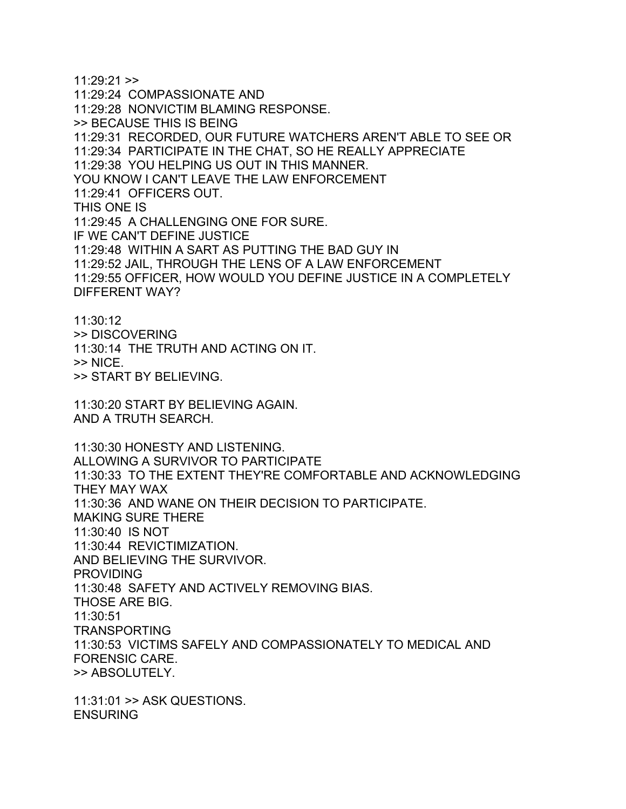$11:29:21$  >> 11:29:24 COMPASSIONATE AND 11:29:28 NONVICTIM BLAMING RESPONSE. >> BECAUSE THIS IS BEING 11:29:31 RECORDED, OUR FUTURE WATCHERS AREN'T ABLE TO SEE OR 11:29:34 PARTICIPATE IN THE CHAT, SO HE REALLY APPRECIATE 11:29:38 YOU HELPING US OUT IN THIS MANNER. YOU KNOW I CAN'T LEAVE THE LAW ENFORCEMENT 11:29:41 OFFICERS OUT. THIS ONE IS 11:29:45 A CHALLENGING ONE FOR SURE. IF WE CAN'T DEFINE JUSTICE 11:29:48 WITHIN A SART AS PUTTING THE BAD GUY IN 11:29:52 JAIL, THROUGH THE LENS OF A LAW ENFORCEMENT 11:29:55 OFFICER, HOW WOULD YOU DEFINE JUSTICE IN A COMPLETELY DIFFERENT WAY?

11:30:12 >> DISCOVERING 11:30:14 THE TRUTH AND ACTING ON IT.  $>>$  NICE. >> START BY BELIEVING.

11:30:20 START BY BELIEVING AGAIN. AND A TRUTH SEARCH.

11:30:30 HONESTY AND LISTENING. ALLOWING A SURVIVOR TO PARTICIPATE 11:30:33 TO THE EXTENT THEY'RE COMFORTABLE AND ACKNOWLEDGING THEY MAY WAX 11:30:36 AND WANE ON THEIR DECISION TO PARTICIPATE. MAKING SURE THERE 11:30:40 IS NOT 11:30:44 REVICTIMIZATION. AND BELIEVING THE SURVIVOR. PROVIDING 11:30:48 SAFETY AND ACTIVELY REMOVING BIAS. THOSE ARE BIG. 11:30:51 TRANSPORTING 11:30:53 VICTIMS SAFELY AND COMPASSIONATELY TO MEDICAL AND FORENSIC CARE. >> ABSOLUTELY.

11:31:01 >> ASK QUESTIONS. **ENSURING**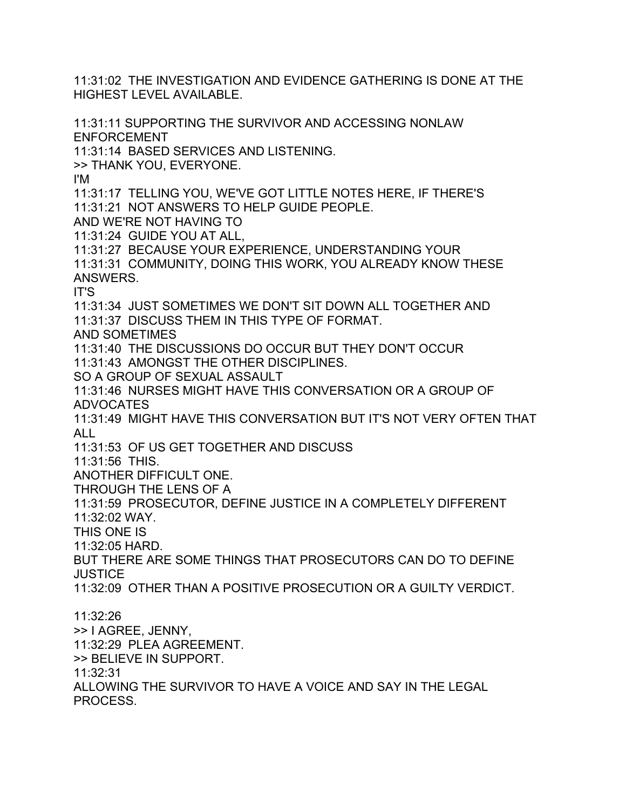11:31:02 THE INVESTIGATION AND EVIDENCE GATHERING IS DONE AT THE HIGHEST LEVEL AVAILABLE.

11:31:11 SUPPORTING THE SURVIVOR AND ACCESSING NONLAW ENFORCEMENT 11:31:14 BASED SERVICES AND LISTENING. >> THANK YOU, EVERYONE. I'M 11:31:17 TELLING YOU, WE'VE GOT LITTLE NOTES HERE, IF THERE'S 11:31:21 NOT ANSWERS TO HELP GUIDE PEOPLE. AND WE'RE NOT HAVING TO 11:31:24 GUIDE YOU AT ALL, 11:31:27 BECAUSE YOUR EXPERIENCE, UNDERSTANDING YOUR 11:31:31 COMMUNITY, DOING THIS WORK, YOU ALREADY KNOW THESE ANSWERS. IT'S 11:31:34 JUST SOMETIMES WE DON'T SIT DOWN ALL TOGETHER AND 11:31:37 DISCUSS THEM IN THIS TYPE OF FORMAT. AND SOMETIMES 11:31:40 THE DISCUSSIONS DO OCCUR BUT THEY DON'T OCCUR 11:31:43 AMONGST THE OTHER DISCIPLINES. SO A GROUP OF SEXUAL ASSAULT 11:31:46 NURSES MIGHT HAVE THIS CONVERSATION OR A GROUP OF ADVOCATES 11:31:49 MIGHT HAVE THIS CONVERSATION BUT IT'S NOT VERY OFTEN THAT ALL 11:31:53 OF US GET TOGETHER AND DISCUSS 11:31:56 THIS. ANOTHER DIFFICULT ONE. THROUGH THE LENS OF A 11:31:59 PROSECUTOR, DEFINE JUSTICE IN A COMPLETELY DIFFERENT 11:32:02 WAY. THIS ONE IS 11:32:05 HARD. BUT THERE ARE SOME THINGS THAT PROSECUTORS CAN DO TO DEFINE **JUSTICE** 11:32:09 OTHER THAN A POSITIVE PROSECUTION OR A GUILTY VERDICT. 11:32:26 >> I AGREE, JENNY, 11:32:29 PLEA AGREEMENT. >> BELIEVE IN SUPPORT. 11:32:31 ALLOWING THE SURVIVOR TO HAVE A VOICE AND SAY IN THE LEGAL PROCESS.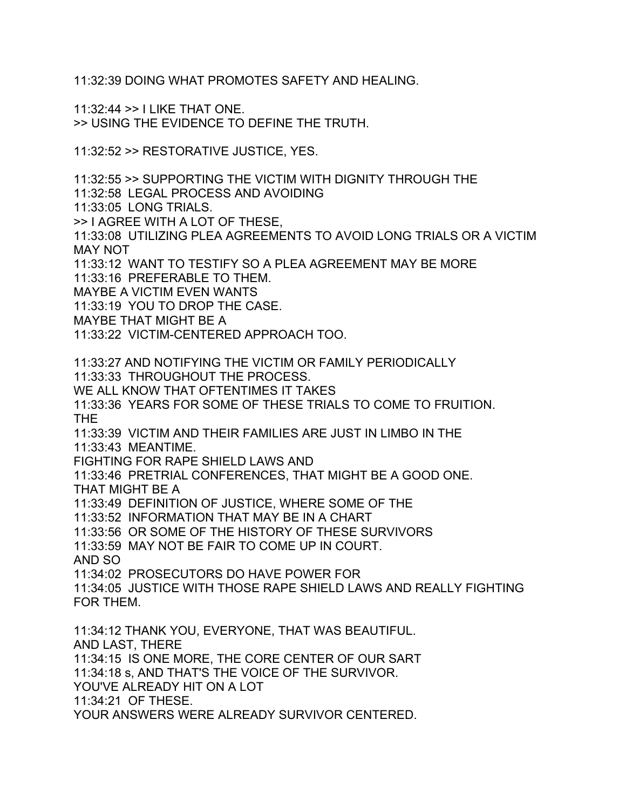11:32:39 DOING WHAT PROMOTES SAFETY AND HEALING.

11:32:44 >> I LIKE THAT ONE. >> USING THE EVIDENCE TO DEFINE THE TRUTH.

11:32:52 >> RESTORATIVE JUSTICE, YES.

11:32:55 >> SUPPORTING THE VICTIM WITH DIGNITY THROUGH THE 11:32:58 LEGAL PROCESS AND AVOIDING 11:33:05 LONG TRIALS. >> I AGREE WITH A LOT OF THESE, 11:33:08 UTILIZING PLEA AGREEMENTS TO AVOID LONG TRIALS OR A VICTIM MAY NOT 11:33:12 WANT TO TESTIFY SO A PLEA AGREEMENT MAY BE MORE 11:33:16 PREFERABLE TO THEM. MAYBE A VICTIM EVEN WANTS 11:33:19 YOU TO DROP THE CASE. MAYBE THAT MIGHT BE A 11:33:22 VICTIM-CENTERED APPROACH TOO. 11:33:27 AND NOTIFYING THE VICTIM OR FAMILY PERIODICALLY 11:33:33 THROUGHOUT THE PROCESS. WE ALL KNOW THAT OFTENTIMES IT TAKES 11:33:36 YEARS FOR SOME OF THESE TRIALS TO COME TO FRUITION. THE 11:33:39 VICTIM AND THEIR FAMILIES ARE JUST IN LIMBO IN THE 11:33:43 MEANTIME. FIGHTING FOR RAPE SHIELD LAWS AND 11:33:46 PRETRIAL CONFERENCES, THAT MIGHT BE A GOOD ONE. THAT MIGHT BE A 11:33:49 DEFINITION OF JUSTICE, WHERE SOME OF THE 11:33:52 INFORMATION THAT MAY BE IN A CHART 11:33:56 OR SOME OF THE HISTORY OF THESE SURVIVORS 11:33:59 MAY NOT BE FAIR TO COME UP IN COURT. AND SO 11:34:02 PROSECUTORS DO HAVE POWER FOR 11:34:05 JUSTICE WITH THOSE RAPE SHIELD LAWS AND REALLY FIGHTING FOR THEM. 11:34:12 THANK YOU, EVERYONE, THAT WAS BEAUTIFUL. AND LAST, THERE 11:34:15 IS ONE MORE, THE CORE CENTER OF OUR SART 11:34:18 s, AND THAT'S THE VOICE OF THE SURVIVOR. YOU'VE ALREADY HIT ON A LOT 11:34:21 OF THESE. YOUR ANSWERS WERE ALREADY SURVIVOR CENTERED.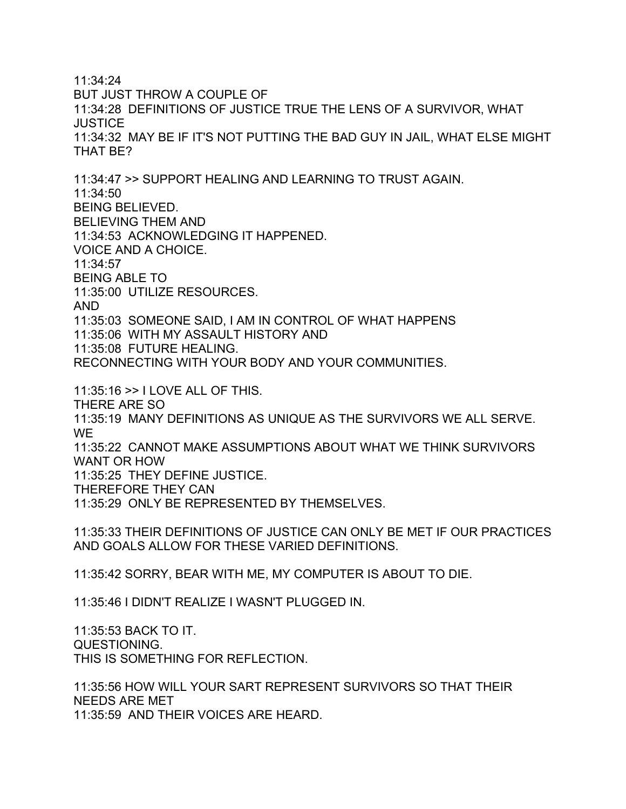11:34:24 BUT JUST THROW A COUPLE OF 11:34:28 DEFINITIONS OF JUSTICE TRUE THE LENS OF A SURVIVOR, WHAT **JUSTICE** 11:34:32 MAY BE IF IT'S NOT PUTTING THE BAD GUY IN JAIL, WHAT ELSE MIGHT THAT BE?

11:34:47 >> SUPPORT HEALING AND LEARNING TO TRUST AGAIN. 11:34:50 BEING BELIEVED. BELIEVING THEM AND 11:34:53 ACKNOWLEDGING IT HAPPENED. VOICE AND A CHOICE. 11:34:57 BEING ABLE TO 11:35:00 UTILIZE RESOURCES. AND 11:35:03 SOMEONE SAID, I AM IN CONTROL OF WHAT HAPPENS 11:35:06 WITH MY ASSAULT HISTORY AND 11:35:08 FUTURE HEALING. RECONNECTING WITH YOUR BODY AND YOUR COMMUNITIES.

11:35:16 >> I LOVE ALL OF THIS. THERE ARE SO 11:35:19 MANY DEFINITIONS AS UNIQUE AS THE SURVIVORS WE ALL SERVE. WE 11:35:22 CANNOT MAKE ASSUMPTIONS ABOUT WHAT WE THINK SURVIVORS WANT OR HOW 11:35:25 THEY DEFINE JUSTICE. THEREFORE THEY CAN

11:35:29 ONLY BE REPRESENTED BY THEMSELVES.

11:35:33 THEIR DEFINITIONS OF JUSTICE CAN ONLY BE MET IF OUR PRACTICES AND GOALS ALLOW FOR THESE VARIED DEFINITIONS.

11:35:42 SORRY, BEAR WITH ME, MY COMPUTER IS ABOUT TO DIE.

11:35:46 I DIDN'T REALIZE I WASN'T PLUGGED IN.

11:35:53 BACK TO IT. QUESTIONING. THIS IS SOMETHING FOR REFLECTION.

11:35:56 HOW WILL YOUR SART REPRESENT SURVIVORS SO THAT THEIR NEEDS ARE MET 11:35:59 AND THEIR VOICES ARE HEARD.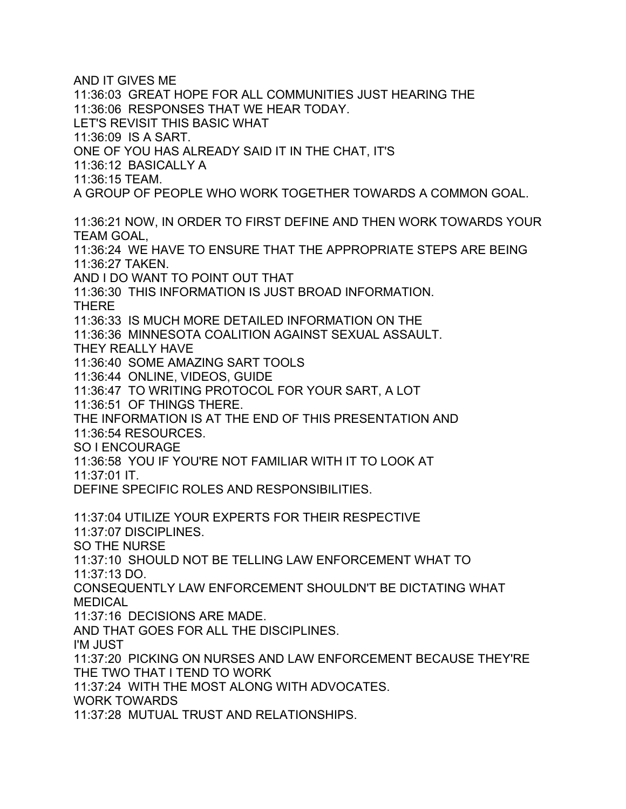AND IT GIVES ME 11:36:03 GREAT HOPE FOR ALL COMMUNITIES JUST HEARING THE 11:36:06 RESPONSES THAT WE HEAR TODAY. LET'S REVISIT THIS BASIC WHAT 11:36:09 IS A SART. ONE OF YOU HAS ALREADY SAID IT IN THE CHAT, IT'S 11:36:12 BASICALLY A 11:36:15 TEAM. A GROUP OF PEOPLE WHO WORK TOGETHER TOWARDS A COMMON GOAL. 11:36:21 NOW, IN ORDER TO FIRST DEFINE AND THEN WORK TOWARDS YOUR TEAM GOAL, 11:36:24 WE HAVE TO ENSURE THAT THE APPROPRIATE STEPS ARE BEING 11:36:27 TAKEN. AND I DO WANT TO POINT OUT THAT 11:36:30 THIS INFORMATION IS JUST BROAD INFORMATION. THERE 11:36:33 IS MUCH MORE DETAILED INFORMATION ON THE 11:36:36 MINNESOTA COALITION AGAINST SEXUAL ASSAULT. THEY REALLY HAVE 11:36:40 SOME AMAZING SART TOOLS 11:36:44 ONLINE, VIDEOS, GUIDE 11:36:47 TO WRITING PROTOCOL FOR YOUR SART, A LOT 11:36:51 OF THINGS THERE. THE INFORMATION IS AT THE END OF THIS PRESENTATION AND 11:36:54 RESOURCES. SO I ENCOURAGE 11:36:58 YOU IF YOU'RE NOT FAMILIAR WITH IT TO LOOK AT 11:37:01 IT. DEFINE SPECIFIC ROLES AND RESPONSIBILITIES. 11:37:04 UTILIZE YOUR EXPERTS FOR THEIR RESPECTIVE 11:37:07 DISCIPLINES. SO THE NURSE 11:37:10 SHOULD NOT BE TELLING LAW ENFORCEMENT WHAT TO 11:37:13 DO. CONSEQUENTLY LAW ENFORCEMENT SHOULDN'T BE DICTATING WHAT MEDICAL 11:37:16 DECISIONS ARE MADE. AND THAT GOES FOR ALL THE DISCIPLINES. I'M JUST 11:37:20 PICKING ON NURSES AND LAW ENFORCEMENT BECAUSE THEY'RE THE TWO THAT I TEND TO WORK 11:37:24 WITH THE MOST ALONG WITH ADVOCATES. WORK TOWARDS 11:37:28 MUTUAL TRUST AND RELATIONSHIPS.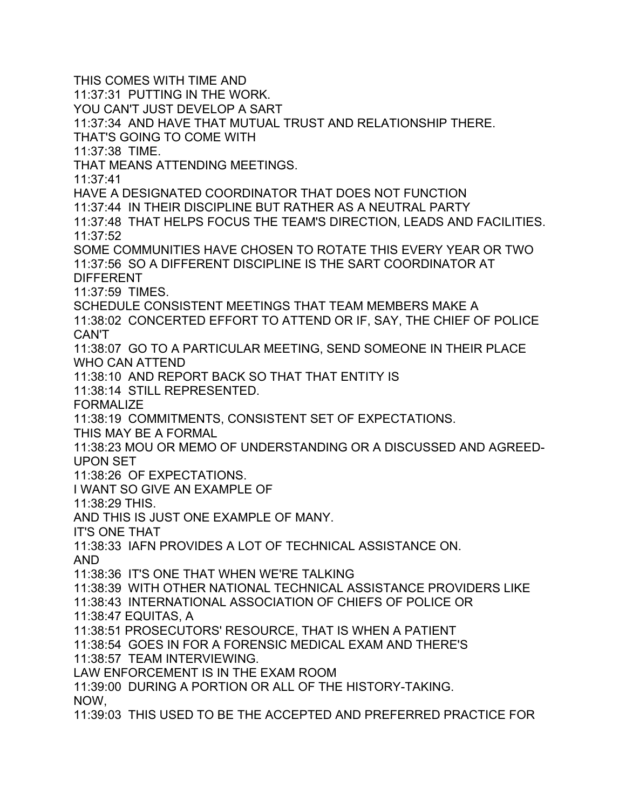THIS COMES WITH TIME AND 11:37:31 PUTTING IN THE WORK. YOU CAN'T JUST DEVELOP A SART 11:37:34 AND HAVE THAT MUTUAL TRUST AND RELATIONSHIP THERE. THAT'S GOING TO COME WITH 11:37:38 TIME. THAT MEANS ATTENDING MEETINGS. 11:37:41 HAVE A DESIGNATED COORDINATOR THAT DOES NOT FUNCTION 11:37:44 IN THEIR DISCIPLINE BUT RATHER AS A NEUTRAL PARTY 11:37:48 THAT HELPS FOCUS THE TEAM'S DIRECTION, LEADS AND FACILITIES. 11:37:52 SOME COMMUNITIES HAVE CHOSEN TO ROTATE THIS EVERY YEAR OR TWO 11:37:56 SO A DIFFERENT DISCIPLINE IS THE SART COORDINATOR AT DIFFERENT 11:37:59 TIMES. SCHEDULE CONSISTENT MEETINGS THAT TEAM MEMBERS MAKE A 11:38:02 CONCERTED EFFORT TO ATTEND OR IF, SAY, THE CHIEF OF POLICE CAN'T 11:38:07 GO TO A PARTICULAR MEETING, SEND SOMEONE IN THEIR PLACE WHO CAN ATTEND 11:38:10 AND REPORT BACK SO THAT THAT ENTITY IS 11:38:14 STILL REPRESENTED. **FORMALIZE** 11:38:19 COMMITMENTS, CONSISTENT SET OF EXPECTATIONS. THIS MAY BE A FORMAL 11:38:23 MOU OR MEMO OF UNDERSTANDING OR A DISCUSSED AND AGREED-UPON SET 11:38:26 OF EXPECTATIONS. I WANT SO GIVE AN EXAMPLE OF 11:38:29 THIS. AND THIS IS JUST ONE EXAMPLE OF MANY. IT'S ONE THAT 11:38:33 IAFN PROVIDES A LOT OF TECHNICAL ASSISTANCE ON. AND 11:38:36 IT'S ONE THAT WHEN WE'RE TALKING 11:38:39 WITH OTHER NATIONAL TECHNICAL ASSISTANCE PROVIDERS LIKE 11:38:43 INTERNATIONAL ASSOCIATION OF CHIEFS OF POLICE OR 11:38:47 EQUITAS, A 11:38:51 PROSECUTORS' RESOURCE, THAT IS WHEN A PATIENT 11:38:54 GOES IN FOR A FORENSIC MEDICAL EXAM AND THERE'S 11:38:57 TEAM INTERVIEWING. LAW ENFORCEMENT IS IN THE EXAM ROOM 11:39:00 DURING A PORTION OR ALL OF THE HISTORY-TAKING. NOW, 11:39:03 THIS USED TO BE THE ACCEPTED AND PREFERRED PRACTICE FOR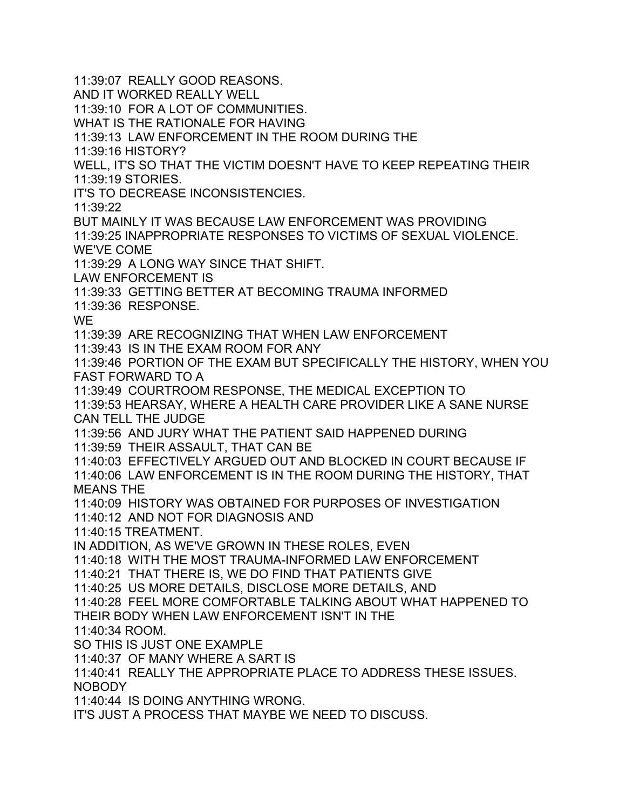11:39:07 REALLY GOOD REASONS. AND IT WORKED REALLY WELL 11:39:10 FOR A LOT OF COMMUNITIES. WHAT IS THE RATIONALE FOR HAVING 11:39:13 LAW ENFORCEMENT IN THE ROOM DURING THE 11:39:16 HISTORY? WELL, IT'S SO THAT THE VICTIM DOESN'T HAVE TO KEEP REPEATING THEIR 11:39:19 STORIES. IT'S TO DECREASE INCONSISTENCIES. 11:39:22 BUT MAINLY IT WAS BECAUSE LAW ENFORCEMENT WAS PROVIDING 11:39:25 INAPPROPRIATE RESPONSES TO VICTIMS OF SEXUAL VIOLENCE. WE'VE COME 11:39:29 A LONG WAY SINCE THAT SHIFT. LAW ENFORCEMENT IS 11:39:33 GETTING BETTER AT BECOMING TRAUMA INFORMED 11:39:36 RESPONSE. WE 11:39:39 ARE RECOGNIZING THAT WHEN LAW ENFORCEMENT 11:39:43 IS IN THE EXAM ROOM FOR ANY 11:39:46 PORTION OF THE EXAM BUT SPECIFICALLY THE HISTORY, WHEN YOU FAST FORWARD TO A 11:39:49 COURTROOM RESPONSE, THE MEDICAL EXCEPTION TO 11:39:53 HEARSAY, WHERE A HEALTH CARE PROVIDER LIKE A SANE NURSE CAN TELL THE JUDGE 11:39:56 AND JURY WHAT THE PATIENT SAID HAPPENED DURING 11:39:59 THEIR ASSAULT, THAT CAN BE 11:40:03 EFFECTIVELY ARGUED OUT AND BLOCKED IN COURT BECAUSE IF 11:40:06 LAW ENFORCEMENT IS IN THE ROOM DURING THE HISTORY, THAT MEANS THE 11:40:09 HISTORY WAS OBTAINED FOR PURPOSES OF INVESTIGATION 11:40:12 AND NOT FOR DIAGNOSIS AND 11:40:15 TREATMENT. IN ADDITION, AS WE'VE GROWN IN THESE ROLES, EVEN 11:40:18 WITH THE MOST TRAUMA-INFORMED LAW ENFORCEMENT 11:40:21 THAT THERE IS, WE DO FIND THAT PATIENTS GIVE 11:40:25 US MORE DETAILS, DISCLOSE MORE DETAILS, AND 11:40:28 FEEL MORE COMFORTABLE TALKING ABOUT WHAT HAPPENED TO THEIR BODY WHEN LAW ENFORCEMENT ISN'T IN THE 11:40:34 ROOM. SO THIS IS JUST ONE EXAMPLE 11:40:37 OF MANY WHERE A SART IS 11:40:41 REALLY THE APPROPRIATE PLACE TO ADDRESS THESE ISSUES. NOBODY 11:40:44 IS DOING ANYTHING WRONG. IT'S JUST A PROCESS THAT MAYBE WE NEED TO DISCUSS.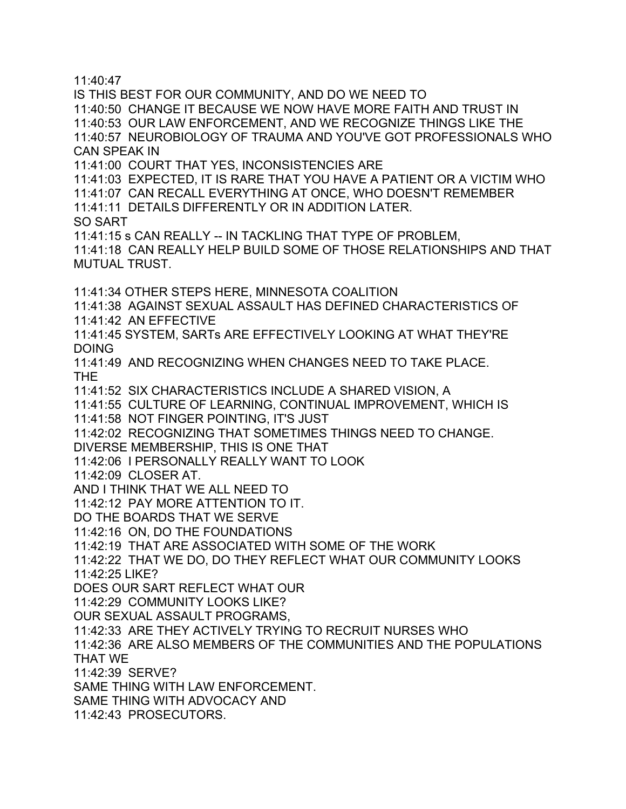11:40:47

IS THIS BEST FOR OUR COMMUNITY, AND DO WE NEED TO 11:40:50 CHANGE IT BECAUSE WE NOW HAVE MORE FAITH AND TRUST IN 11:40:53 OUR LAW ENFORCEMENT, AND WE RECOGNIZE THINGS LIKE THE 11:40:57 NEUROBIOLOGY OF TRAUMA AND YOU'VE GOT PROFESSIONALS WHO CAN SPEAK IN 11:41:00 COURT THAT YES, INCONSISTENCIES ARE 11:41:03 EXPECTED, IT IS RARE THAT YOU HAVE A PATIENT OR A VICTIM WHO 11:41:07 CAN RECALL EVERYTHING AT ONCE, WHO DOESN'T REMEMBER 11:41:11 DETAILS DIFFERENTLY OR IN ADDITION LATER. SO SART 11:41:15 s CAN REALLY -- IN TACKLING THAT TYPE OF PROBLEM, 11:41:18 CAN REALLY HELP BUILD SOME OF THOSE RELATIONSHIPS AND THAT MUTUAL TRUST. 11:41:34 OTHER STEPS HERE, MINNESOTA COALITION 11:41:38 AGAINST SEXUAL ASSAULT HAS DEFINED CHARACTERISTICS OF 11:41:42 AN EFFECTIVE 11:41:45 SYSTEM, SARTs ARE EFFECTIVELY LOOKING AT WHAT THEY'RE DOING 11:41:49 AND RECOGNIZING WHEN CHANGES NEED TO TAKE PLACE. THE 11:41:52 SIX CHARACTERISTICS INCLUDE A SHARED VISION, A 11:41:55 CULTURE OF LEARNING, CONTINUAL IMPROVEMENT, WHICH IS 11:41:58 NOT FINGER POINTING, IT'S JUST 11:42:02 RECOGNIZING THAT SOMETIMES THINGS NEED TO CHANGE. DIVERSE MEMBERSHIP, THIS IS ONE THAT 11:42:06 I PERSONALLY REALLY WANT TO LOOK 11:42:09 CLOSER AT. AND I THINK THAT WE ALL NEED TO 11:42:12 PAY MORE ATTENTION TO IT. DO THE BOARDS THAT WE SERVE 11:42:16 ON, DO THE FOUNDATIONS 11:42:19 THAT ARE ASSOCIATED WITH SOME OF THE WORK 11:42:22 THAT WE DO, DO THEY REFLECT WHAT OUR COMMUNITY LOOKS 11:42:25 LIKE? DOES OUR SART REFLECT WHAT OUR 11:42:29 COMMUNITY LOOKS LIKE? OUR SEXUAL ASSAULT PROGRAMS, 11:42:33 ARE THEY ACTIVELY TRYING TO RECRUIT NURSES WHO 11:42:36 ARE ALSO MEMBERS OF THE COMMUNITIES AND THE POPULATIONS THAT WE 11:42:39 SERVE? SAME THING WITH LAW ENFORCEMENT. SAME THING WITH ADVOCACY AND 11:42:43 PROSECUTORS.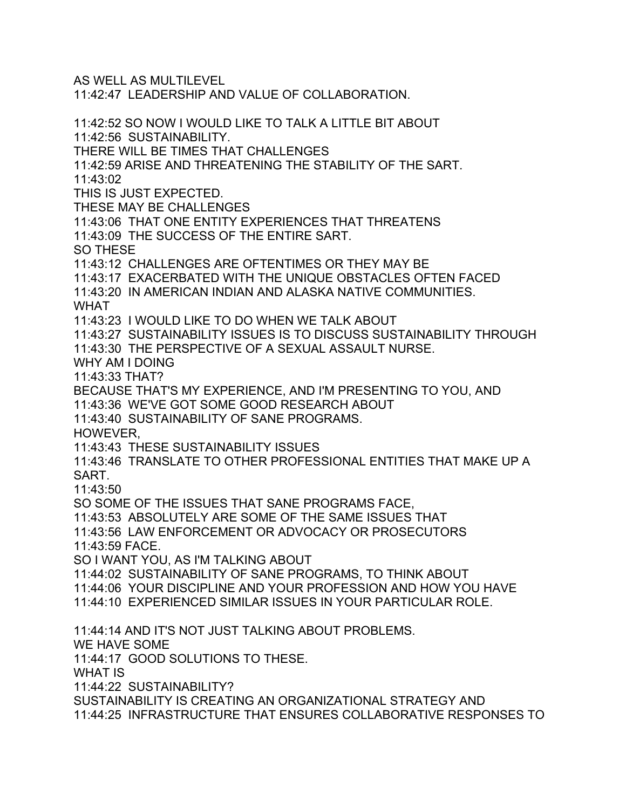AS WELL AS MULTILEVEL 11:42:47 LEADERSHIP AND VALUE OF COLLABORATION. 11:42:52 SO NOW I WOULD LIKE TO TALK A LITTLE BIT ABOUT 11:42:56 SUSTAINABILITY. THERE WILL BE TIMES THAT CHALLENGES 11:42:59 ARISE AND THREATENING THE STABILITY OF THE SART. 11:43:02 THIS IS JUST EXPECTED. THESE MAY BE CHALLENGES 11:43:06 THAT ONE ENTITY EXPERIENCES THAT THREATENS 11:43:09 THE SUCCESS OF THE ENTIRE SART. SO THESE 11:43:12 CHALLENGES ARE OFTENTIMES OR THEY MAY BE 11:43:17 EXACERBATED WITH THE UNIQUE OBSTACLES OFTEN FACED 11:43:20 IN AMERICAN INDIAN AND ALASKA NATIVE COMMUNITIES. WHAT 11:43:23 I WOULD LIKE TO DO WHEN WE TALK ABOUT 11:43:27 SUSTAINABILITY ISSUES IS TO DISCUSS SUSTAINABILITY THROUGH 11:43:30 THE PERSPECTIVE OF A SEXUAL ASSAULT NURSE. WHY AM I DOING 11:43:33 THAT? BECAUSE THAT'S MY EXPERIENCE, AND I'M PRESENTING TO YOU, AND 11:43:36 WE'VE GOT SOME GOOD RESEARCH ABOUT 11:43:40 SUSTAINABILITY OF SANE PROGRAMS. HOWEVER, 11:43:43 THESE SUSTAINABILITY ISSUES 11:43:46 TRANSLATE TO OTHER PROFESSIONAL ENTITIES THAT MAKE UP A SART. 11:43:50 SO SOME OF THE ISSUES THAT SANE PROGRAMS FACE, 11:43:53 ABSOLUTELY ARE SOME OF THE SAME ISSUES THAT 11:43:56 LAW ENFORCEMENT OR ADVOCACY OR PROSECUTORS 11:43:59 FACE. SO I WANT YOU, AS I'M TALKING ABOUT 11:44:02 SUSTAINABILITY OF SANE PROGRAMS, TO THINK ABOUT 11:44:06 YOUR DISCIPLINE AND YOUR PROFESSION AND HOW YOU HAVE 11:44:10 EXPERIENCED SIMILAR ISSUES IN YOUR PARTICULAR ROLE. 11:44:14 AND IT'S NOT JUST TALKING ABOUT PROBLEMS. WE HAVE SOME 11:44:17 GOOD SOLUTIONS TO THESE. WHAT IS 11:44:22 SUSTAINABILITY? SUSTAINABILITY IS CREATING AN ORGANIZATIONAL STRATEGY AND 11:44:25 INFRASTRUCTURE THAT ENSURES COLLABORATIVE RESPONSES TO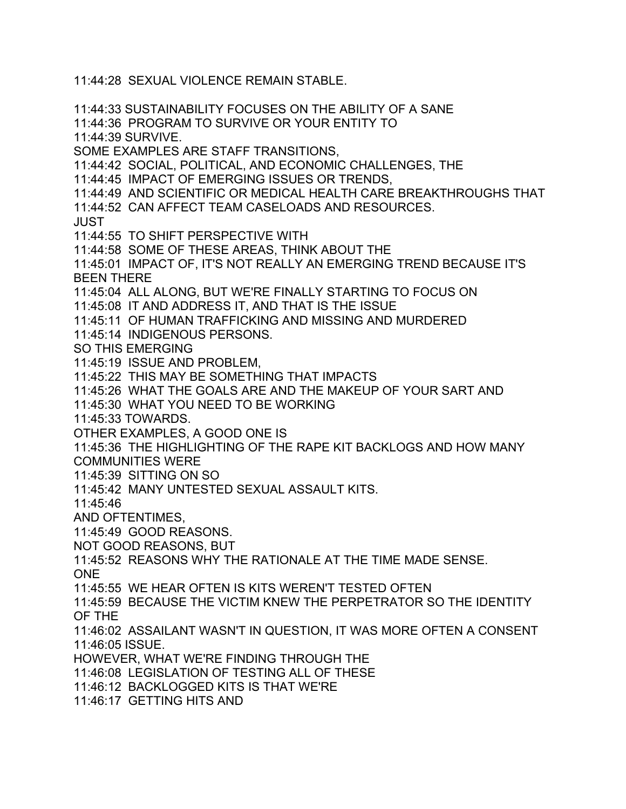11:44:28 SEXUAL VIOLENCE REMAIN STABLE. 11:44:33 SUSTAINABILITY FOCUSES ON THE ABILITY OF A SANE 11:44:36 PROGRAM TO SURVIVE OR YOUR ENTITY TO 11:44:39 SURVIVE. SOME EXAMPLES ARE STAFF TRANSITIONS, 11:44:42 SOCIAL, POLITICAL, AND ECONOMIC CHALLENGES, THE 11:44:45 IMPACT OF EMERGING ISSUES OR TRENDS, 11:44:49 AND SCIENTIFIC OR MEDICAL HEALTH CARE BREAKTHROUGHS THAT 11:44:52 CAN AFFECT TEAM CASELOADS AND RESOURCES. JUST 11:44:55 TO SHIFT PERSPECTIVE WITH 11:44:58 SOME OF THESE AREAS, THINK ABOUT THE 11:45:01 IMPACT OF, IT'S NOT REALLY AN EMERGING TREND BECAUSE IT'S BEEN THERE 11:45:04 ALL ALONG, BUT WE'RE FINALLY STARTING TO FOCUS ON 11:45:08 IT AND ADDRESS IT, AND THAT IS THE ISSUE 11:45:11 OF HUMAN TRAFFICKING AND MISSING AND MURDERED 11:45:14 INDIGENOUS PERSONS. SO THIS EMERGING 11:45:19 ISSUE AND PROBLEM, 11:45:22 THIS MAY BE SOMETHING THAT IMPACTS 11:45:26 WHAT THE GOALS ARE AND THE MAKEUP OF YOUR SART AND 11:45:30 WHAT YOU NEED TO BE WORKING 11:45:33 TOWARDS. OTHER EXAMPLES, A GOOD ONE IS 11:45:36 THE HIGHLIGHTING OF THE RAPE KIT BACKLOGS AND HOW MANY COMMUNITIES WERE 11:45:39 SITTING ON SO 11:45:42 MANY UNTESTED SEXUAL ASSAULT KITS. 11:45:46 AND OFTENTIMES, 11:45:49 GOOD REASONS. NOT GOOD REASONS, BUT 11:45:52 REASONS WHY THE RATIONALE AT THE TIME MADE SENSE. ONE 11:45:55 WE HEAR OFTEN IS KITS WEREN'T TESTED OFTEN 11:45:59 BECAUSE THE VICTIM KNEW THE PERPETRATOR SO THE IDENTITY OF THE 11:46:02 ASSAILANT WASN'T IN QUESTION, IT WAS MORE OFTEN A CONSENT 11:46:05 ISSUE. HOWEVER, WHAT WE'RE FINDING THROUGH THE 11:46:08 LEGISLATION OF TESTING ALL OF THESE 11:46:12 BACKLOGGED KITS IS THAT WE'RE 11:46:17 GETTING HITS AND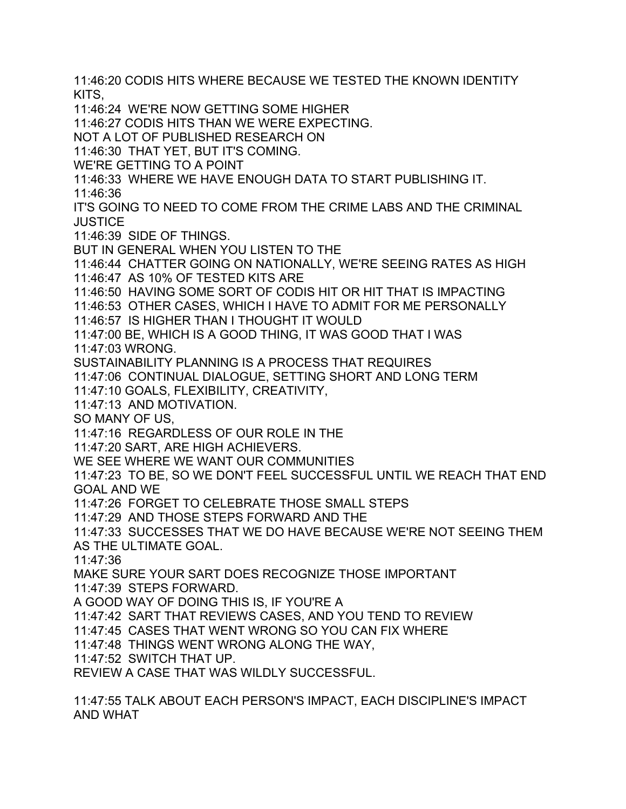11:46:20 CODIS HITS WHERE BECAUSE WE TESTED THE KNOWN IDENTITY KITS, 11:46:24 WE'RE NOW GETTING SOME HIGHER 11:46:27 CODIS HITS THAN WE WERE EXPECTING. NOT A LOT OF PUBLISHED RESEARCH ON 11:46:30 THAT YET, BUT IT'S COMING. WE'RE GETTING TO A POINT 11:46:33 WHERE WE HAVE ENOUGH DATA TO START PUBLISHING IT. 11:46:36 IT'S GOING TO NEED TO COME FROM THE CRIME LABS AND THE CRIMINAL **JUSTICE** 11:46:39 SIDE OF THINGS. BUT IN GENERAL WHEN YOU LISTEN TO THE 11:46:44 CHATTER GOING ON NATIONALLY, WE'RE SEEING RATES AS HIGH 11:46:47 AS 10% OF TESTED KITS ARE 11:46:50 HAVING SOME SORT OF CODIS HIT OR HIT THAT IS IMPACTING 11:46:53 OTHER CASES, WHICH I HAVE TO ADMIT FOR ME PERSONALLY 11:46:57 IS HIGHER THAN I THOUGHT IT WOULD 11:47:00 BE, WHICH IS A GOOD THING, IT WAS GOOD THAT I WAS 11:47:03 WRONG. SUSTAINABILITY PLANNING IS A PROCESS THAT REQUIRES 11:47:06 CONTINUAL DIALOGUE, SETTING SHORT AND LONG TERM 11:47:10 GOALS, FLEXIBILITY, CREATIVITY, 11:47:13 AND MOTIVATION. SO MANY OF US, 11:47:16 REGARDLESS OF OUR ROLE IN THE 11:47:20 SART, ARE HIGH ACHIEVERS. WE SEE WHERE WE WANT OUR COMMUNITIES 11:47:23 TO BE, SO WE DON'T FEEL SUCCESSFUL UNTIL WE REACH THAT END GOAL AND WE 11:47:26 FORGET TO CELEBRATE THOSE SMALL STEPS 11:47:29 AND THOSE STEPS FORWARD AND THE 11:47:33 SUCCESSES THAT WE DO HAVE BECAUSE WE'RE NOT SEEING THEM AS THE ULTIMATE GOAL. 11:47:36 MAKE SURE YOUR SART DOES RECOGNIZE THOSE IMPORTANT 11:47:39 STEPS FORWARD. A GOOD WAY OF DOING THIS IS, IF YOU'RE A 11:47:42 SART THAT REVIEWS CASES, AND YOU TEND TO REVIEW 11:47:45 CASES THAT WENT WRONG SO YOU CAN FIX WHERE 11:47:48 THINGS WENT WRONG ALONG THE WAY, 11:47:52 SWITCH THAT UP. REVIEW A CASE THAT WAS WILDLY SUCCESSFUL.

11:47:55 TALK ABOUT EACH PERSON'S IMPACT, EACH DISCIPLINE'S IMPACT AND WHAT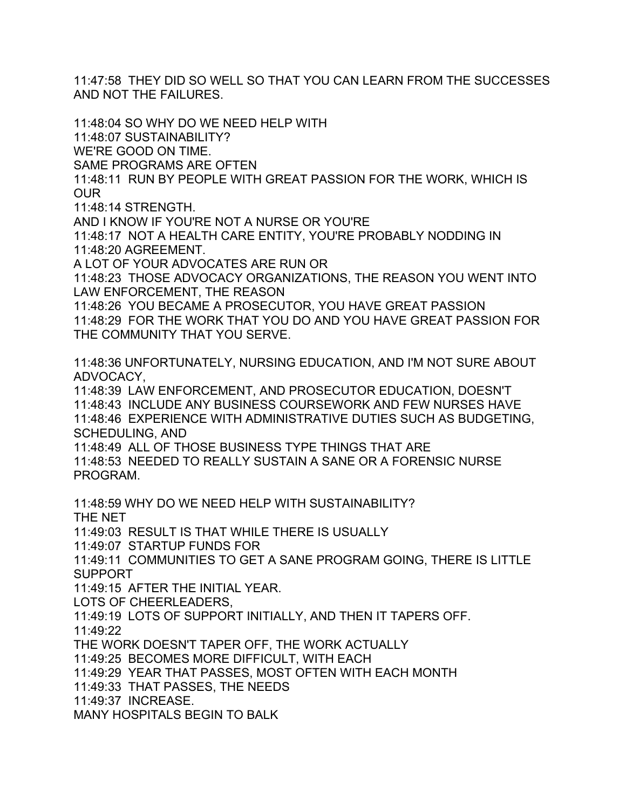11:47:58 THEY DID SO WELL SO THAT YOU CAN LEARN FROM THE SUCCESSES AND NOT THE FAILURES.

11:48:04 SO WHY DO WE NEED HELP WITH 11:48:07 SUSTAINABILITY? WE'RE GOOD ON TIME. SAME PROGRAMS ARE OFTEN 11:48:11 RUN BY PEOPLE WITH GREAT PASSION FOR THE WORK, WHICH IS OUR 11:48:14 STRENGTH. AND I KNOW IF YOU'RE NOT A NURSE OR YOU'RE 11:48:17 NOT A HEALTH CARE ENTITY, YOU'RE PROBABLY NODDING IN 11:48:20 AGREEMENT. A LOT OF YOUR ADVOCATES ARE RUN OR 11:48:23 THOSE ADVOCACY ORGANIZATIONS, THE REASON YOU WENT INTO LAW ENFORCEMENT, THE REASON 11:48:26 YOU BECAME A PROSECUTOR, YOU HAVE GREAT PASSION 11:48:29 FOR THE WORK THAT YOU DO AND YOU HAVE GREAT PASSION FOR THE COMMUNITY THAT YOU SERVE. 11:48:36 UNFORTUNATELY, NURSING EDUCATION, AND I'M NOT SURE ABOUT ADVOCACY, 11:48:39 LAW ENFORCEMENT, AND PROSECUTOR EDUCATION, DOESN'T 11:48:43 INCLUDE ANY BUSINESS COURSEWORK AND FEW NURSES HAVE 11:48:46 EXPERIENCE WITH ADMINISTRATIVE DUTIES SUCH AS BUDGETING, SCHEDULING, AND 11:48:49 ALL OF THOSE BUSINESS TYPE THINGS THAT ARE 11:48:53 NEEDED TO REALLY SUSTAIN A SANE OR A FORENSIC NURSE PROGRAM. 11:48:59 WHY DO WE NEED HELP WITH SUSTAINABILITY? THE NET 11:49:03 RESULT IS THAT WHILE THERE IS USUALLY 11:49:07 STARTUP FUNDS FOR 11:49:11 COMMUNITIES TO GET A SANE PROGRAM GOING, THERE IS LITTLE SUPPORT 11:49:15 AFTER THE INITIAL YEAR. LOTS OF CHEERLEADERS, 11:49:19 LOTS OF SUPPORT INITIALLY, AND THEN IT TAPERS OFF. 11:49:22 THE WORK DOESN'T TAPER OFF, THE WORK ACTUALLY 11:49:25 BECOMES MORE DIFFICULT, WITH EACH

11:49:29 YEAR THAT PASSES, MOST OFTEN WITH EACH MONTH

11:49:33 THAT PASSES, THE NEEDS

11:49:37 INCREASE.

MANY HOSPITALS BEGIN TO BALK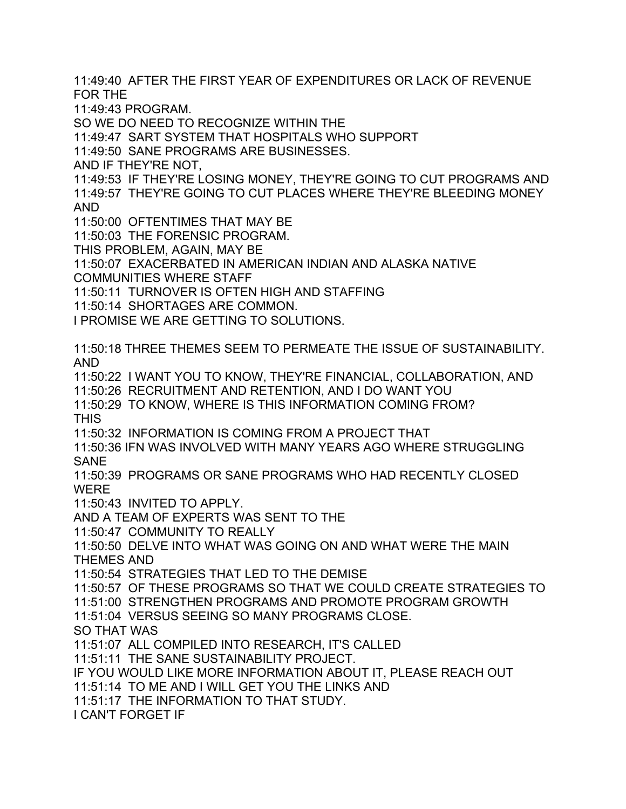11:49:40 AFTER THE FIRST YEAR OF EXPENDITURES OR LACK OF REVENUE FOR THE

11:49:43 PROGRAM.

SO WE DO NEED TO RECOGNIZE WITHIN THE

11:49:47 SART SYSTEM THAT HOSPITALS WHO SUPPORT

11:49:50 SANE PROGRAMS ARE BUSINESSES.

AND IF THEY'RE NOT,

11:49:53 IF THEY'RE LOSING MONEY, THEY'RE GOING TO CUT PROGRAMS AND 11:49:57 THEY'RE GOING TO CUT PLACES WHERE THEY'RE BLEEDING MONEY AND

11:50:00 OFTENTIMES THAT MAY BE

11:50:03 THE FORENSIC PROGRAM.

THIS PROBLEM, AGAIN, MAY BE

11:50:07 EXACERBATED IN AMERICAN INDIAN AND ALASKA NATIVE COMMUNITIES WHERE STAFF

11:50:11 TURNOVER IS OFTEN HIGH AND STAFFING

11:50:14 SHORTAGES ARE COMMON.

I PROMISE WE ARE GETTING TO SOLUTIONS.

11:50:18 THREE THEMES SEEM TO PERMEATE THE ISSUE OF SUSTAINABILITY. AND

11:50:22 I WANT YOU TO KNOW, THEY'RE FINANCIAL, COLLABORATION, AND 11:50:26 RECRUITMENT AND RETENTION, AND I DO WANT YOU

11:50:29 TO KNOW, WHERE IS THIS INFORMATION COMING FROM?

**THIS** 

11:50:32 INFORMATION IS COMING FROM A PROJECT THAT

11:50:36 IFN WAS INVOLVED WITH MANY YEARS AGO WHERE STRUGGLING SANE

11:50:39 PROGRAMS OR SANE PROGRAMS WHO HAD RECENTLY CLOSED WERE

11:50:43 INVITED TO APPLY.

AND A TEAM OF EXPERTS WAS SENT TO THE

11:50:47 COMMUNITY TO REALLY

11:50:50 DELVE INTO WHAT WAS GOING ON AND WHAT WERE THE MAIN

THEMES AND

11:50:54 STRATEGIES THAT LED TO THE DEMISE

11:50:57 OF THESE PROGRAMS SO THAT WE COULD CREATE STRATEGIES TO

11:51:00 STRENGTHEN PROGRAMS AND PROMOTE PROGRAM GROWTH

11:51:04 VERSUS SEEING SO MANY PROGRAMS CLOSE.

SO THAT WAS

11:51:07 ALL COMPILED INTO RESEARCH, IT'S CALLED

11:51:11 THE SANE SUSTAINABILITY PROJECT.

IF YOU WOULD LIKE MORE INFORMATION ABOUT IT, PLEASE REACH OUT

11:51:14 TO ME AND I WILL GET YOU THE LINKS AND

11:51:17 THE INFORMATION TO THAT STUDY.

I CAN'T FORGET IF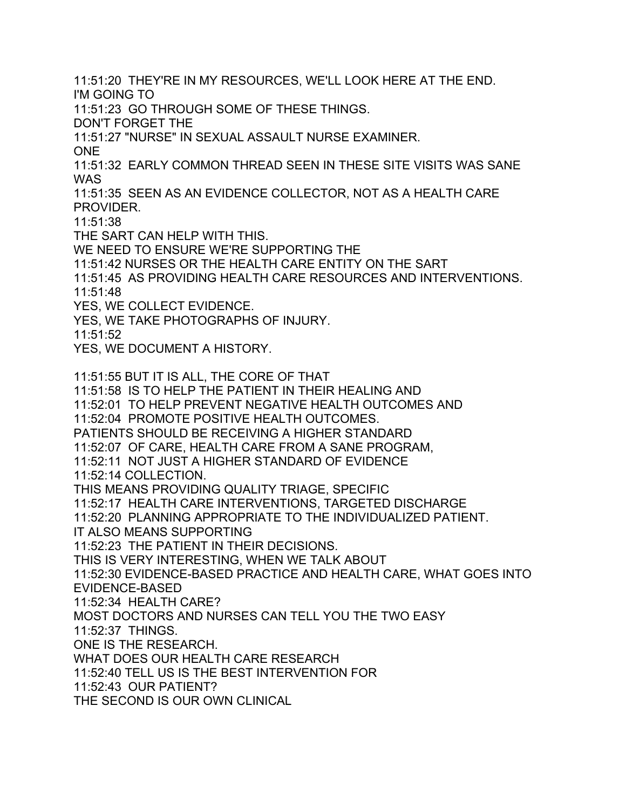11:51:20 THEY'RE IN MY RESOURCES, WE'LL LOOK HERE AT THE END. I'M GOING TO

11:51:23 GO THROUGH SOME OF THESE THINGS.

DON'T FORGET THE

11:51:27 "NURSE" IN SEXUAL ASSAULT NURSE EXAMINER.

ONE

11:51:32 EARLY COMMON THREAD SEEN IN THESE SITE VISITS WAS SANE WAS

11:51:35 SEEN AS AN EVIDENCE COLLECTOR, NOT AS A HEALTH CARE PROVIDER.

11:51:38

THE SART CAN HELP WITH THIS.

WE NEED TO ENSURE WE'RE SUPPORTING THE

11:51:42 NURSES OR THE HEALTH CARE ENTITY ON THE SART

11:51:45 AS PROVIDING HEALTH CARE RESOURCES AND INTERVENTIONS. 11:51:48

YES, WE COLLECT EVIDENCE.

YES, WE TAKE PHOTOGRAPHS OF INJURY.

11:51:52

YES, WE DOCUMENT A HISTORY.

11:51:55 BUT IT IS ALL, THE CORE OF THAT 11:51:58 IS TO HELP THE PATIENT IN THEIR HEALING AND 11:52:01 TO HELP PREVENT NEGATIVE HEALTH OUTCOMES AND 11:52:04 PROMOTE POSITIVE HEALTH OUTCOMES. PATIENTS SHOULD BE RECEIVING A HIGHER STANDARD 11:52:07 OF CARE, HEALTH CARE FROM A SANE PROGRAM, 11:52:11 NOT JUST A HIGHER STANDARD OF EVIDENCE 11:52:14 COLLECTION. THIS MEANS PROVIDING QUALITY TRIAGE, SPECIFIC 11:52:17 HEALTH CARE INTERVENTIONS, TARGETED DISCHARGE 11:52:20 PLANNING APPROPRIATE TO THE INDIVIDUALIZED PATIENT. IT ALSO MEANS SUPPORTING 11:52:23 THE PATIENT IN THEIR DECISIONS. THIS IS VERY INTERESTING, WHEN WE TALK ABOUT 11:52:30 EVIDENCE-BASED PRACTICE AND HEALTH CARE, WHAT GOES INTO EVIDENCE-BASED 11:52:34 HEALTH CARE? MOST DOCTORS AND NURSES CAN TELL YOU THE TWO EASY 11:52:37 THINGS. ONE IS THE RESEARCH. WHAT DOES OUR HEALTH CARE RESEARCH 11:52:40 TELL US IS THE BEST INTERVENTION FOR 11:52:43 OUR PATIENT? THE SECOND IS OUR OWN CLINICAL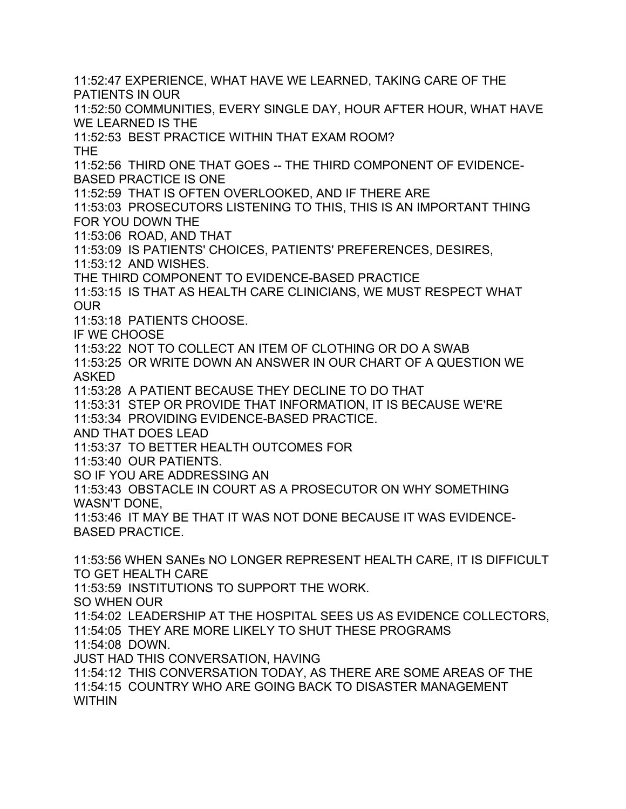11:52:47 EXPERIENCE, WHAT HAVE WE LEARNED, TAKING CARE OF THE PATIENTS IN OUR 11:52:50 COMMUNITIES, EVERY SINGLE DAY, HOUR AFTER HOUR, WHAT HAVE WE LEARNED IS THE 11:52:53 BEST PRACTICE WITHIN THAT EXAM ROOM? THE 11:52:56 THIRD ONE THAT GOES -- THE THIRD COMPONENT OF EVIDENCE-BASED PRACTICE IS ONE 11:52:59 THAT IS OFTEN OVERLOOKED, AND IF THERE ARE 11:53:03 PROSECUTORS LISTENING TO THIS, THIS IS AN IMPORTANT THING FOR YOU DOWN THE 11:53:06 ROAD, AND THAT 11:53:09 IS PATIENTS' CHOICES, PATIENTS' PREFERENCES, DESIRES, 11:53:12 AND WISHES. THE THIRD COMPONENT TO EVIDENCE-BASED PRACTICE 11:53:15 IS THAT AS HEALTH CARE CLINICIANS, WE MUST RESPECT WHAT OUR 11:53:18 PATIENTS CHOOSE. IF WE CHOOSE 11:53:22 NOT TO COLLECT AN ITEM OF CLOTHING OR DO A SWAB 11:53:25 OR WRITE DOWN AN ANSWER IN OUR CHART OF A QUESTION WE ASKED 11:53:28 A PATIENT BECAUSE THEY DECLINE TO DO THAT 11:53:31 STEP OR PROVIDE THAT INFORMATION, IT IS BECAUSE WE'RE 11:53:34 PROVIDING EVIDENCE-BASED PRACTICE. AND THAT DOES LEAD 11:53:37 TO BETTER HEALTH OUTCOMES FOR 11:53:40 OUR PATIENTS. SO IF YOU ARE ADDRESSING AN 11:53:43 OBSTACLE IN COURT AS A PROSECUTOR ON WHY SOMETHING WASN'T DONE, 11:53:46 IT MAY BE THAT IT WAS NOT DONE BECAUSE IT WAS EVIDENCE-BASED PRACTICE. 11:53:56 WHEN SANEs NO LONGER REPRESENT HEALTH CARE, IT IS DIFFICULT TO GET HEALTH CARE 11:53:59 INSTITUTIONS TO SUPPORT THE WORK. SO WHEN OUR 11:54:02 LEADERSHIP AT THE HOSPITAL SEES US AS EVIDENCE COLLECTORS, 11:54:05 THEY ARE MORE LIKELY TO SHUT THESE PROGRAMS 11:54:08 DOWN. JUST HAD THIS CONVERSATION, HAVING 11:54:12 THIS CONVERSATION TODAY, AS THERE ARE SOME AREAS OF THE 11:54:15 COUNTRY WHO ARE GOING BACK TO DISASTER MANAGEMENT WITHIN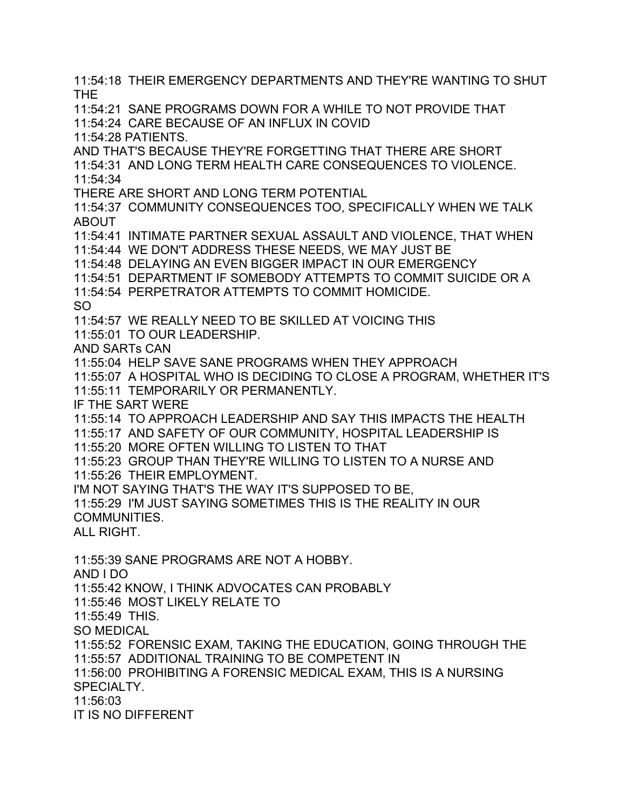11:54:18 THEIR EMERGENCY DEPARTMENTS AND THEY'RE WANTING TO SHUT THE 11:54:21 SANE PROGRAMS DOWN FOR A WHILE TO NOT PROVIDE THAT 11:54:24 CARE BECAUSE OF AN INFLUX IN COVID 11:54:28 PATIENTS. AND THAT'S BECAUSE THEY'RE FORGETTING THAT THERE ARE SHORT 11:54:31 AND LONG TERM HEALTH CARE CONSEQUENCES TO VIOLENCE. 11:54:34 THERE ARE SHORT AND LONG TERM POTENTIAL 11:54:37 COMMUNITY CONSEQUENCES TOO, SPECIFICALLY WHEN WE TALK ABOUT 11:54:41 INTIMATE PARTNER SEXUAL ASSAULT AND VIOLENCE, THAT WHEN 11:54:44 WE DON'T ADDRESS THESE NEEDS, WE MAY JUST BE 11:54:48 DELAYING AN EVEN BIGGER IMPACT IN OUR EMERGENCY 11:54:51 DEPARTMENT IF SOMEBODY ATTEMPTS TO COMMIT SUICIDE OR A 11:54:54 PERPETRATOR ATTEMPTS TO COMMIT HOMICIDE. SO 11:54:57 WE REALLY NEED TO BE SKILLED AT VOICING THIS 11:55:01 TO OUR LEADERSHIP. AND SARTs CAN 11:55:04 HELP SAVE SANE PROGRAMS WHEN THEY APPROACH 11:55:07 A HOSPITAL WHO IS DECIDING TO CLOSE A PROGRAM, WHETHER IT'S 11:55:11 TEMPORARILY OR PERMANENTLY. IF THE SART WERE 11:55:14 TO APPROACH LEADERSHIP AND SAY THIS IMPACTS THE HEALTH 11:55:17 AND SAFETY OF OUR COMMUNITY, HOSPITAL LEADERSHIP IS 11:55:20 MORE OFTEN WILLING TO LISTEN TO THAT 11:55:23 GROUP THAN THEY'RE WILLING TO LISTEN TO A NURSE AND 11:55:26 THEIR EMPLOYMENT. I'M NOT SAYING THAT'S THE WAY IT'S SUPPOSED TO BE, 11:55:29 I'M JUST SAYING SOMETIMES THIS IS THE REALITY IN OUR COMMUNITIES. ALL RIGHT. 11:55:39 SANE PROGRAMS ARE NOT A HOBBY. AND I DO 11:55:42 KNOW, I THINK ADVOCATES CAN PROBABLY 11:55:46 MOST LIKELY RELATE TO 11:55:49 THIS. SO MEDICAL 11:55:52 FORENSIC EXAM, TAKING THE EDUCATION, GOING THROUGH THE 11:55:57 ADDITIONAL TRAINING TO BE COMPETENT IN 11:56:00 PROHIBITING A FORENSIC MEDICAL EXAM, THIS IS A NURSING SPECIALTY. 11:56:03 IT IS NO DIFFERENT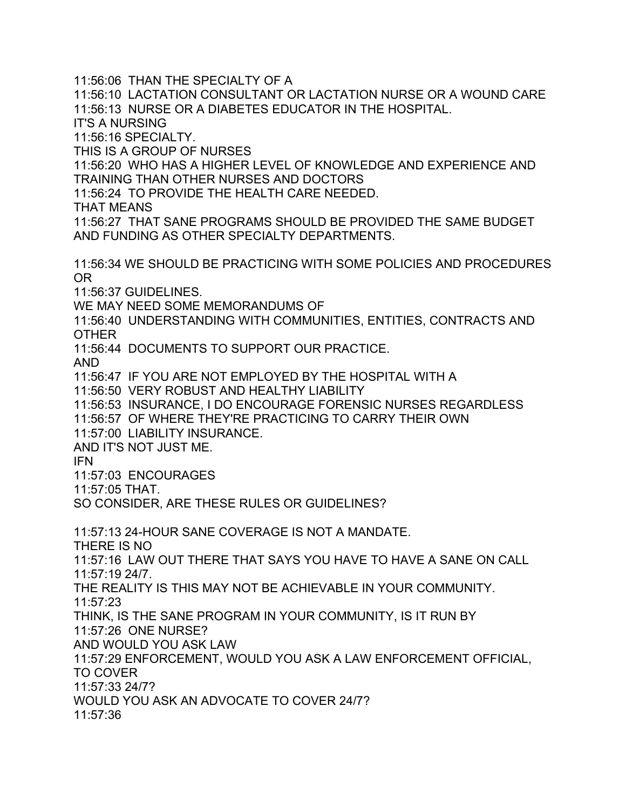11:56:06 THAN THE SPECIALTY OF A

11:56:10 LACTATION CONSULTANT OR LACTATION NURSE OR A WOUND CARE 11:56:13 NURSE OR A DIABETES EDUCATOR IN THE HOSPITAL.

IT'S A NURSING

11:56:16 SPECIALTY.

THIS IS A GROUP OF NURSES

11:56:20 WHO HAS A HIGHER LEVEL OF KNOWLEDGE AND EXPERIENCE AND TRAINING THAN OTHER NURSES AND DOCTORS

11:56:24 TO PROVIDE THE HEALTH CARE NEEDED.

THAT MEANS

11:56:27 THAT SANE PROGRAMS SHOULD BE PROVIDED THE SAME BUDGET AND FUNDING AS OTHER SPECIALTY DEPARTMENTS.

11:56:34 WE SHOULD BE PRACTICING WITH SOME POLICIES AND PROCEDURES OR

11:56:37 GUIDELINES.

WE MAY NEED SOME MEMORANDUMS OF

11:56:40 UNDERSTANDING WITH COMMUNITIES, ENTITIES, CONTRACTS AND OTHER

11:56:44 DOCUMENTS TO SUPPORT OUR PRACTICE.

AND

11:56:47 IF YOU ARE NOT EMPLOYED BY THE HOSPITAL WITH A

11:56:50 VERY ROBUST AND HEALTHY LIABILITY

11:56:53 INSURANCE, I DO ENCOURAGE FORENSIC NURSES REGARDLESS

11:56:57 OF WHERE THEY'RE PRACTICING TO CARRY THEIR OWN

11:57:00 LIABILITY INSURANCE.

AND IT'S NOT JUST ME.

IFN

11:57:03 ENCOURAGES

11:57:05 THAT.

SO CONSIDER, ARE THESE RULES OR GUIDELINES?

11:57:13 24-HOUR SANE COVERAGE IS NOT A MANDATE.

THERE IS NO

11:57:16 LAW OUT THERE THAT SAYS YOU HAVE TO HAVE A SANE ON CALL 11:57:19 24/7.

THE REALITY IS THIS MAY NOT BE ACHIEVABLE IN YOUR COMMUNITY.

11:57:23

THINK, IS THE SANE PROGRAM IN YOUR COMMUNITY, IS IT RUN BY

11:57:26 ONE NURSE?

AND WOULD YOU ASK LAW

11:57:29 ENFORCEMENT, WOULD YOU ASK A LAW ENFORCEMENT OFFICIAL, TO COVER 11:57:33 24/7?

WOULD YOU ASK AN ADVOCATE TO COVER 24/7?

11:57:36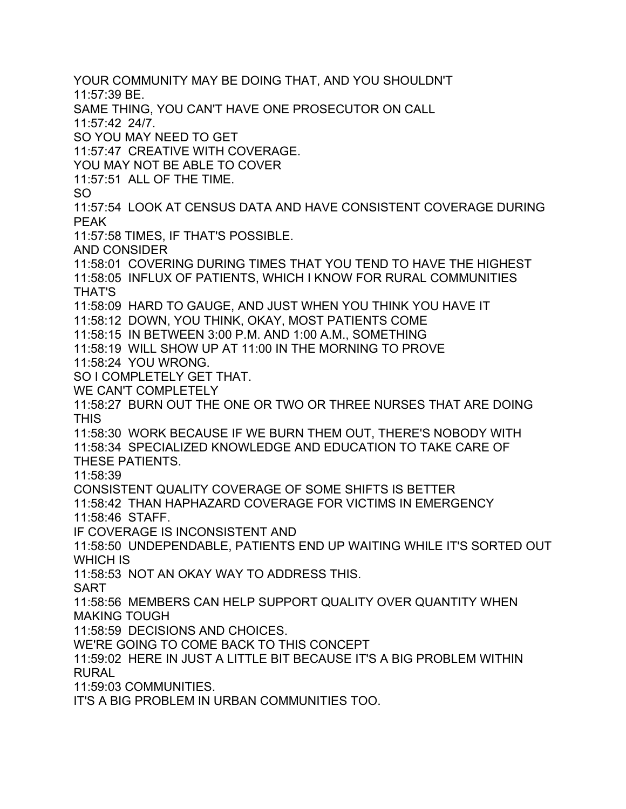YOUR COMMUNITY MAY BE DOING THAT, AND YOU SHOULDN'T 11:57:39 BE. SAME THING, YOU CAN'T HAVE ONE PROSECUTOR ON CALL 11:57:42 24/7. SO YOU MAY NEED TO GET 11:57:47 CREATIVE WITH COVERAGE. YOU MAY NOT BE ABLE TO COVER 11:57:51 ALL OF THE TIME. SO 11:57:54 LOOK AT CENSUS DATA AND HAVE CONSISTENT COVERAGE DURING PEAK 11:57:58 TIMES, IF THAT'S POSSIBLE. AND CONSIDER 11:58:01 COVERING DURING TIMES THAT YOU TEND TO HAVE THE HIGHEST 11:58:05 INFLUX OF PATIENTS, WHICH I KNOW FOR RURAL COMMUNITIES THAT'S 11:58:09 HARD TO GAUGE, AND JUST WHEN YOU THINK YOU HAVE IT 11:58:12 DOWN, YOU THINK, OKAY, MOST PATIENTS COME 11:58:15 IN BETWEEN 3:00 P.M. AND 1:00 A.M., SOMETHING 11:58:19 WILL SHOW UP AT 11:00 IN THE MORNING TO PROVE 11:58:24 YOU WRONG. SO I COMPLETELY GET THAT. WE CAN'T COMPLETELY 11:58:27 BURN OUT THE ONE OR TWO OR THREE NURSES THAT ARE DOING THIS 11:58:30 WORK BECAUSE IF WE BURN THEM OUT, THERE'S NOBODY WITH 11:58:34 SPECIALIZED KNOWLEDGE AND EDUCATION TO TAKE CARE OF THESE PATIENTS. 11:58:39 CONSISTENT QUALITY COVERAGE OF SOME SHIFTS IS BETTER 11:58:42 THAN HAPHAZARD COVERAGE FOR VICTIMS IN EMERGENCY 11:58:46 STAFF. IF COVERAGE IS INCONSISTENT AND 11:58:50 UNDEPENDABLE, PATIENTS END UP WAITING WHILE IT'S SORTED OUT WHICH IS 11:58:53 NOT AN OKAY WAY TO ADDRESS THIS. SART 11:58:56 MEMBERS CAN HELP SUPPORT QUALITY OVER QUANTITY WHEN MAKING TOUGH 11:58:59 DECISIONS AND CHOICES. WE'RE GOING TO COME BACK TO THIS CONCEPT 11:59:02 HERE IN JUST A LITTLE BIT BECAUSE IT'S A BIG PROBLEM WITHIN RURAL 11:59:03 COMMUNITIES. IT'S A BIG PROBLEM IN URBAN COMMUNITIES TOO.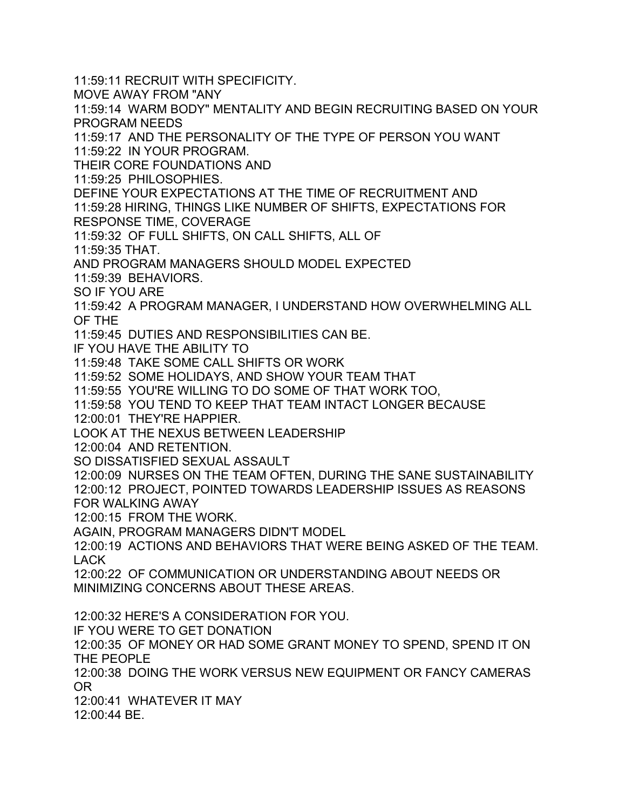11:59:11 RECRUIT WITH SPECIFICITY.

MOVE AWAY FROM "ANY

11:59:14 WARM BODY" MENTALITY AND BEGIN RECRUITING BASED ON YOUR PROGRAM NEEDS

11:59:17 AND THE PERSONALITY OF THE TYPE OF PERSON YOU WANT 11:59:22 IN YOUR PROGRAM.

THEIR CORE FOUNDATIONS AND

11:59:25 PHILOSOPHIES.

DEFINE YOUR EXPECTATIONS AT THE TIME OF RECRUITMENT AND

11:59:28 HIRING, THINGS LIKE NUMBER OF SHIFTS, EXPECTATIONS FOR RESPONSE TIME, COVERAGE

11:59:32 OF FULL SHIFTS, ON CALL SHIFTS, ALL OF

11:59:35 THAT.

AND PROGRAM MANAGERS SHOULD MODEL EXPECTED

11:59:39 BEHAVIORS.

SO IF YOU ARE

11:59:42 A PROGRAM MANAGER, I UNDERSTAND HOW OVERWHELMING ALL OF THE

11:59:45 DUTIES AND RESPONSIBILITIES CAN BE.

IF YOU HAVE THE ABILITY TO

11:59:48 TAKE SOME CALL SHIFTS OR WORK

11:59:52 SOME HOLIDAYS, AND SHOW YOUR TEAM THAT

11:59:55 YOU'RE WILLING TO DO SOME OF THAT WORK TOO,

11:59:58 YOU TEND TO KEEP THAT TEAM INTACT LONGER BECAUSE

12:00:01 THEY'RE HAPPIER.

LOOK AT THE NEXUS BETWEEN LEADERSHIP

12:00:04 AND RETENTION.

SO DISSATISFIED SEXUAL ASSAULT

12:00:09 NURSES ON THE TEAM OFTEN, DURING THE SANE SUSTAINABILITY 12:00:12 PROJECT, POINTED TOWARDS LEADERSHIP ISSUES AS REASONS FOR WALKING AWAY

12:00:15 FROM THE WORK.

AGAIN, PROGRAM MANAGERS DIDN'T MODEL

12:00:19 ACTIONS AND BEHAVIORS THAT WERE BEING ASKED OF THE TEAM. LACK

12:00:22 OF COMMUNICATION OR UNDERSTANDING ABOUT NEEDS OR MINIMIZING CONCERNS ABOUT THESE AREAS.

12:00:32 HERE'S A CONSIDERATION FOR YOU.

IF YOU WERE TO GET DONATION

12:00:35 OF MONEY OR HAD SOME GRANT MONEY TO SPEND, SPEND IT ON THE PEOPLE

12:00:38 DOING THE WORK VERSUS NEW EQUIPMENT OR FANCY CAMERAS OR

12:00:41 WHATEVER IT MAY

12:00:44 BE.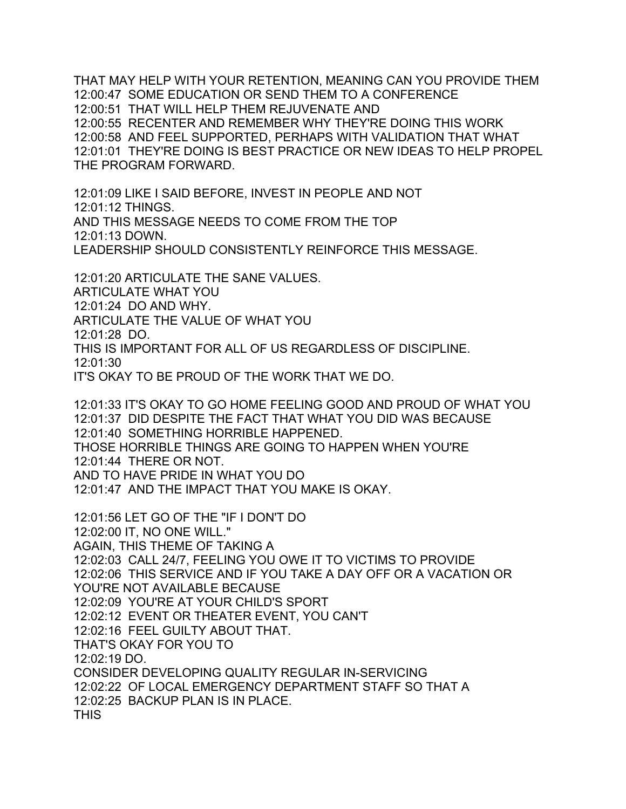THAT MAY HELP WITH YOUR RETENTION, MEANING CAN YOU PROVIDE THEM 12:00:47 SOME EDUCATION OR SEND THEM TO A CONFERENCE 12:00:51 THAT WILL HELP THEM REJUVENATE AND 12:00:55 RECENTER AND REMEMBER WHY THEY'RE DOING THIS WORK 12:00:58 AND FEEL SUPPORTED, PERHAPS WITH VALIDATION THAT WHAT 12:01:01 THEY'RE DOING IS BEST PRACTICE OR NEW IDEAS TO HELP PROPEL THE PROGRAM FORWARD.

12:01:09 LIKE I SAID BEFORE, INVEST IN PEOPLE AND NOT 12:01:12 THINGS. AND THIS MESSAGE NEEDS TO COME FROM THE TOP 12:01:13 DOWN. LEADERSHIP SHOULD CONSISTENTLY REINFORCE THIS MESSAGE.

12:01:20 ARTICULATE THE SANE VALUES. ARTICULATE WHAT YOU 12:01:24 DO AND WHY. ARTICULATE THE VALUE OF WHAT YOU 12:01:28 DO. THIS IS IMPORTANT FOR ALL OF US REGARDLESS OF DISCIPLINE. 12:01:30 IT'S OKAY TO BE PROUD OF THE WORK THAT WE DO.

12:01:33 IT'S OKAY TO GO HOME FEELING GOOD AND PROUD OF WHAT YOU 12:01:37 DID DESPITE THE FACT THAT WHAT YOU DID WAS BECAUSE 12:01:40 SOMETHING HORRIBLE HAPPENED. THOSE HORRIBLE THINGS ARE GOING TO HAPPEN WHEN YOU'RE 12:01:44 THERE OR NOT. AND TO HAVE PRIDE IN WHAT YOU DO 12:01:47 AND THE IMPACT THAT YOU MAKE IS OKAY.

12:01:56 LET GO OF THE "IF I DON'T DO 12:02:00 IT, NO ONE WILL." AGAIN, THIS THEME OF TAKING A 12:02:03 CALL 24/7, FEELING YOU OWE IT TO VICTIMS TO PROVIDE 12:02:06 THIS SERVICE AND IF YOU TAKE A DAY OFF OR A VACATION OR YOU'RE NOT AVAILABLE BECAUSE 12:02:09 YOU'RE AT YOUR CHILD'S SPORT 12:02:12 EVENT OR THEATER EVENT, YOU CAN'T 12:02:16 FEEL GUILTY ABOUT THAT. THAT'S OKAY FOR YOU TO 12:02:19 DO. CONSIDER DEVELOPING QUALITY REGULAR IN-SERVICING 12:02:22 OF LOCAL EMERGENCY DEPARTMENT STAFF SO THAT A 12:02:25 BACKUP PLAN IS IN PLACE. **THIS**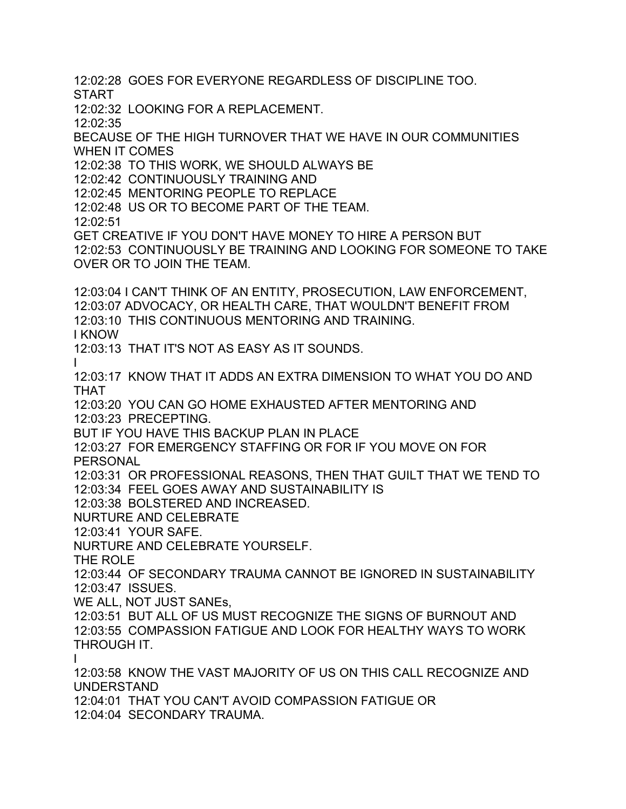12:02:28 GOES FOR EVERYONE REGARDLESS OF DISCIPLINE TOO.

START

12:02:32 LOOKING FOR A REPLACEMENT.

12:02:35

BECAUSE OF THE HIGH TURNOVER THAT WE HAVE IN OUR COMMUNITIES WHEN IT COMES

12:02:38 TO THIS WORK, WE SHOULD ALWAYS BE

12:02:42 CONTINUOUSLY TRAINING AND

12:02:45 MENTORING PEOPLE TO REPLACE

12:02:48 US OR TO BECOME PART OF THE TEAM.

12:02:51

GET CREATIVE IF YOU DON'T HAVE MONEY TO HIRE A PERSON BUT 12:02:53 CONTINUOUSLY BE TRAINING AND LOOKING FOR SOMEONE TO TAKE OVER OR TO JOIN THE TEAM.

12:03:04 I CAN'T THINK OF AN ENTITY, PROSECUTION, LAW ENFORCEMENT, 12:03:07 ADVOCACY, OR HEALTH CARE, THAT WOULDN'T BENEFIT FROM 12:03:10 THIS CONTINUOUS MENTORING AND TRAINING.

I KNOW

12:03:13 THAT IT'S NOT AS EASY AS IT SOUNDS.

I

12:03:17 KNOW THAT IT ADDS AN EXTRA DIMENSION TO WHAT YOU DO AND THAT

12:03:20 YOU CAN GO HOME EXHAUSTED AFTER MENTORING AND 12:03:23 PRECEPTING.

BUT IF YOU HAVE THIS BACKUP PLAN IN PLACE

12:03:27 FOR EMERGENCY STAFFING OR FOR IF YOU MOVE ON FOR PERSONAL

12:03:31 OR PROFESSIONAL REASONS, THEN THAT GUILT THAT WE TEND TO 12:03:34 FEEL GOES AWAY AND SUSTAINABILITY IS

12:03:38 BOLSTERED AND INCREASED.

NURTURE AND CELEBRATE

12:03:41 YOUR SAFE.

NURTURE AND CELEBRATE YOURSELF.

THE ROLE

12:03:44 OF SECONDARY TRAUMA CANNOT BE IGNORED IN SUSTAINABILITY 12:03:47 ISSUES.

WE ALL, NOT JUST SANEs,

12:03:51 BUT ALL OF US MUST RECOGNIZE THE SIGNS OF BURNOUT AND 12:03:55 COMPASSION FATIGUE AND LOOK FOR HEALTHY WAYS TO WORK THROUGH IT.

I

12:03:58 KNOW THE VAST MAJORITY OF US ON THIS CALL RECOGNIZE AND UNDERSTAND

12:04:01 THAT YOU CAN'T AVOID COMPASSION FATIGUE OR

12:04:04 SECONDARY TRAUMA.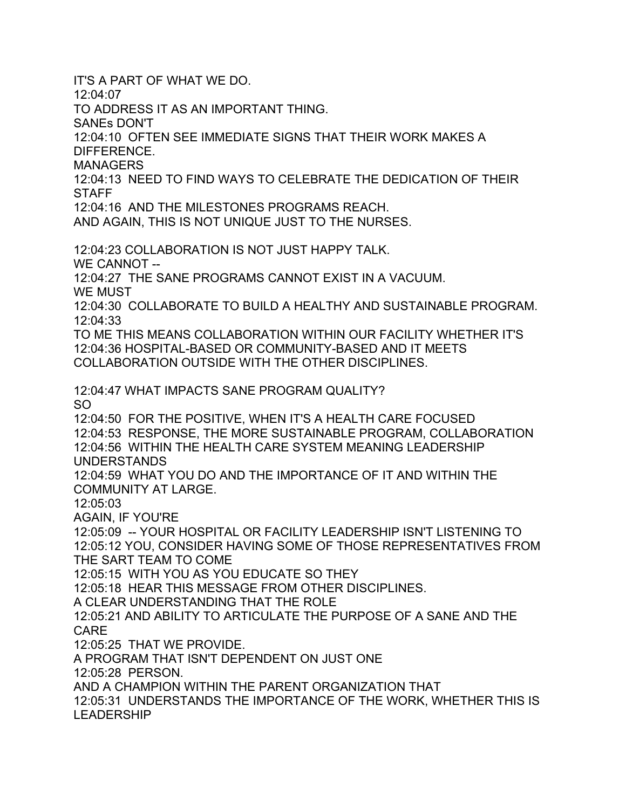IT'S A PART OF WHAT WE DO.

 $12.04.07$ 

TO ADDRESS IT AS AN IMPORTANT THING.

SANEs DON'T

12:04:10 OFTEN SEE IMMEDIATE SIGNS THAT THEIR WORK MAKES A DIFFERENCE.

**MANAGERS** 

12:04:13 NEED TO FIND WAYS TO CELEBRATE THE DEDICATION OF THEIR **STAFF** 

12:04:16 AND THE MILESTONES PROGRAMS REACH.

AND AGAIN, THIS IS NOT UNIQUE JUST TO THE NURSES.

12:04:23 COLLABORATION IS NOT JUST HAPPY TALK. WE CANNOT -- 12:04:27 THE SANE PROGRAMS CANNOT EXIST IN A VACUUM. WE MUST 12:04:30 COLLABORATE TO BUILD A HEALTHY AND SUSTAINABLE PROGRAM. 12:04:33

TO ME THIS MEANS COLLABORATION WITHIN OUR FACILITY WHETHER IT'S 12:04:36 HOSPITAL-BASED OR COMMUNITY-BASED AND IT MEETS COLLABORATION OUTSIDE WITH THE OTHER DISCIPLINES.

12:04:47 WHAT IMPACTS SANE PROGRAM QUALITY? SO

12:04:50 FOR THE POSITIVE, WHEN IT'S A HEALTH CARE FOCUSED 12:04:53 RESPONSE, THE MORE SUSTAINABLE PROGRAM, COLLABORATION 12:04:56 WITHIN THE HEALTH CARE SYSTEM MEANING LEADERSHIP UNDERSTANDS 12:04:59 WHAT YOU DO AND THE IMPORTANCE OF IT AND WITHIN THE

COMMUNITY AT LARGE.

12:05:03

AGAIN, IF YOU'RE

12:05:09 -- YOUR HOSPITAL OR FACILITY LEADERSHIP ISN'T LISTENING TO 12:05:12 YOU, CONSIDER HAVING SOME OF THOSE REPRESENTATIVES FROM THE SART TEAM TO COME

12:05:15 WITH YOU AS YOU EDUCATE SO THEY

12:05:18 HEAR THIS MESSAGE FROM OTHER DISCIPLINES.

A CLEAR UNDERSTANDING THAT THE ROLE

12:05:21 AND ABILITY TO ARTICULATE THE PURPOSE OF A SANE AND THE CARE

12:05:25 THAT WE PROVIDE.

A PROGRAM THAT ISN'T DEPENDENT ON JUST ONE

12:05:28 PERSON.

AND A CHAMPION WITHIN THE PARENT ORGANIZATION THAT

12:05:31 UNDERSTANDS THE IMPORTANCE OF THE WORK, WHETHER THIS IS LEADERSHIP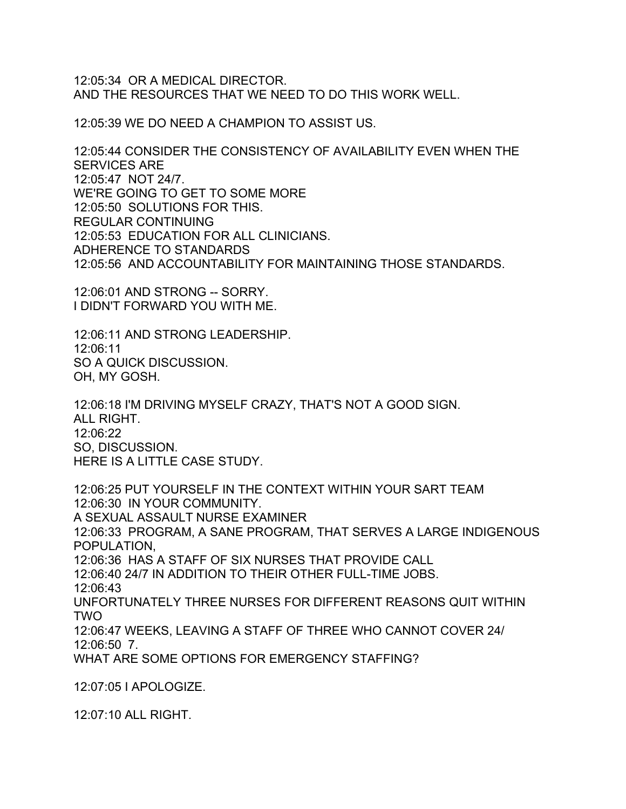12:05:34 OR A MEDICAL DIRECTOR. AND THE RESOURCES THAT WE NEED TO DO THIS WORK WELL.

12:05:39 WE DO NEED A CHAMPION TO ASSIST US.

12:05:44 CONSIDER THE CONSISTENCY OF AVAILABILITY EVEN WHEN THE SERVICES ARE 12:05:47 NOT 24/7. WE'RE GOING TO GET TO SOME MORE 12:05:50 SOLUTIONS FOR THIS. REGULAR CONTINUING 12:05:53 EDUCATION FOR ALL CLINICIANS. ADHERENCE TO STANDARDS 12:05:56 AND ACCOUNTABILITY FOR MAINTAINING THOSE STANDARDS.

12:06:01 AND STRONG -- SORRY. I DIDN'T FORWARD YOU WITH ME.

12:06:11 AND STRONG LEADERSHIP. 12:06:11 SO A QUICK DISCUSSION. OH, MY GOSH.

12:06:18 I'M DRIVING MYSELF CRAZY, THAT'S NOT A GOOD SIGN. ALL RIGHT. 12:06:22 SO, DISCUSSION. HERE IS A LITTLE CASE STUDY.

12:06:25 PUT YOURSELF IN THE CONTEXT WITHIN YOUR SART TEAM 12:06:30 IN YOUR COMMUNITY. A SEXUAL ASSAULT NURSE EXAMINER 12:06:33 PROGRAM, A SANE PROGRAM, THAT SERVES A LARGE INDIGENOUS POPULATION, 12:06:36 HAS A STAFF OF SIX NURSES THAT PROVIDE CALL 12:06:40 24/7 IN ADDITION TO THEIR OTHER FULL-TIME JOBS.  $12.06:43$ UNFORTUNATELY THREE NURSES FOR DIFFERENT REASONS QUIT WITHIN TWO 12:06:47 WEEKS, LEAVING A STAFF OF THREE WHO CANNOT COVER 24/ 12:06:50 7. WHAT ARE SOME OPTIONS FOR EMERGENCY STAFFING?

12:07:05 I APOLOGIZE.

12:07:10 ALL RIGHT.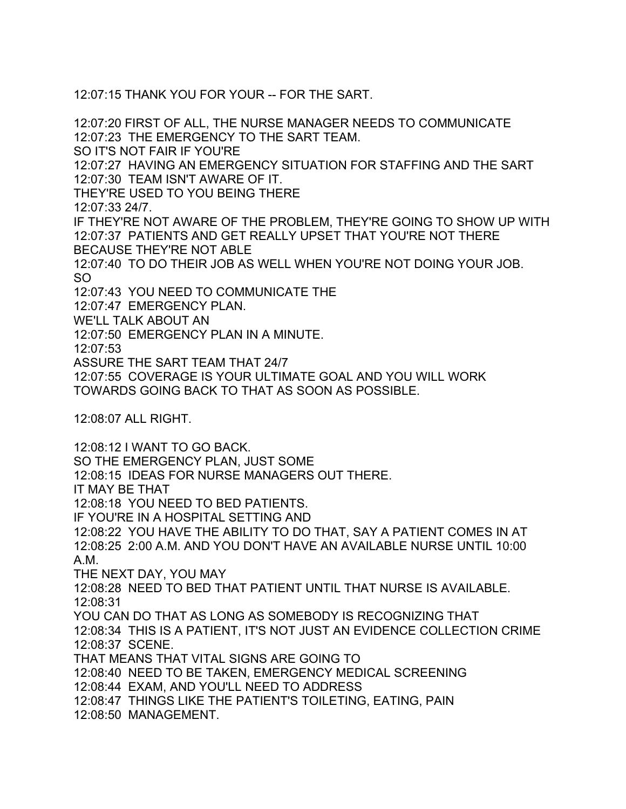12:07:15 THANK YOU FOR YOUR -- FOR THE SART.

12:07:20 FIRST OF ALL, THE NURSE MANAGER NEEDS TO COMMUNICATE 12:07:23 THE EMERGENCY TO THE SART TEAM. SO IT'S NOT FAIR IF YOU'RE 12:07:27 HAVING AN EMERGENCY SITUATION FOR STAFFING AND THE SART 12:07:30 TEAM ISN'T AWARE OF IT. THEY'RE USED TO YOU BEING THERE 12:07:33 24/7. IF THEY'RE NOT AWARE OF THE PROBLEM, THEY'RE GOING TO SHOW UP WITH 12:07:37 PATIENTS AND GET REALLY UPSET THAT YOU'RE NOT THERE BECAUSE THEY'RE NOT ABLE 12:07:40 TO DO THEIR JOB AS WELL WHEN YOU'RE NOT DOING YOUR JOB. SO 12:07:43 YOU NEED TO COMMUNICATE THE 12:07:47 EMERGENCY PLAN. WE'LL TALK ABOUT AN 12:07:50 EMERGENCY PLAN IN A MINUTE. 12:07:53 ASSURE THE SART TEAM THAT 24/7 12:07:55 COVERAGE IS YOUR ULTIMATE GOAL AND YOU WILL WORK TOWARDS GOING BACK TO THAT AS SOON AS POSSIBLE. 12:08:07 ALL RIGHT. 12:08:12 I WANT TO GO BACK. SO THE EMERGENCY PLAN, JUST SOME 12:08:15 IDEAS FOR NURSE MANAGERS OUT THERE. IT MAY BE THAT 12:08:18 YOU NEED TO BED PATIENTS. IF YOU'RE IN A HOSPITAL SETTING AND 12:08:22 YOU HAVE THE ABILITY TO DO THAT, SAY A PATIENT COMES IN AT 12:08:25 2:00 A.M. AND YOU DON'T HAVE AN AVAILABLE NURSE UNTIL 10:00 A.M.

THE NEXT DAY, YOU MAY

12:08:28 NEED TO BED THAT PATIENT UNTIL THAT NURSE IS AVAILABLE. 12:08:31

YOU CAN DO THAT AS LONG AS SOMEBODY IS RECOGNIZING THAT 12:08:34 THIS IS A PATIENT, IT'S NOT JUST AN EVIDENCE COLLECTION CRIME 12:08:37 SCENE. THAT MEANS THAT VITAL SIGNS ARE GOING TO

12:08:40 NEED TO BE TAKEN, EMERGENCY MEDICAL SCREENING

12:08:44 EXAM, AND YOU'LL NEED TO ADDRESS

12:08:47 THINGS LIKE THE PATIENT'S TOILETING, EATING, PAIN

12:08:50 MANAGEMENT.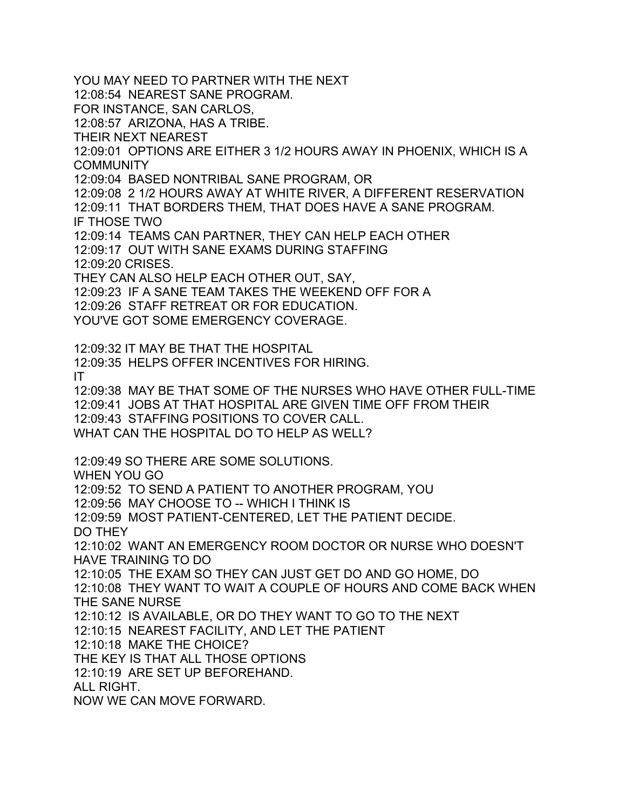YOU MAY NEED TO PARTNER WITH THE NEXT 12:08:54 NEAREST SANE PROGRAM. FOR INSTANCE, SAN CARLOS, 12:08:57 ARIZONA, HAS A TRIBE. THEIR NEXT NEAREST 12:09:01 OPTIONS ARE EITHER 3 1/2 HOURS AWAY IN PHOENIX, WHICH IS A **COMMUNITY** 12:09:04 BASED NONTRIBAL SANE PROGRAM, OR 12:09:08 2 1/2 HOURS AWAY AT WHITE RIVER, A DIFFERENT RESERVATION 12:09:11 THAT BORDERS THEM, THAT DOES HAVE A SANE PROGRAM. IF THOSE TWO 12:09:14 TEAMS CAN PARTNER, THEY CAN HELP EACH OTHER 12:09:17 OUT WITH SANE EXAMS DURING STAFFING 12:09:20 CRISES. THEY CAN ALSO HELP EACH OTHER OUT, SAY, 12:09:23 IF A SANE TEAM TAKES THE WEEKEND OFF FOR A 12:09:26 STAFF RETREAT OR FOR EDUCATION. YOU'VE GOT SOME EMERGENCY COVERAGE. 12:09:32 IT MAY BE THAT THE HOSPITAL 12:09:35 HELPS OFFER INCENTIVES FOR HIRING. IT 12:09:38 MAY BE THAT SOME OF THE NURSES WHO HAVE OTHER FULL-TIME 12:09:41 JOBS AT THAT HOSPITAL ARE GIVEN TIME OFF FROM THEIR 12:09:43 STAFFING POSITIONS TO COVER CALL. WHAT CAN THE HOSPITAL DO TO HELP AS WELL? 12:09:49 SO THERE ARE SOME SOLUTIONS. WHEN YOU GO 12:09:52 TO SEND A PATIENT TO ANOTHER PROGRAM, YOU 12:09:56 MAY CHOOSE TO -- WHICH I THINK IS 12:09:59 MOST PATIENT-CENTERED, LET THE PATIENT DECIDE. DO THEY 12:10:02 WANT AN EMERGENCY ROOM DOCTOR OR NURSE WHO DOESN'T HAVE TRAINING TO DO 12:10:05 THE EXAM SO THEY CAN JUST GET DO AND GO HOME, DO 12:10:08 THEY WANT TO WAIT A COUPLE OF HOURS AND COME BACK WHEN THE SANE NURSE 12:10:12 IS AVAILABLE, OR DO THEY WANT TO GO TO THE NEXT 12:10:15 NEAREST FACILITY, AND LET THE PATIENT 12:10:18 MAKE THE CHOICE? THE KEY IS THAT ALL THOSE OPTIONS 12:10:19 ARE SET UP BEFOREHAND. ALL RIGHT. NOW WE CAN MOVE FORWARD.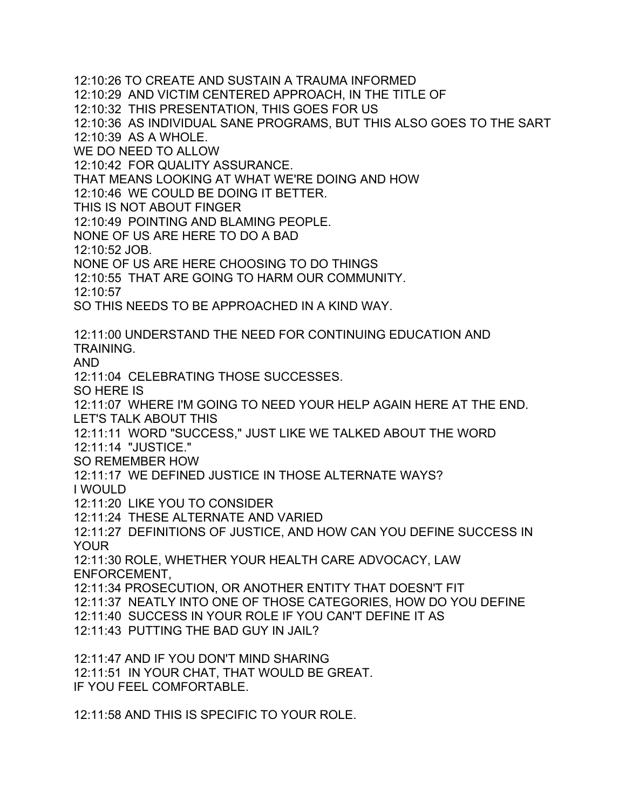12:10:26 TO CREATE AND SUSTAIN A TRAUMA INFORMED 12:10:29 AND VICTIM CENTERED APPROACH, IN THE TITLE OF 12:10:32 THIS PRESENTATION, THIS GOES FOR US 12:10:36 AS INDIVIDUAL SANE PROGRAMS, BUT THIS ALSO GOES TO THE SART 12:10:39 AS A WHOLE. WE DO NEED TO ALLOW 12:10:42 FOR QUALITY ASSURANCE. THAT MEANS LOOKING AT WHAT WE'RE DOING AND HOW 12:10:46 WE COULD BE DOING IT BETTER. THIS IS NOT ABOUT FINGER 12:10:49 POINTING AND BLAMING PEOPLE. NONE OF US ARE HERE TO DO A BAD 12:10:52 JOB. NONE OF US ARE HERE CHOOSING TO DO THINGS 12:10:55 THAT ARE GOING TO HARM OUR COMMUNITY. 12:10:57 SO THIS NEEDS TO BE APPROACHED IN A KIND WAY. 12:11:00 UNDERSTAND THE NEED FOR CONTINUING EDUCATION AND TRAINING. AND 12:11:04 CELEBRATING THOSE SUCCESSES. SO HERE IS 12:11:07 WHERE I'M GOING TO NEED YOUR HELP AGAIN HERE AT THE END. LET'S TALK ABOUT THIS 12:11:11 WORD "SUCCESS," JUST LIKE WE TALKED ABOUT THE WORD 12:11:14 "JUSTICE." SO REMEMBER HOW 12:11:17 WE DEFINED JUSTICE IN THOSE ALTERNATE WAYS? I WOULD 12:11:20 LIKE YOU TO CONSIDER 12:11:24 THESE ALTERNATE AND VARIED 12:11:27 DEFINITIONS OF JUSTICE, AND HOW CAN YOU DEFINE SUCCESS IN YOUR 12:11:30 ROLE, WHETHER YOUR HEALTH CARE ADVOCACY, LAW ENFORCEMENT, 12:11:34 PROSECUTION, OR ANOTHER ENTITY THAT DOESN'T FIT 12:11:37 NEATLY INTO ONE OF THOSE CATEGORIES, HOW DO YOU DEFINE 12:11:40 SUCCESS IN YOUR ROLE IF YOU CAN'T DEFINE IT AS 12:11:43 PUTTING THE BAD GUY IN JAIL? 12:11:47 AND IF YOU DON'T MIND SHARING 12:11:51 IN YOUR CHAT, THAT WOULD BE GREAT. IF YOU FEEL COMFORTABLE.

12:11:58 AND THIS IS SPECIFIC TO YOUR ROLE.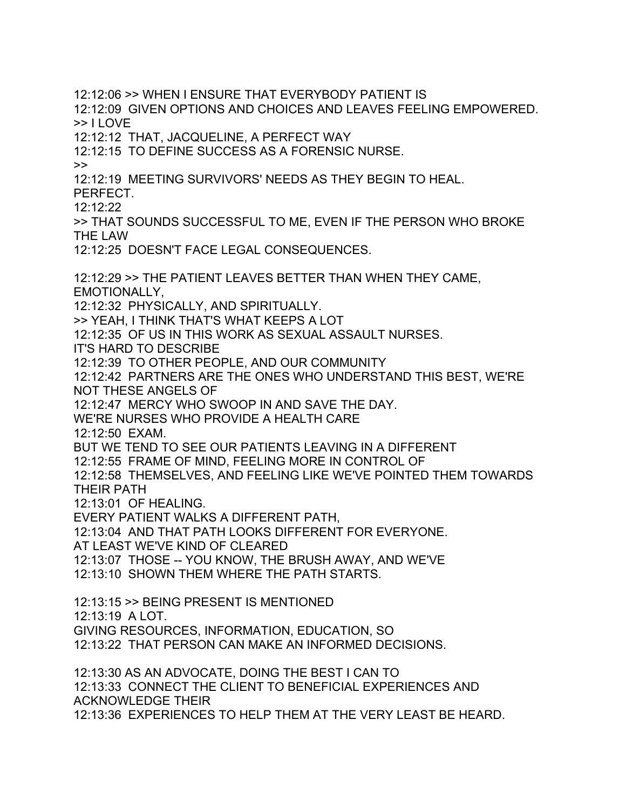12:12:06 >> WHEN I ENSURE THAT EVERYBODY PATIENT IS 12:12:09 GIVEN OPTIONS AND CHOICES AND LEAVES FEELING EMPOWERED. >> I LOVE 12:12:12 THAT, JACQUELINE, A PERFECT WAY 12:12:15 TO DEFINE SUCCESS AS A FORENSIC NURSE.  $\geq$ 12:12:19 MEETING SURVIVORS' NEEDS AS THEY BEGIN TO HEAL. PERFECT. 12:12:22 >> THAT SOUNDS SUCCESSFUL TO ME, EVEN IF THE PERSON WHO BROKE THE LAW 12:12:25 DOESN'T FACE LEGAL CONSEQUENCES. 12:12:29 >> THE PATIENT LEAVES BETTER THAN WHEN THEY CAME, EMOTIONALLY, 12:12:32 PHYSICALLY, AND SPIRITUALLY. >> YEAH, I THINK THAT'S WHAT KEEPS A LOT 12:12:35 OF US IN THIS WORK AS SEXUAL ASSAULT NURSES. IT'S HARD TO DESCRIBE 12:12:39 TO OTHER PEOPLE, AND OUR COMMUNITY 12:12:42 PARTNERS ARE THE ONES WHO UNDERSTAND THIS BEST, WE'RE NOT THESE ANGELS OF 12:12:47 MERCY WHO SWOOP IN AND SAVE THE DAY. WE'RE NURSES WHO PROVIDE A HEALTH CARE 12:12:50 EXAM. BUT WE TEND TO SEE OUR PATIENTS LEAVING IN A DIFFERENT 12:12:55 FRAME OF MIND, FEELING MORE IN CONTROL OF 12:12:58 THEMSELVES, AND FEELING LIKE WE'VE POINTED THEM TOWARDS THEIR PATH 12:13:01 OF HEALING. EVERY PATIENT WALKS A DIFFERENT PATH, 12:13:04 AND THAT PATH LOOKS DIFFERENT FOR EVERYONE. AT LEAST WE'VE KIND OF CLEARED 12:13:07 THOSE -- YOU KNOW, THE BRUSH AWAY, AND WE'VE 12:13:10 SHOWN THEM WHERE THE PATH STARTS. 12:13:15 >> BEING PRESENT IS MENTIONED 12:13:19 A LOT. GIVING RESOURCES, INFORMATION, EDUCATION, SO 12:13:22 THAT PERSON CAN MAKE AN INFORMED DECISIONS. 12:13:30 AS AN ADVOCATE, DOING THE BEST I CAN TO 12:13:33 CONNECT THE CLIENT TO BENEFICIAL EXPERIENCES AND ACKNOWLEDGE THEIR 12:13:36 EXPERIENCES TO HELP THEM AT THE VERY LEAST BE HEARD.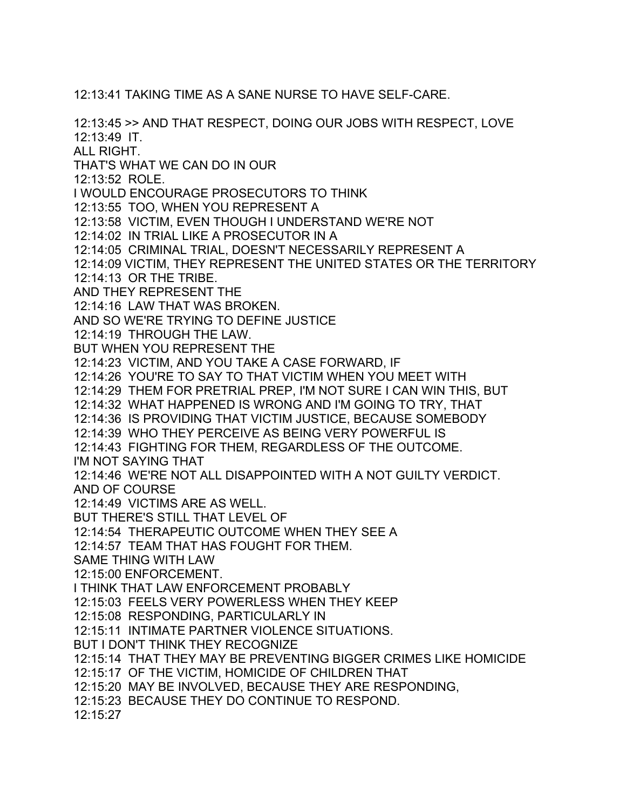12:13:41 TAKING TIME AS A SANE NURSE TO HAVE SELF-CARE.

12:13:45 >> AND THAT RESPECT, DOING OUR JOBS WITH RESPECT, LOVE 12:13:49 IT. ALL RIGHT. THAT'S WHAT WE CAN DO IN OUR 12:13:52 ROLE. I WOULD ENCOURAGE PROSECUTORS TO THINK 12:13:55 TOO, WHEN YOU REPRESENT A 12:13:58 VICTIM, EVEN THOUGH I UNDERSTAND WE'RE NOT 12:14:02 IN TRIAL LIKE A PROSECUTOR IN A 12:14:05 CRIMINAL TRIAL, DOESN'T NECESSARILY REPRESENT A 12:14:09 VICTIM, THEY REPRESENT THE UNITED STATES OR THE TERRITORY 12:14:13 OR THE TRIBE. AND THEY REPRESENT THE 12:14:16 LAW THAT WAS BROKEN. AND SO WE'RE TRYING TO DEFINE JUSTICE 12:14:19 THROUGH THE LAW. BUT WHEN YOU REPRESENT THE 12:14:23 VICTIM, AND YOU TAKE A CASE FORWARD, IF 12:14:26 YOU'RE TO SAY TO THAT VICTIM WHEN YOU MEET WITH 12:14:29 THEM FOR PRETRIAL PREP, I'M NOT SURE I CAN WIN THIS, BUT 12:14:32 WHAT HAPPENED IS WRONG AND I'M GOING TO TRY, THAT 12:14:36 IS PROVIDING THAT VICTIM JUSTICE, BECAUSE SOMEBODY 12:14:39 WHO THEY PERCEIVE AS BEING VERY POWERFUL IS 12:14:43 FIGHTING FOR THEM, REGARDLESS OF THE OUTCOME. I'M NOT SAYING THAT 12:14:46 WE'RE NOT ALL DISAPPOINTED WITH A NOT GUILTY VERDICT. AND OF COURSE 12:14:49 VICTIMS ARE AS WELL. BUT THERE'S STILL THAT LEVEL OF 12:14:54 THERAPEUTIC OUTCOME WHEN THEY SEE A 12:14:57 TEAM THAT HAS FOUGHT FOR THEM. SAME THING WITH LAW 12:15:00 ENFORCEMENT. I THINK THAT LAW ENFORCEMENT PROBABLY 12:15:03 FEELS VERY POWERLESS WHEN THEY KEEP 12:15:08 RESPONDING, PARTICULARLY IN 12:15:11 INTIMATE PARTNER VIOLENCE SITUATIONS. BUT I DON'T THINK THEY RECOGNIZE 12:15:14 THAT THEY MAY BE PREVENTING BIGGER CRIMES LIKE HOMICIDE 12:15:17 OF THE VICTIM, HOMICIDE OF CHILDREN THAT 12:15:20 MAY BE INVOLVED, BECAUSE THEY ARE RESPONDING, 12:15:23 BECAUSE THEY DO CONTINUE TO RESPOND. 12:15:27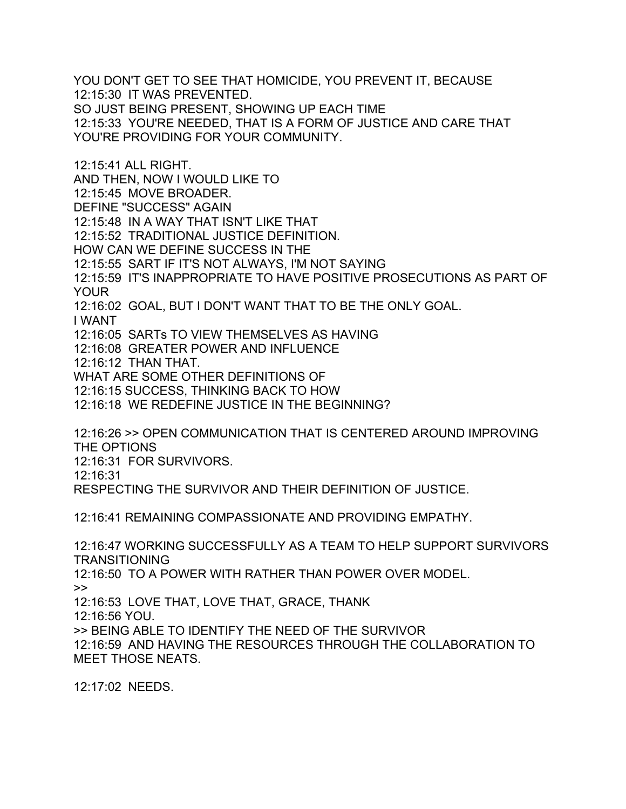YOU DON'T GET TO SEE THAT HOMICIDE, YOU PREVENT IT, BECAUSE 12:15:30 IT WAS PREVENTED. SO JUST BEING PRESENT, SHOWING UP EACH TIME 12:15:33 YOU'RE NEEDED, THAT IS A FORM OF JUSTICE AND CARE THAT YOU'RE PROVIDING FOR YOUR COMMUNITY.

12:15:41 ALL RIGHT. AND THEN, NOW I WOULD LIKE TO 12:15:45 MOVE BROADER. DEFINE "SUCCESS" AGAIN 12:15:48 IN A WAY THAT ISN'T LIKE THAT 12:15:52 TRADITIONAL JUSTICE DEFINITION. HOW CAN WE DEFINE SUCCESS IN THE 12:15:55 SART IF IT'S NOT ALWAYS, I'M NOT SAYING 12:15:59 IT'S INAPPROPRIATE TO HAVE POSITIVE PROSECUTIONS AS PART OF YOUR 12:16:02 GOAL, BUT I DON'T WANT THAT TO BE THE ONLY GOAL. I WANT 12:16:05 SARTs TO VIEW THEMSELVES AS HAVING 12:16:08 GREATER POWER AND INFLUENCE 12:16:12 THAN THAT. WHAT ARE SOME OTHER DEFINITIONS OF 12:16:15 SUCCESS, THINKING BACK TO HOW 12:16:18 WE REDEFINE JUSTICE IN THE BEGINNING?

12:16:26 >> OPEN COMMUNICATION THAT IS CENTERED AROUND IMPROVING THE OPTIONS

12:16:31 FOR SURVIVORS.

12:16:31

RESPECTING THE SURVIVOR AND THEIR DEFINITION OF JUSTICE.

12:16:41 REMAINING COMPASSIONATE AND PROVIDING EMPATHY.

12:16:47 WORKING SUCCESSFULLY AS A TEAM TO HELP SUPPORT SURVIVORS TRANSITIONING

12:16:50 TO A POWER WITH RATHER THAN POWER OVER MODEL.  $\gt$ 

12:16:53 LOVE THAT, LOVE THAT, GRACE, THANK

12:16:56 YOU.

>> BEING ABLE TO IDENTIFY THE NEED OF THE SURVIVOR

12:16:59 AND HAVING THE RESOURCES THROUGH THE COLLABORATION TO MEET THOSE NEATS.

12:17:02 NEEDS.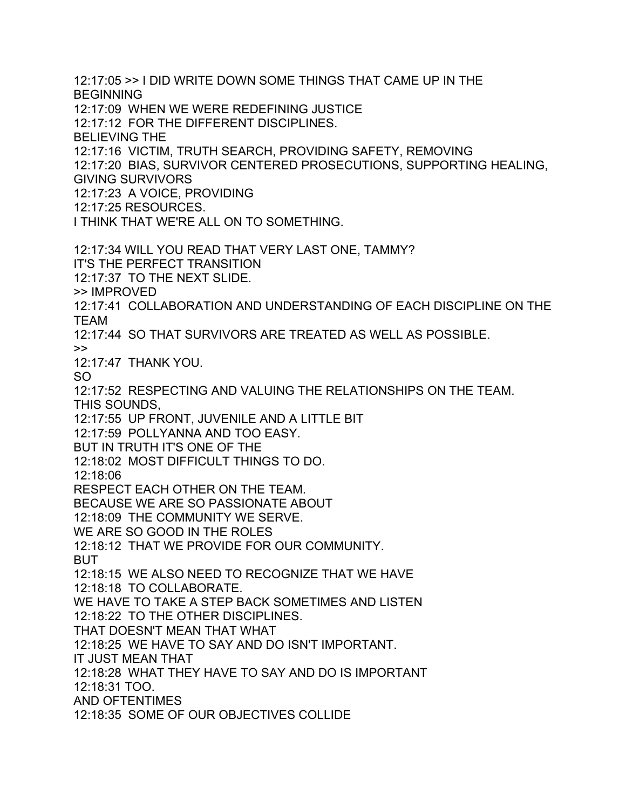12:17:05 >> I DID WRITE DOWN SOME THINGS THAT CAME UP IN THE BEGINNING 12:17:09 WHEN WE WERE REDEFINING JUSTICE 12:17:12 FOR THE DIFFERENT DISCIPLINES. BELIEVING THE 12:17:16 VICTIM, TRUTH SEARCH, PROVIDING SAFETY, REMOVING 12:17:20 BIAS, SURVIVOR CENTERED PROSECUTIONS, SUPPORTING HEALING, GIVING SURVIVORS 12:17:23 A VOICE, PROVIDING 12:17:25 RESOURCES. I THINK THAT WE'RE ALL ON TO SOMETHING. 12:17:34 WILL YOU READ THAT VERY LAST ONE, TAMMY? IT'S THE PERFECT TRANSITION 12:17:37 TO THE NEXT SLIDE. >> IMPROVED 12:17:41 COLLABORATION AND UNDERSTANDING OF EACH DISCIPLINE ON THE TEAM 12:17:44 SO THAT SURVIVORS ARE TREATED AS WELL AS POSSIBLE. >> 12:17:47 THANK YOU. SO 12:17:52 RESPECTING AND VALUING THE RELATIONSHIPS ON THE TEAM. THIS SOUNDS, 12:17:55 UP FRONT, JUVENILE AND A LITTLE BIT 12:17:59 POLLYANNA AND TOO EASY. BUT IN TRUTH IT'S ONE OF THE 12:18:02 MOST DIFFICULT THINGS TO DO. 12:18:06 RESPECT EACH OTHER ON THE TEAM. BECAUSE WE ARE SO PASSIONATE ABOUT 12:18:09 THE COMMUNITY WE SERVE. WE ARE SO GOOD IN THE ROLES 12:18:12 THAT WE PROVIDE FOR OUR COMMUNITY. BUT 12:18:15 WE ALSO NEED TO RECOGNIZE THAT WE HAVE 12:18:18 TO COLLABORATE. WE HAVE TO TAKE A STEP BACK SOMETIMES AND LISTEN 12:18:22 TO THE OTHER DISCIPLINES. THAT DOESN'T MEAN THAT WHAT 12:18:25 WE HAVE TO SAY AND DO ISN'T IMPORTANT. IT JUST MEAN THAT 12:18:28 WHAT THEY HAVE TO SAY AND DO IS IMPORTANT 12:18:31 TOO. AND OFTENTIMES 12:18:35 SOME OF OUR OBJECTIVES COLLIDE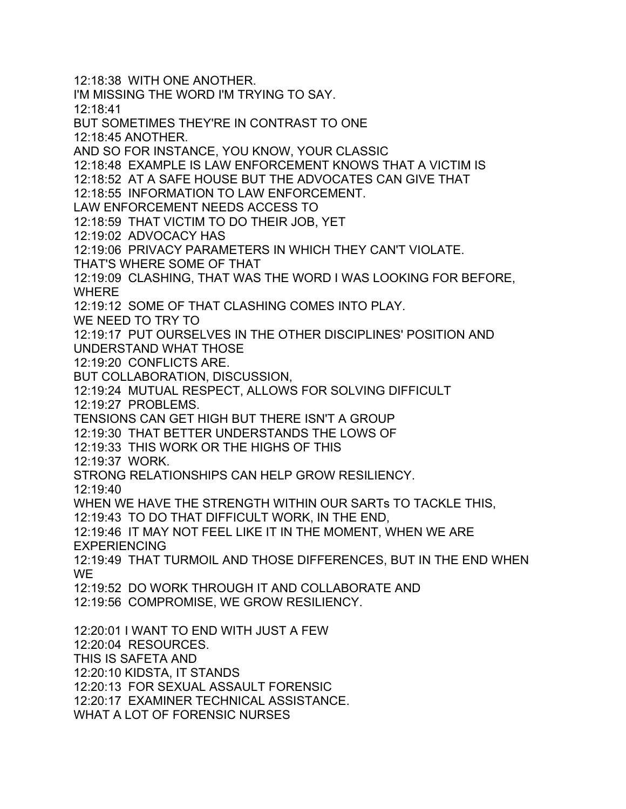12:18:38 WITH ONE ANOTHER. I'M MISSING THE WORD I'M TRYING TO SAY. 12:18:41 BUT SOMETIMES THEY'RE IN CONTRAST TO ONE 12:18:45 ANOTHER. AND SO FOR INSTANCE, YOU KNOW, YOUR CLASSIC 12:18:48 EXAMPLE IS LAW ENFORCEMENT KNOWS THAT A VICTIM IS 12:18:52 AT A SAFE HOUSE BUT THE ADVOCATES CAN GIVE THAT 12:18:55 INFORMATION TO LAW ENFORCEMENT. LAW ENFORCEMENT NEEDS ACCESS TO 12:18:59 THAT VICTIM TO DO THEIR JOB, YET 12:19:02 ADVOCACY HAS 12:19:06 PRIVACY PARAMETERS IN WHICH THEY CAN'T VIOLATE. THAT'S WHERE SOME OF THAT 12:19:09 CLASHING, THAT WAS THE WORD I WAS LOOKING FOR BEFORE, WHERE 12:19:12 SOME OF THAT CLASHING COMES INTO PLAY. WE NEED TO TRY TO 12:19:17 PUT OURSELVES IN THE OTHER DISCIPLINES' POSITION AND UNDERSTAND WHAT THOSE 12:19:20 CONFLICTS ARE. BUT COLLABORATION, DISCUSSION, 12:19:24 MUTUAL RESPECT, ALLOWS FOR SOLVING DIFFICULT 12:19:27 PROBLEMS. TENSIONS CAN GET HIGH BUT THERE ISN'T A GROUP 12:19:30 THAT BETTER UNDERSTANDS THE LOWS OF 12:19:33 THIS WORK OR THE HIGHS OF THIS 12:19:37 WORK. STRONG RELATIONSHIPS CAN HELP GROW RESILIENCY. 12:19:40 WHEN WE HAVE THE STRENGTH WITHIN OUR SARTs TO TACKLE THIS, 12:19:43 TO DO THAT DIFFICULT WORK, IN THE END, 12:19:46 IT MAY NOT FEEL LIKE IT IN THE MOMENT, WHEN WE ARE EXPERIENCING 12:19:49 THAT TURMOIL AND THOSE DIFFERENCES, BUT IN THE END WHEN WE 12:19:52 DO WORK THROUGH IT AND COLLABORATE AND 12:19:56 COMPROMISE, WE GROW RESILIENCY. 12:20:01 I WANT TO END WITH JUST A FEW 12:20:04 RESOURCES. THIS IS SAFETA AND 12:20:10 KIDSTA, IT STANDS 12:20:13 FOR SEXUAL ASSAULT FORENSIC 12:20:17 EXAMINER TECHNICAL ASSISTANCE. WHAT A LOT OF FORENSIC NURSES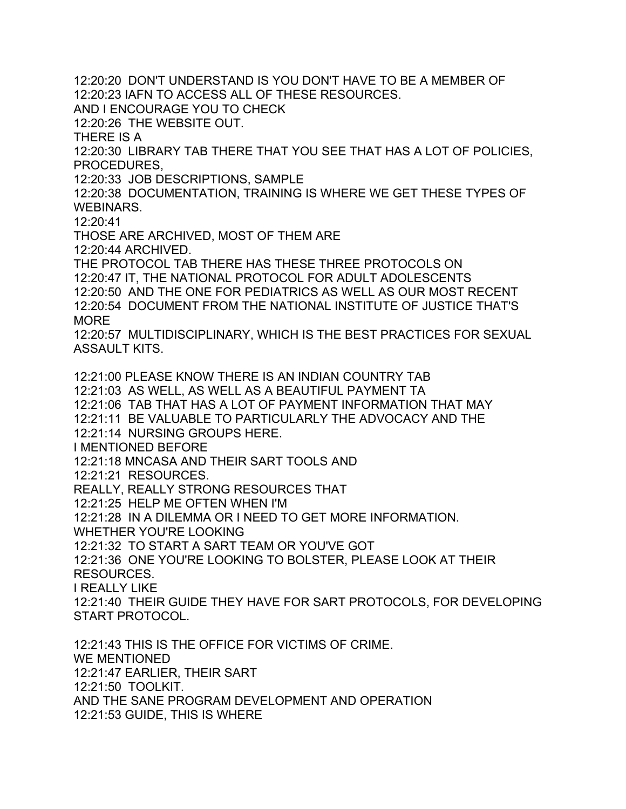12:20:20 DON'T UNDERSTAND IS YOU DON'T HAVE TO BE A MEMBER OF 12:20:23 IAFN TO ACCESS ALL OF THESE RESOURCES. AND I ENCOURAGE YOU TO CHECK 12:20:26 THE WEBSITE OUT. THERE IS A 12:20:30 LIBRARY TAB THERE THAT YOU SEE THAT HAS A LOT OF POLICIES, PROCEDURES, 12:20:33 JOB DESCRIPTIONS, SAMPLE 12:20:38 DOCUMENTATION, TRAINING IS WHERE WE GET THESE TYPES OF WEBINARS. 12:20:41 THOSE ARE ARCHIVED, MOST OF THEM ARE 12:20:44 ARCHIVED. THE PROTOCOL TAB THERE HAS THESE THREE PROTOCOLS ON 12:20:47 IT, THE NATIONAL PROTOCOL FOR ADULT ADOLESCENTS 12:20:50 AND THE ONE FOR PEDIATRICS AS WELL AS OUR MOST RECENT 12:20:54 DOCUMENT FROM THE NATIONAL INSTITUTE OF JUSTICE THAT'S MORE 12:20:57 MULTIDISCIPLINARY, WHICH IS THE BEST PRACTICES FOR SEXUAL ASSAULT KITS. 12:21:00 PLEASE KNOW THERE IS AN INDIAN COUNTRY TAB 12:21:03 AS WELL, AS WELL AS A BEAUTIFUL PAYMENT TA 12:21:06 TAB THAT HAS A LOT OF PAYMENT INFORMATION THAT MAY 12:21:11 BE VALUABLE TO PARTICULARLY THE ADVOCACY AND THE 12:21:14 NURSING GROUPS HERE. I MENTIONED BEFORE 12:21:18 MNCASA AND THEIR SART TOOLS AND 12:21:21 RESOURCES. REALLY, REALLY STRONG RESOURCES THAT 12:21:25 HELP ME OFTEN WHEN I'M 12:21:28 IN A DILEMMA OR I NEED TO GET MORE INFORMATION. WHETHER YOU'RE LOOKING 12:21:32 TO START A SART TEAM OR YOU'VE GOT 12:21:36 ONE YOU'RE LOOKING TO BOLSTER, PLEASE LOOK AT THEIR RESOURCES. I REALLY LIKE 12:21:40 THEIR GUIDE THEY HAVE FOR SART PROTOCOLS, FOR DEVELOPING START PROTOCOL. 12:21:43 THIS IS THE OFFICE FOR VICTIMS OF CRIME. WE MENTIONED 12:21:47 EARLIER, THEIR SART 12:21:50 TOOLKIT. AND THE SANE PROGRAM DEVELOPMENT AND OPERATION

12:21:53 GUIDE, THIS IS WHERE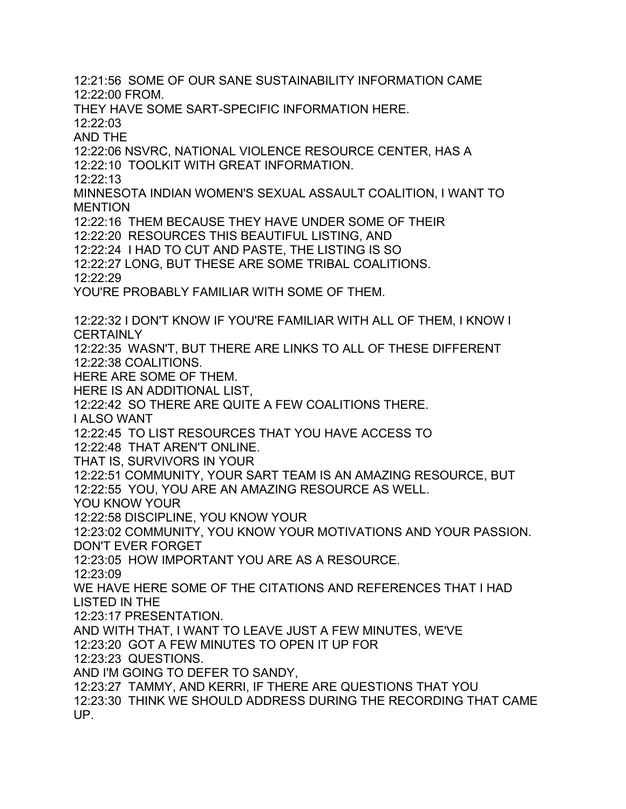12:21:56 SOME OF OUR SANE SUSTAINABILITY INFORMATION CAME 12:22:00 FROM. THEY HAVE SOME SART-SPECIFIC INFORMATION HERE. 12:22:03 AND THE 12:22:06 NSVRC, NATIONAL VIOLENCE RESOURCE CENTER, HAS A 12:22:10 TOOLKIT WITH GREAT INFORMATION. 12:22:13 MINNESOTA INDIAN WOMEN'S SEXUAL ASSAULT COALITION, I WANT TO MENTION 12:22:16 THEM BECAUSE THEY HAVE UNDER SOME OF THEIR 12:22:20 RESOURCES THIS BEAUTIFUL LISTING, AND 12:22:24 I HAD TO CUT AND PASTE, THE LISTING IS SO 12:22:27 LONG, BUT THESE ARE SOME TRIBAL COALITIONS. 12:22:29 YOU'RE PROBABLY FAMILIAR WITH SOME OF THEM. 12:22:32 I DON'T KNOW IF YOU'RE FAMILIAR WITH ALL OF THEM, I KNOW I **CERTAINLY** 12:22:35 WASN'T, BUT THERE ARE LINKS TO ALL OF THESE DIFFERENT 12:22:38 COALITIONS. HERE ARE SOME OF THEM. HERE IS AN ADDITIONAL LIST, 12:22:42 SO THERE ARE QUITE A FEW COALITIONS THERE. I ALSO WANT 12:22:45 TO LIST RESOURCES THAT YOU HAVE ACCESS TO 12:22:48 THAT AREN'T ONLINE. THAT IS, SURVIVORS IN YOUR 12:22:51 COMMUNITY, YOUR SART TEAM IS AN AMAZING RESOURCE, BUT 12:22:55 YOU, YOU ARE AN AMAZING RESOURCE AS WELL. YOU KNOW YOUR 12:22:58 DISCIPLINE, YOU KNOW YOUR 12:23:02 COMMUNITY, YOU KNOW YOUR MOTIVATIONS AND YOUR PASSION. DON'T EVER FORGET 12:23:05 HOW IMPORTANT YOU ARE AS A RESOURCE. 12:23:09 WE HAVE HERE SOME OF THE CITATIONS AND REFERENCES THAT I HAD LISTED IN THE 12:23:17 PRESENTATION. AND WITH THAT, I WANT TO LEAVE JUST A FEW MINUTES, WE'VE 12:23:20 GOT A FEW MINUTES TO OPEN IT UP FOR 12:23:23 QUESTIONS. AND I'M GOING TO DEFER TO SANDY, 12:23:27 TAMMY, AND KERRI, IF THERE ARE QUESTIONS THAT YOU 12:23:30 THINK WE SHOULD ADDRESS DURING THE RECORDING THAT CAME UP.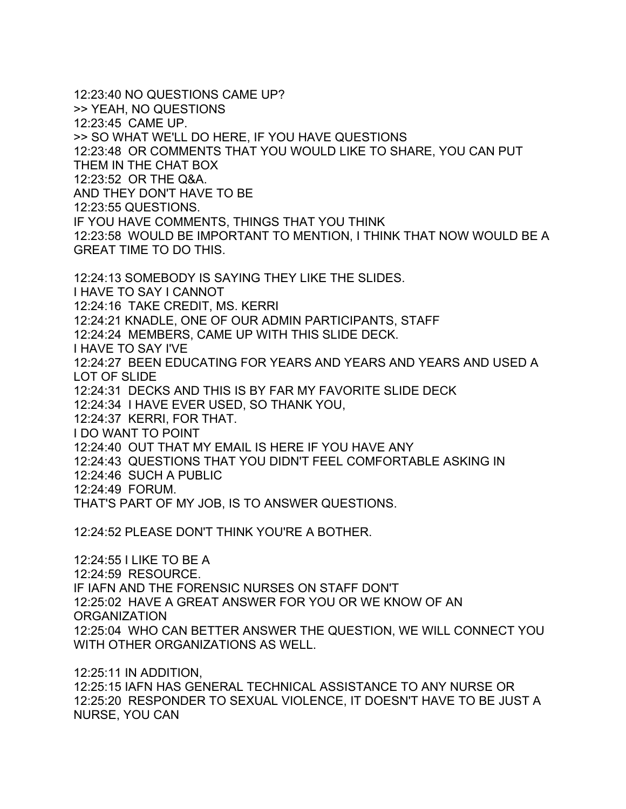12:23:40 NO QUESTIONS CAME UP? >> YEAH, NO QUESTIONS 12:23:45 CAME UP. >> SO WHAT WE'LL DO HERE, IF YOU HAVE QUESTIONS 12:23:48 OR COMMENTS THAT YOU WOULD LIKE TO SHARE, YOU CAN PUT THEM IN THE CHAT BOX 12:23:52 OR THE Q&A. AND THEY DON'T HAVE TO BE 12:23:55 QUESTIONS. IF YOU HAVE COMMENTS, THINGS THAT YOU THINK 12:23:58 WOULD BE IMPORTANT TO MENTION, I THINK THAT NOW WOULD BE A GREAT TIME TO DO THIS. 12:24:13 SOMEBODY IS SAYING THEY LIKE THE SLIDES. I HAVE TO SAY I CANNOT 12:24:16 TAKE CREDIT, MS. KERRI 12:24:21 KNADLE, ONE OF OUR ADMIN PARTICIPANTS, STAFF 12:24:24 MEMBERS, CAME UP WITH THIS SLIDE DECK. I HAVE TO SAY I'VE 12:24:27 BEEN EDUCATING FOR YEARS AND YEARS AND YEARS AND USED A LOT OF SLIDE 12:24:31 DECKS AND THIS IS BY FAR MY FAVORITE SLIDE DECK 12:24:34 I HAVE EVER USED, SO THANK YOU, 12:24:37 KERRI, FOR THAT.

I DO WANT TO POINT

12:24:40 OUT THAT MY EMAIL IS HERE IF YOU HAVE ANY

12:24:43 QUESTIONS THAT YOU DIDN'T FEEL COMFORTABLE ASKING IN

12:24:46 SUCH A PUBLIC

12:24:49 FORUM.

THAT'S PART OF MY JOB, IS TO ANSWER QUESTIONS.

12:24:52 PLEASE DON'T THINK YOU'RE A BOTHER.

12:24:55 I LIKE TO BE A 12:24:59 RESOURCE. IF IAFN AND THE FORENSIC NURSES ON STAFF DON'T 12:25:02 HAVE A GREAT ANSWER FOR YOU OR WE KNOW OF AN **ORGANIZATION** 12:25:04 WHO CAN BETTER ANSWER THE QUESTION, WE WILL CONNECT YOU WITH OTHER ORGANIZATIONS AS WELL.

12:25:11 IN ADDITION, 12:25:15 IAFN HAS GENERAL TECHNICAL ASSISTANCE TO ANY NURSE OR 12:25:20 RESPONDER TO SEXUAL VIOLENCE, IT DOESN'T HAVE TO BE JUST A NURSE, YOU CAN